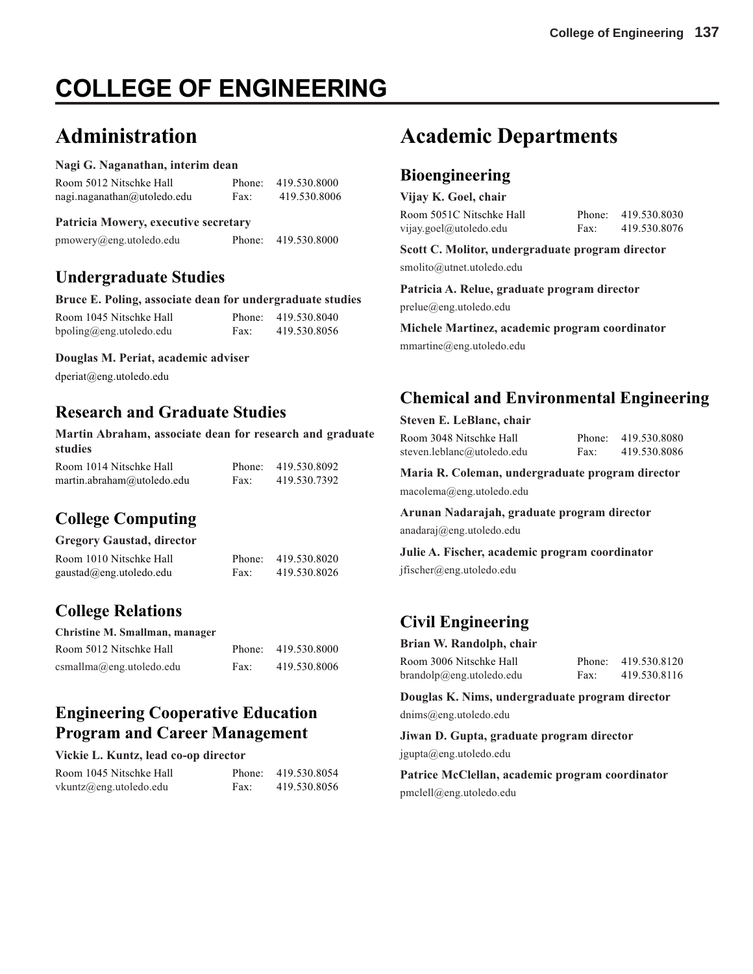# **COLLEGE OF ENGINEERING**

# **Administration**

#### **Nagi G. Naganathan, interim dean**

| Room 5012 Nitschke Hall     |      | Phone: 419.530.8000 |
|-----------------------------|------|---------------------|
| nagi.naganathan@utoledo.edu | Fax: | 419.530.8006        |

#### **Patricia Mowery, executive secretary**

pmowery@eng.utoledo.edu Phone: 419.530.8000

### **Undergraduate Studies**

| Bruce E. Poling, associate dean for undergraduate studies |      |                     |
|-----------------------------------------------------------|------|---------------------|
| Room 1045 Nitschke Hall                                   |      | Phone: 419.530.8040 |
| bpoling@eng.utoledo.edu                                   | Fax: | 419.530.8056        |

#### **Douglas M. Periat, academic adviser**

dperiat@eng.utoledo.edu

### **Research and Graduate Studies**

**Martin Abraham, associate dean for research and graduate studies**

| Room 1014 Nitschke Hall    |      | Phone: 419.530.8092 |
|----------------------------|------|---------------------|
| martin.abraham@utoledo.edu | Fax: | 419.530.7392        |

# **College Computing**

#### **Gregory Gaustad, director**

| Room 1010 Nitschke Hall          |      | Phone: 419.530.8020 |
|----------------------------------|------|---------------------|
| $gaustad(\omega$ eng.utoledo.edu | Fax: | 419.530.8026        |

# **College Relations**

| Christine M. Smallman, manager |      |                     |
|--------------------------------|------|---------------------|
| Room 5012 Nitschke Hall        |      | Phone: 419.530.8000 |
| csmallma@eng.utoledo.edu       | Fax: | 419.530.8006        |

# **Engineering Cooperative Education Program and Career Management**

#### **Vickie L. Kuntz, lead co-op director**

| Room 1045 Nitschke Hall   |      | Phone: 419.530.8054 |
|---------------------------|------|---------------------|
| $v$ kuntz@eng.utoledo.edu | Fax: | 419.530.8056        |

# **Academic Departments**

### **Bioengineering**

**Vijay K. Goel, chair** Room 5051C Nitschke Hall Phone: 419.530.8030 vijay.goel@utoledo.edu Fax: 419.530.8076

**Scott C. Molitor, undergraduate program director** smolito@utnet.utoledo.edu

**Patricia A. Relue, graduate program director** prelue@eng.utoledo.edu

**Michele Martinez, academic program coordinator** mmartine@eng.utoledo.edu

# **Chemical and Environmental Engineering**

|  |  | Steven E. LeBlanc, chair |  |
|--|--|--------------------------|--|
|--|--|--------------------------|--|

Room 3048 Nitschke Hall Phone: 419.530.8080 steven.leblanc@utoledo.edu Fax: 419.530.8086

**Maria R. Coleman, undergraduate program director** macolema@eng.utoledo.edu

**Arunan Nadarajah, graduate program director** anadaraj@eng.utoledo.edu

**Julie A. Fischer, academic program coordinator** jfischer@eng.utoledo.edu

# **Civil Engineering**

**Brian W. Randolph, chair**

| Room 3006 Nitschke Hall  |      | Phone: 419.530.8120 |
|--------------------------|------|---------------------|
| brandolp@eng.utoledo.edu | Fax: | 419.530.8116        |

**Douglas K. Nims, undergraduate program director** dnims@eng.utoledo.edu

**Jiwan D. Gupta, graduate program director** jgupta@eng.utoledo.edu

**Patrice McClellan, academic program coordinator** pmclell@eng.utoledo.edu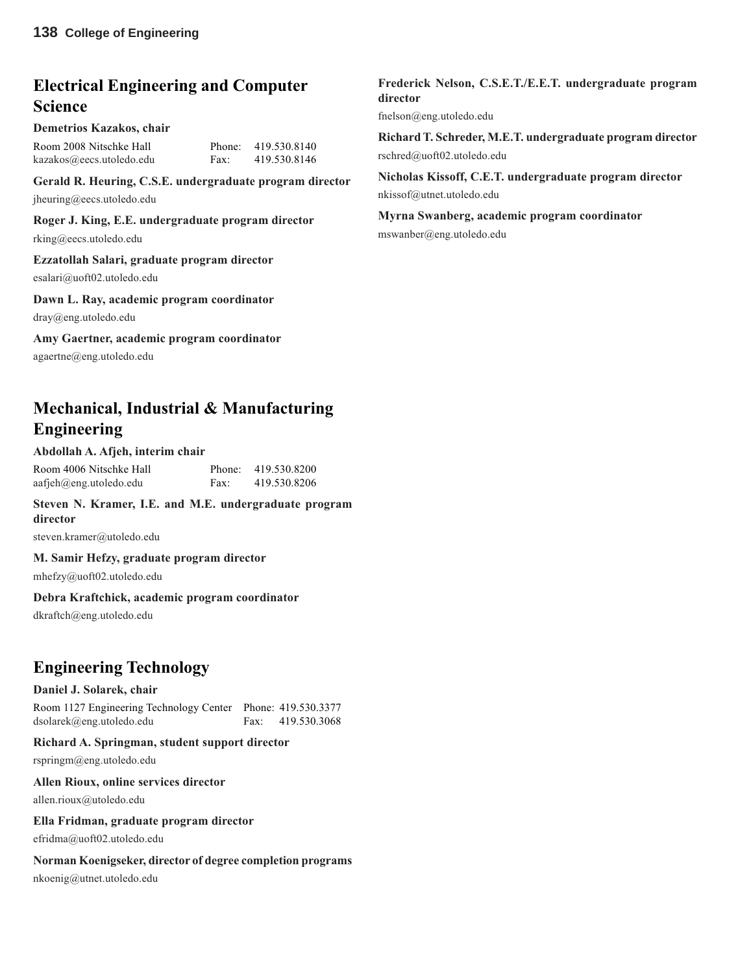# **Electrical Engineering and Computer Science**

#### **Demetrios Kazakos, chair**

| Room 2008 Nitschke Hall  |      | Phone: 419.530.8140 |
|--------------------------|------|---------------------|
| kazakos@eecs.utoledo.edu | Fax: | 419.530.8146        |

**Gerald R. Heuring, C.S.E. undergraduate program director** jheuring@eecs.utoledo.edu

#### **Roger J. King, E.E. undergraduate program director**

rking@eecs.utoledo.edu

#### **Ezzatollah Salari, graduate program director**

esalari@uoft02.utoledo.edu

#### **Dawn L. Ray, academic program coordinator**

dray@eng.utoledo.edu

#### **Amy Gaertner, academic program coordinator**

agaertne@eng.utoledo.edu

# **Mechanical, Industrial & Manufacturing Engineering**

#### **Abdollah A. Afjeh, interim chair**

| Room 4006 Nitschke Hall |      | Phone: 419.530.8200 |
|-------------------------|------|---------------------|
| aafjeh@eng.utoledo.edu  | Fax: | 419.530.8206        |

#### **Steven N. Kramer, I.E. and M.E. undergraduate program director**

steven.kramer@utoledo.edu

#### **M. Samir Hefzy, graduate program director**

mhefzy@uoft02.utoledo.edu

#### **Debra Kraftchick, academic program coordinator**

dkraftch@eng.utoledo.edu

# **Engineering Technology**

#### **Daniel J. Solarek, chair**

Room 1127 Engineering Technology Center Phone: 419.530.3377 dsolarek@eng.utoledo.edu Fax: 419.530.3068

#### **Richard A. Springman, student support director**

rspringm@eng.utoledo.edu

#### **Allen Rioux, online services director**

allen.rioux@utoledo.edu

#### **Ella Fridman, graduate program director**

efridma@uoft02.utoledo.edu

#### **Norman Koenigseker, director of degree completion programs**

nkoenig@utnet.utoledo.edu

#### **Frederick Nelson, C.S.E.T./E.E.T. undergraduate program director**

fnelson@eng.utoledo.edu

**Richard T. Schreder, M.E.T. undergraduate program director** rschred@uoft02.utoledo.edu

**Nicholas Kissoff, C.E.T. undergraduate program director** nkissof@utnet.utoledo.edu

**Myrna Swanberg, academic program coordinator** mswanber@eng.utoledo.edu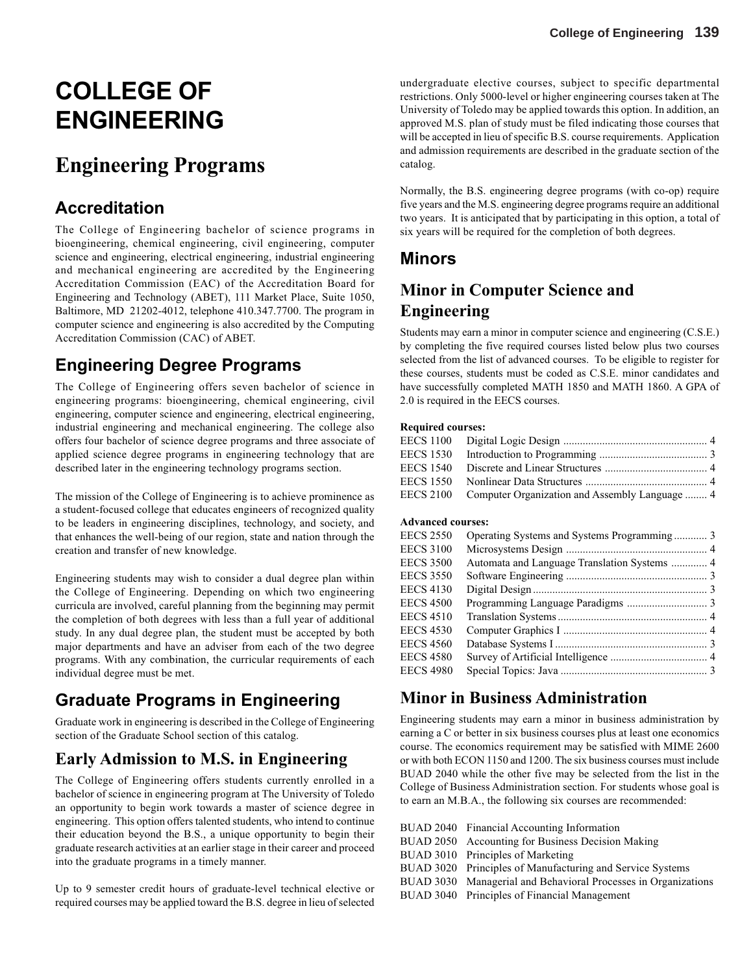# **COLLEGE OF ENGINEERING**

# **Engineering Programs**

# **Accreditation**

The College of Engineering bachelor of science programs in bioengineering, chemical engineering, civil engineering, computer science and engineering, electrical engineering, industrial engineering and mechanical engineering are accredited by the Engineering Accreditation Commission (EAC) of the Accreditation Board for Engineering and Technology (ABET), 111 Market Place, Suite 1050, Baltimore, MD 21202-4012, telephone 410.347.7700. The program in computer science and engineering is also accredited by the Computing Accreditation Commission (CAC) of ABET.

# **Engineering Degree Programs**

The College of Engineering offers seven bachelor of science in engineering programs: bioengineering, chemical engineering, civil engineering, computer science and engineering, electrical engineering, industrial engineering and mechanical engineering. The college also offers four bachelor of science degree programs and three associate of applied science degree programs in engineering technology that are described later in the engineering technology programs section.

The mission of the College of Engineering is to achieve prominence as a student-focused college that educates engineers of recognized quality to be leaders in engineering disciplines, technology, and society, and that enhances the well-being of our region, state and nation through the creation and transfer of new knowledge.

Engineering students may wish to consider a dual degree plan within the College of Engineering. Depending on which two engineering curricula are involved, careful planning from the beginning may permit the completion of both degrees with less than a full year of additional study. In any dual degree plan, the student must be accepted by both major departments and have an adviser from each of the two degree programs. With any combination, the curricular requirements of each individual degree must be met.

# **Graduate Programs in Engineering**

Graduate work in engineering is described in the College of Engineering section of the Graduate School section of this catalog.

# **Early Admission to M.S. in Engineering**

The College of Engineering offers students currently enrolled in a bachelor of science in engineering program at The University of Toledo an opportunity to begin work towards a master of science degree in engineering. This option offers talented students, who intend to continue their education beyond the B.S., a unique opportunity to begin their graduate research activities at an earlier stage in their career and proceed into the graduate programs in a timely manner.

Up to 9 semester credit hours of graduate-level technical elective or required courses may be applied toward the B.S. degree in lieu of selected

undergraduate elective courses, subject to specific departmental restrictions. Only 5000-level or higher engineering courses taken at The University of Toledo may be applied towards this option. In addition, an approved M.S. plan of study must be filed indicating those courses that will be accepted in lieu of specific B.S. course requirements. Application and admission requirements are described in the graduate section of the catalog.

Normally, the B.S. engineering degree programs (with co-op) require five years and the M.S. engineering degree programs require an additional two years. It is anticipated that by participating in this option, a total of six years will be required for the completion of both degrees.

### **Minors**

# **Minor in Computer Science and Engineering**

Students may earn a minor in computer science and engineering (C.S.E.) by completing the five required courses listed below plus two courses selected from the list of advanced courses. To be eligible to register for these courses, students must be coded as C.S.E. minor candidates and have successfully completed MATH 1850 and MATH 1860. A GPA of 2.0 is required in the EECS courses.

#### **Required courses:**

| EECS 2100 Computer Organization and Assembly Language  4 |  |
|----------------------------------------------------------|--|

#### **Advanced courses:**

| <b>EECS 2550</b> |  |
|------------------|--|
| <b>EECS 3100</b> |  |
| <b>EECS 3500</b> |  |
| <b>EECS 3550</b> |  |
| <b>EECS 4130</b> |  |
| <b>EECS 4500</b> |  |
| <b>EECS 4510</b> |  |
| <b>EECS 4530</b> |  |
| <b>EECS 4560</b> |  |
| <b>EECS 4580</b> |  |
| <b>EECS 4980</b> |  |

### **Minor in Business Administration**

Engineering students may earn a minor in business administration by earning a C or better in six business courses plus at least one economics course. The economics requirement may be satisfied with MIME 2600 or with both ECON 1150 and 1200. The six business courses must include BUAD 2040 while the other five may be selected from the list in the College of Business Administration section. For students whose goal is to earn an M.B.A., the following six courses are recommended:

BUAD 2040 Financial Accounting Information BUAD 2050 Accounting for Business Decision Making BUAD 3010 Principles of Marketing BUAD 3020 Principles of Manufacturing and Service Systems BUAD 3030 Managerial and Behavioral Processes in Organizations BUAD 3040 Principles of Financial Management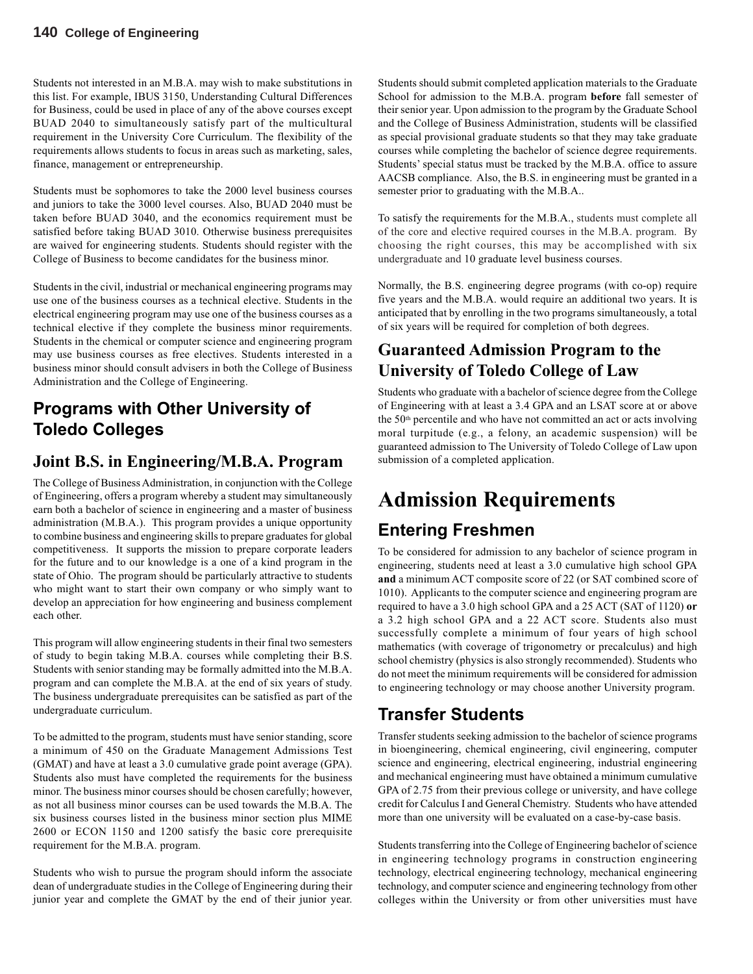Students not interested in an M.B.A. may wish to make substitutions in this list. For example, IBUS 3150, Understanding Cultural Differences for Business, could be used in place of any of the above courses except BUAD 2040 to simultaneously satisfy part of the multicultural requirement in the University Core Curriculum. The flexibility of the requirements allows students to focus in areas such as marketing, sales, finance, management or entrepreneurship.

Students must be sophomores to take the 2000 level business courses and juniors to take the 3000 level courses. Also, BUAD 2040 must be taken before BUAD 3040, and the economics requirement must be satisfied before taking BUAD 3010. Otherwise business prerequisites are waived for engineering students. Students should register with the College of Business to become candidates for the business minor.

Students in the civil, industrial or mechanical engineering programs may use one of the business courses as a technical elective. Students in the electrical engineering program may use one of the business courses as a technical elective if they complete the business minor requirements. Students in the chemical or computer science and engineering program may use business courses as free electives. Students interested in a business minor should consult advisers in both the College of Business Administration and the College of Engineering.

# **Programs with Other University of Toledo Colleges**

### **Joint B.S. in Engineering/M.B.A. Program**

The College of Business Administration, in conjunction with the College of Engineering, offers a program whereby a student may simultaneously earn both a bachelor of science in engineering and a master of business administration (M.B.A.). This program provides a unique opportunity to combine business and engineering skills to prepare graduates for global competitiveness. It supports the mission to prepare corporate leaders for the future and to our knowledge is a one of a kind program in the state of Ohio. The program should be particularly attractive to students who might want to start their own company or who simply want to develop an appreciation for how engineering and business complement each other.

This program will allow engineering students in their final two semesters of study to begin taking M.B.A. courses while completing their B.S. Students with senior standing may be formally admitted into the M.B.A. program and can complete the M.B.A. at the end of six years of study. The business undergraduate prerequisites can be satisfied as part of the undergraduate curriculum.

To be admitted to the program, students must have senior standing, score a minimum of 450 on the Graduate Management Admissions Test (GMAT) and have at least a 3.0 cumulative grade point average (GPA). Students also must have completed the requirements for the business minor. The business minor courses should be chosen carefully; however, as not all business minor courses can be used towards the M.B.A. The six business courses listed in the business minor section plus MIME 2600 or ECON 1150 and 1200 satisfy the basic core prerequisite requirement for the M.B.A. program.

Students who wish to pursue the program should inform the associate dean of undergraduate studies in the College of Engineering during their junior year and complete the GMAT by the end of their junior year.

Students should submit completed application materials to the Graduate School for admission to the M.B.A. program **before** fall semester of their senior year. Upon admission to the program by the Graduate School and the College of Business Administration, students will be classified as special provisional graduate students so that they may take graduate courses while completing the bachelor of science degree requirements. Students' special status must be tracked by the M.B.A. office to assure AACSB compliance. Also, the B.S. in engineering must be granted in a semester prior to graduating with the M.B.A..

To satisfy the requirements for the M.B.A., students must complete all of the core and elective required courses in the M.B.A. program. By choosing the right courses, this may be accomplished with six undergraduate and 10 graduate level business courses.

Normally, the B.S. engineering degree programs (with co-op) require five years and the M.B.A. would require an additional two years. It is anticipated that by enrolling in the two programs simultaneously, a total of six years will be required for completion of both degrees.

# **Guaranteed Admission Program to the University of Toledo College of Law**

Students who graduate with a bachelor of science degree from the College of Engineering with at least a 3.4 GPA and an LSAT score at or above the 50<sup>th</sup> percentile and who have not committed an act or acts involving moral turpitude (e.g., a felony, an academic suspension) will be guaranteed admission to The University of Toledo College of Law upon submission of a completed application.

# **Admission Requirements**

# **Entering Freshmen**

To be considered for admission to any bachelor of science program in engineering, students need at least a 3.0 cumulative high school GPA **and** a minimum ACT composite score of 22 (or SAT combined score of 1010). Applicants to the computer science and engineering program are required to have a 3.0 high school GPA and a 25 ACT (SAT of 1120) **or** a 3.2 high school GPA and a 22 ACT score. Students also must successfully complete a minimum of four years of high school mathematics (with coverage of trigonometry or precalculus) and high school chemistry (physics is also strongly recommended). Students who do not meet the minimum requirements will be considered for admission to engineering technology or may choose another University program.

# **Transfer Students**

Transfer students seeking admission to the bachelor of science programs in bioengineering, chemical engineering, civil engineering, computer science and engineering, electrical engineering, industrial engineering and mechanical engineering must have obtained a minimum cumulative GPA of 2.75 from their previous college or university, and have college credit for Calculus I and General Chemistry. Students who have attended more than one university will be evaluated on a case-by-case basis.

Students transferring into the College of Engineering bachelor of science in engineering technology programs in construction engineering technology, electrical engineering technology, mechanical engineering technology, and computer science and engineering technology from other colleges within the University or from other universities must have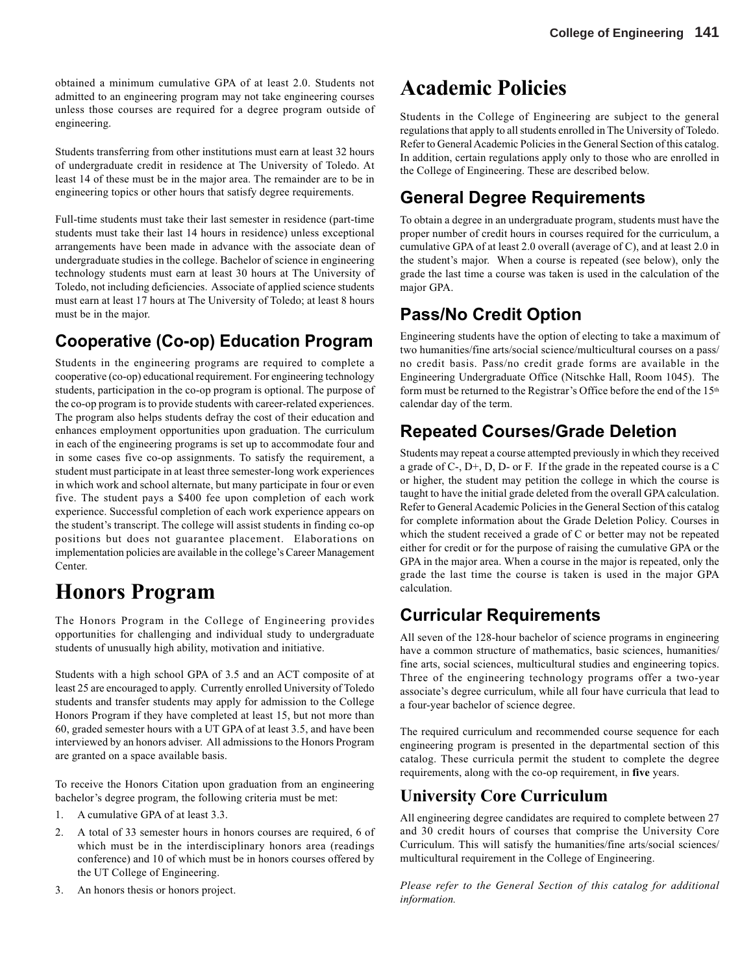obtained a minimum cumulative GPA of at least 2.0. Students not admitted to an engineering program may not take engineering courses unless those courses are required for a degree program outside of engineering.

Students transferring from other institutions must earn at least 32 hours of undergraduate credit in residence at The University of Toledo. At least 14 of these must be in the major area. The remainder are to be in engineering topics or other hours that satisfy degree requirements.

Full-time students must take their last semester in residence (part-time students must take their last 14 hours in residence) unless exceptional arrangements have been made in advance with the associate dean of undergraduate studies in the college. Bachelor of science in engineering technology students must earn at least 30 hours at The University of Toledo, not including deficiencies. Associate of applied science students must earn at least 17 hours at The University of Toledo; at least 8 hours must be in the major.

# **Cooperative (Co-op) Education Program**

Students in the engineering programs are required to complete a cooperative (co-op) educational requirement. For engineering technology students, participation in the co-op program is optional. The purpose of the co-op program is to provide students with career-related experiences. The program also helps students defray the cost of their education and enhances employment opportunities upon graduation. The curriculum in each of the engineering programs is set up to accommodate four and in some cases five co-op assignments. To satisfy the requirement, a student must participate in at least three semester-long work experiences in which work and school alternate, but many participate in four or even five. The student pays a \$400 fee upon completion of each work experience. Successful completion of each work experience appears on the student's transcript. The college will assist students in finding co-op positions but does not guarantee placement. Elaborations on implementation policies are available in the college's Career Management Center.

# **Honors Program**

The Honors Program in the College of Engineering provides opportunities for challenging and individual study to undergraduate students of unusually high ability, motivation and initiative.

Students with a high school GPA of 3.5 and an ACT composite of at least 25 are encouraged to apply. Currently enrolled University of Toledo students and transfer students may apply for admission to the College Honors Program if they have completed at least 15, but not more than 60, graded semester hours with a UT GPA of at least 3.5, and have been interviewed by an honors adviser. All admissions to the Honors Program are granted on a space available basis.

To receive the Honors Citation upon graduation from an engineering bachelor's degree program, the following criteria must be met:

- 1. A cumulative GPA of at least 3.3.
- 2. A total of 33 semester hours in honors courses are required, 6 of which must be in the interdisciplinary honors area (readings conference) and 10 of which must be in honors courses offered by the UT College of Engineering.
- 3. An honors thesis or honors project.

# **Academic Policies**

Students in the College of Engineering are subject to the general regulations that apply to all students enrolled in The University of Toledo. Refer to General Academic Policies in the General Section of this catalog. In addition, certain regulations apply only to those who are enrolled in the College of Engineering. These are described below.

# **General Degree Requirements**

To obtain a degree in an undergraduate program, students must have the proper number of credit hours in courses required for the curriculum, a cumulative GPA of at least 2.0 overall (average of C), and at least 2.0 in the student's major. When a course is repeated (see below), only the grade the last time a course was taken is used in the calculation of the major GPA.

# **Pass/No Credit Option**

Engineering students have the option of electing to take a maximum of two humanities/fine arts/social science/multicultural courses on a pass/ no credit basis. Pass/no credit grade forms are available in the Engineering Undergraduate Office (Nitschke Hall, Room 1045). The form must be returned to the Registrar's Office before the end of the 15th calendar day of the term.

# **Repeated Courses/Grade Deletion**

Students may repeat a course attempted previously in which they received a grade of C-, D+, D, D- or F. If the grade in the repeated course is a C or higher, the student may petition the college in which the course is taught to have the initial grade deleted from the overall GPA calculation. Refer to General Academic Policies in the General Section of this catalog for complete information about the Grade Deletion Policy. Courses in which the student received a grade of C or better may not be repeated either for credit or for the purpose of raising the cumulative GPA or the GPA in the major area. When a course in the major is repeated, only the grade the last time the course is taken is used in the major GPA calculation.

# **Curricular Requirements**

All seven of the 128-hour bachelor of science programs in engineering have a common structure of mathematics, basic sciences, humanities/ fine arts, social sciences, multicultural studies and engineering topics. Three of the engineering technology programs offer a two-year associate's degree curriculum, while all four have curricula that lead to a four-year bachelor of science degree.

The required curriculum and recommended course sequence for each engineering program is presented in the departmental section of this catalog. These curricula permit the student to complete the degree requirements, along with the co-op requirement, in **five** years.

# **University Core Curriculum**

All engineering degree candidates are required to complete between 27 and 30 credit hours of courses that comprise the University Core Curriculum. This will satisfy the humanities/fine arts/social sciences/ multicultural requirement in the College of Engineering.

*Please refer to the General Section of this catalog for additional information.*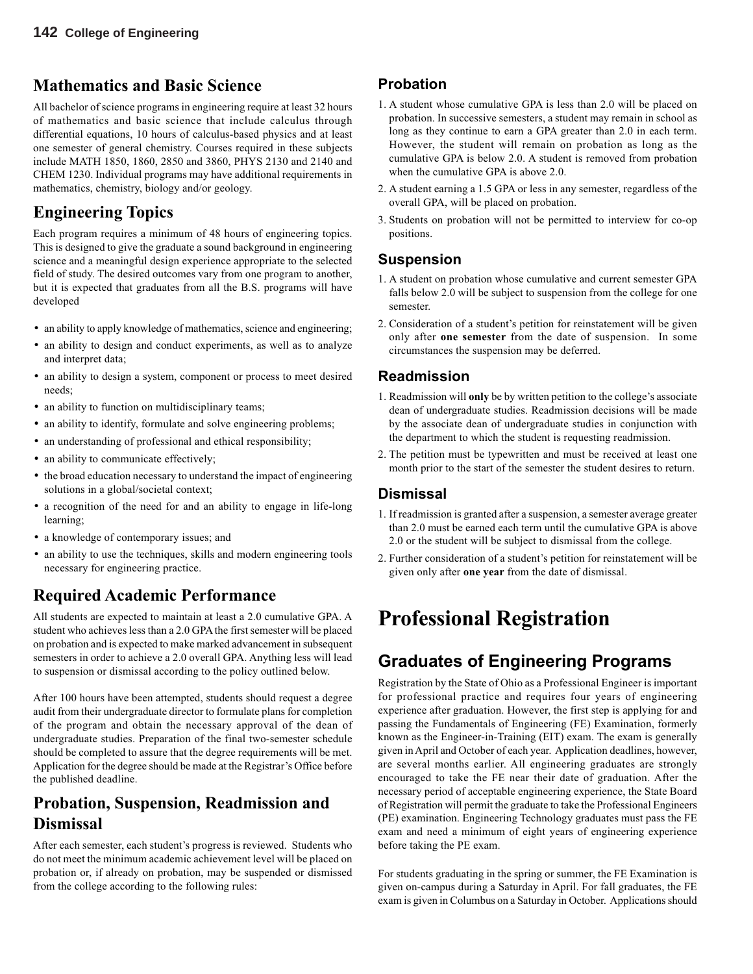### **Mathematics and Basic Science**

All bachelor of science programs in engineering require at least 32 hours of mathematics and basic science that include calculus through differential equations, 10 hours of calculus-based physics and at least one semester of general chemistry. Courses required in these subjects include MATH 1850, 1860, 2850 and 3860, PHYS 2130 and 2140 and CHEM 1230. Individual programs may have additional requirements in mathematics, chemistry, biology and/or geology.

# **Engineering Topics**

Each program requires a minimum of 48 hours of engineering topics. This is designed to give the graduate a sound background in engineering science and a meaningful design experience appropriate to the selected field of study. The desired outcomes vary from one program to another, but it is expected that graduates from all the B.S. programs will have developed

- an ability to apply knowledge of mathematics, science and engineering;
- an ability to design and conduct experiments, as well as to analyze and interpret data;
- an ability to design a system, component or process to meet desired needs;
- an ability to function on multidisciplinary teams;
- an ability to identify, formulate and solve engineering problems;
- an understanding of professional and ethical responsibility;
- an ability to communicate effectively;
- the broad education necessary to understand the impact of engineering solutions in a global/societal context;
- a recognition of the need for and an ability to engage in life-long learning;
- a knowledge of contemporary issues; and
- an ability to use the techniques, skills and modern engineering tools necessary for engineering practice.

# **Required Academic Performance**

All students are expected to maintain at least a 2.0 cumulative GPA. A student who achieves less than a 2.0 GPA the first semester will be placed on probation and is expected to make marked advancement in subsequent semesters in order to achieve a 2.0 overall GPA. Anything less will lead to suspension or dismissal according to the policy outlined below.

After 100 hours have been attempted, students should request a degree audit from their undergraduate director to formulate plans for completion of the program and obtain the necessary approval of the dean of undergraduate studies. Preparation of the final two-semester schedule should be completed to assure that the degree requirements will be met. Application for the degree should be made at the Registrar's Office before the published deadline.

### **Probation, Suspension, Readmission and Dismissal**

After each semester, each student's progress is reviewed. Students who do not meet the minimum academic achievement level will be placed on probation or, if already on probation, may be suspended or dismissed from the college according to the following rules:

### **Probation**

- 1. A student whose cumulative GPA is less than 2.0 will be placed on probation. In successive semesters, a student may remain in school as long as they continue to earn a GPA greater than 2.0 in each term. However, the student will remain on probation as long as the cumulative GPA is below 2.0. A student is removed from probation when the cumulative GPA is above 2.0.
- 2. A student earning a 1.5 GPA or less in any semester, regardless of the overall GPA, will be placed on probation.
- 3. Students on probation will not be permitted to interview for co-op positions.

### **Suspension**

- 1. A student on probation whose cumulative and current semester GPA falls below 2.0 will be subject to suspension from the college for one semester.
- 2. Consideration of a student's petition for reinstatement will be given only after **one semester** from the date of suspension. In some circumstances the suspension may be deferred.

#### **Readmission**

- 1. Readmission will **only** be by written petition to the college's associate dean of undergraduate studies. Readmission decisions will be made by the associate dean of undergraduate studies in conjunction with the department to which the student is requesting readmission.
- 2. The petition must be typewritten and must be received at least one month prior to the start of the semester the student desires to return.

### **Dismissal**

- 1. If readmission is granted after a suspension, a semester average greater than 2.0 must be earned each term until the cumulative GPA is above 2.0 or the student will be subject to dismissal from the college.
- 2. Further consideration of a student's petition for reinstatement will be given only after **one year** from the date of dismissal.

# **Professional Registration**

# **Graduates of Engineering Programs**

Registration by the State of Ohio as a Professional Engineer is important for professional practice and requires four years of engineering experience after graduation. However, the first step is applying for and passing the Fundamentals of Engineering (FE) Examination, formerly known as the Engineer-in-Training (EIT) exam. The exam is generally given in April and October of each year. Application deadlines, however, are several months earlier. All engineering graduates are strongly encouraged to take the FE near their date of graduation. After the necessary period of acceptable engineering experience, the State Board of Registration will permit the graduate to take the Professional Engineers (PE) examination. Engineering Technology graduates must pass the FE exam and need a minimum of eight years of engineering experience before taking the PE exam.

For students graduating in the spring or summer, the FE Examination is given on-campus during a Saturday in April. For fall graduates, the FE exam is given in Columbus on a Saturday in October. Applications should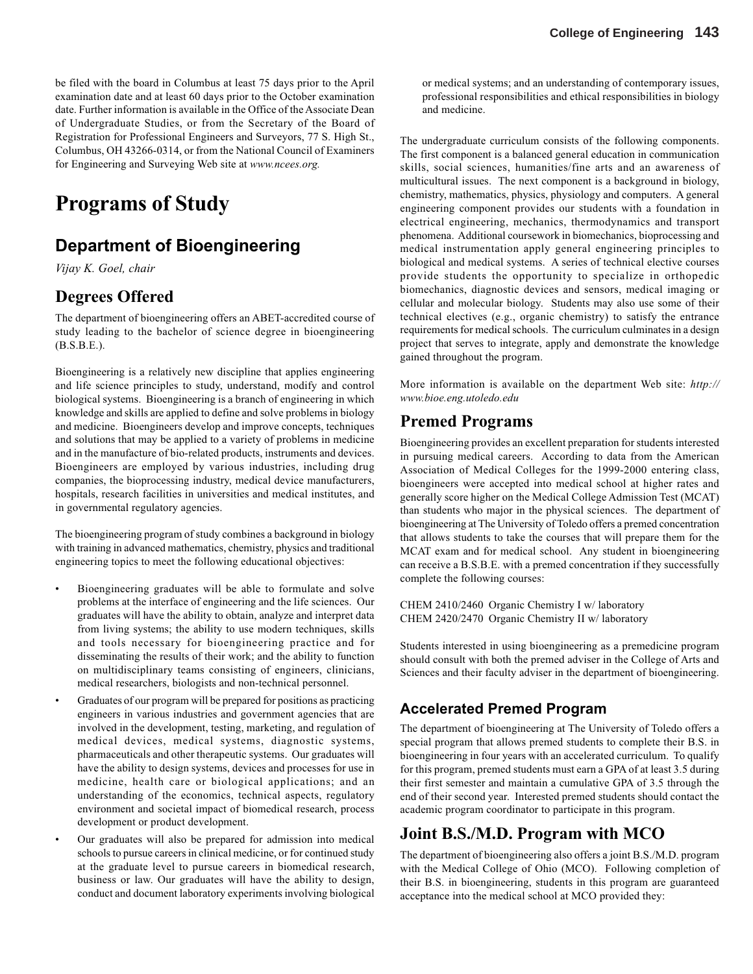be filed with the board in Columbus at least 75 days prior to the April examination date and at least 60 days prior to the October examination date. Further information is available in the Office of the Associate Dean of Undergraduate Studies, or from the Secretary of the Board of Registration for Professional Engineers and Surveyors, 77 S. High St., Columbus, OH 43266-0314, or from the National Council of Examiners for Engineering and Surveying Web site at *www.ncees.org.*

# **Programs of Study**

# **Department of Bioengineering**

*Vijay K. Goel, chair*

### **Degrees Offered**

The department of bioengineering offers an ABET-accredited course of study leading to the bachelor of science degree in bioengineering (B.S.B.E.).

Bioengineering is a relatively new discipline that applies engineering and life science principles to study, understand, modify and control biological systems. Bioengineering is a branch of engineering in which knowledge and skills are applied to define and solve problems in biology and medicine. Bioengineers develop and improve concepts, techniques and solutions that may be applied to a variety of problems in medicine and in the manufacture of bio-related products, instruments and devices. Bioengineers are employed by various industries, including drug companies, the bioprocessing industry, medical device manufacturers, hospitals, research facilities in universities and medical institutes, and in governmental regulatory agencies.

The bioengineering program of study combines a background in biology with training in advanced mathematics, chemistry, physics and traditional engineering topics to meet the following educational objectives:

- Bioengineering graduates will be able to formulate and solve problems at the interface of engineering and the life sciences. Our graduates will have the ability to obtain, analyze and interpret data from living systems; the ability to use modern techniques, skills and tools necessary for bioengineering practice and for disseminating the results of their work; and the ability to function on multidisciplinary teams consisting of engineers, clinicians, medical researchers, biologists and non-technical personnel.
- Graduates of our program will be prepared for positions as practicing engineers in various industries and government agencies that are involved in the development, testing, marketing, and regulation of medical devices, medical systems, diagnostic systems, pharmaceuticals and other therapeutic systems. Our graduates will have the ability to design systems, devices and processes for use in medicine, health care or biological applications; and an understanding of the economics, technical aspects, regulatory environment and societal impact of biomedical research, process development or product development.
- Our graduates will also be prepared for admission into medical schools to pursue careers in clinical medicine, or for continued study at the graduate level to pursue careers in biomedical research, business or law. Our graduates will have the ability to design, conduct and document laboratory experiments involving biological

or medical systems; and an understanding of contemporary issues, professional responsibilities and ethical responsibilities in biology and medicine.

The undergraduate curriculum consists of the following components. The first component is a balanced general education in communication skills, social sciences, humanities/fine arts and an awareness of multicultural issues. The next component is a background in biology, chemistry, mathematics, physics, physiology and computers. A general engineering component provides our students with a foundation in electrical engineering, mechanics, thermodynamics and transport phenomena. Additional coursework in biomechanics, bioprocessing and medical instrumentation apply general engineering principles to biological and medical systems. A series of technical elective courses provide students the opportunity to specialize in orthopedic biomechanics, diagnostic devices and sensors, medical imaging or cellular and molecular biology. Students may also use some of their technical electives (e.g., organic chemistry) to satisfy the entrance requirements for medical schools. The curriculum culminates in a design project that serves to integrate, apply and demonstrate the knowledge gained throughout the program.

More information is available on the department Web site: *http:// www.bioe.eng.utoledo.edu*

### **Premed Programs**

Bioengineering provides an excellent preparation for students interested in pursuing medical careers. According to data from the American Association of Medical Colleges for the 1999-2000 entering class, bioengineers were accepted into medical school at higher rates and generally score higher on the Medical College Admission Test (MCAT) than students who major in the physical sciences. The department of bioengineering at The University of Toledo offers a premed concentration that allows students to take the courses that will prepare them for the MCAT exam and for medical school. Any student in bioengineering can receive a B.S.B.E. with a premed concentration if they successfully complete the following courses:

CHEM 2410/2460 Organic Chemistry I w/ laboratory CHEM 2420/2470 Organic Chemistry II w/ laboratory

Students interested in using bioengineering as a premedicine program should consult with both the premed adviser in the College of Arts and Sciences and their faculty adviser in the department of bioengineering.

### **Accelerated Premed Program**

The department of bioengineering at The University of Toledo offers a special program that allows premed students to complete their B.S. in bioengineering in four years with an accelerated curriculum. To qualify for this program, premed students must earn a GPA of at least 3.5 during their first semester and maintain a cumulative GPA of 3.5 through the end of their second year. Interested premed students should contact the academic program coordinator to participate in this program.

### **Joint B.S./M.D. Program with MCO**

The department of bioengineering also offers a joint B.S./M.D. program with the Medical College of Ohio (MCO). Following completion of their B.S. in bioengineering, students in this program are guaranteed acceptance into the medical school at MCO provided they: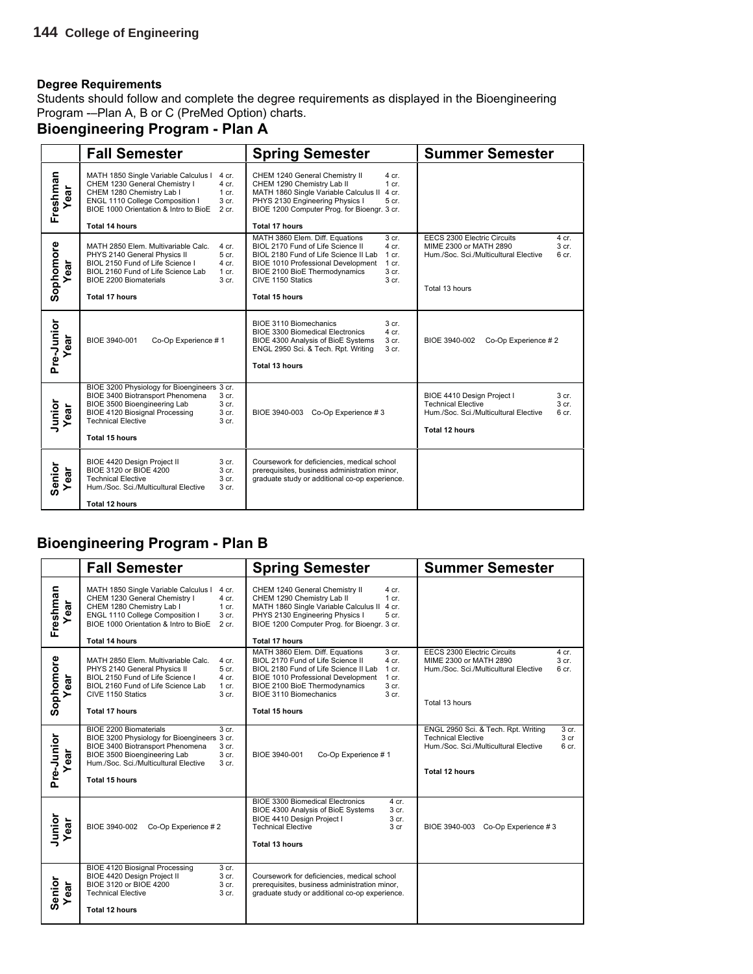Students should follow and complete the degree requirements as displayed in the Bioengineering Program -–Plan A, B or C (PreMed Option) charts.

# **Bioengineering Program - Plan A**

|                    | <b>Fall Semester</b>                                                                                                                                                                                                                                            | <b>Spring Semester</b>                                                                                                                                                                                                                                                                                       | <b>Summer Semester</b>                                                                                                                                            |
|--------------------|-----------------------------------------------------------------------------------------------------------------------------------------------------------------------------------------------------------------------------------------------------------------|--------------------------------------------------------------------------------------------------------------------------------------------------------------------------------------------------------------------------------------------------------------------------------------------------------------|-------------------------------------------------------------------------------------------------------------------------------------------------------------------|
| Freshman<br>ear    | MATH 1850 Single Variable Calculus I<br>4 cr.<br>CHEM 1230 General Chemistry I<br>$4$ cr.<br>CHEM 1280 Chemistry Lab I<br>$1$ cr.<br>ENGL 1110 College Composition I<br>3 cr.<br>BIOE 1000 Orientation & Intro to BioE<br>$2$ cr.<br><b>Total 14 hours</b>      | CHEM 1240 General Chemistry II<br>4 cr.<br>CHEM 1290 Chemistry Lab II<br>$1$ cr.<br>MATH 1860 Single Variable Calculus II<br>4 cr.<br>PHYS 2130 Engineering Physics I<br>5 cr.<br>BIOE 1200 Computer Prog. for Bioengr. 3 cr.<br><b>Total 17 hours</b>                                                       |                                                                                                                                                                   |
| Sophomore<br>ear   | MATH 2850 Elem. Multivariable Calc.<br>4 cr.<br>PHYS 2140 General Physics II<br>5 cr.<br>BIOL 2150 Fund of Life Science I<br>4 cr.<br>BIOL 2160 Fund of Life Science Lab<br>1 cr.<br><b>BIOE 2200 Biomaterials</b><br>3 <sub>cr.</sub><br><b>Total 17 hours</b> | MATH 3860 Elem. Diff. Equations<br>3 cr.<br>BIOL 2170 Fund of Life Science II<br>$4$ cr.<br>BIOL 2180 Fund of Life Science II Lab<br>1 cr.<br><b>BIOE 1010 Professional Development</b><br>1 cr.<br>BIOE 2100 BioE Thermodynamics<br>3 <sub>cr.</sub><br>CIVE 1150 Statics<br>3 cr.<br><b>Total 15 hours</b> | EECS 2300 Electric Circuits<br>4 cr.<br>MIME 2300 or MATH 2890<br>3 <sub>cr.</sub><br>Hum./Soc. Sci./Multicultural Elective<br>6 <sub>cr.</sub><br>Total 13 hours |
| Pre-Junior<br>ar   | BIOE 3940-001<br>Co-Op Experience #1                                                                                                                                                                                                                            | <b>BIOE 3110 Biomechanics</b><br>3 cr.<br><b>BIOE 3300 Biomedical Electronics</b><br>4 cr.<br>BIOE 4300 Analysis of BioE Systems<br>3 <sub>cr.</sub><br>ENGL 2950 Sci. & Tech. Rpt. Writing<br>3 cr.<br><b>Total 13 hours</b>                                                                                | Co-Op Experience #2<br>BIOE 3940-002                                                                                                                              |
| Junior<br>Year     | BIOE 3200 Physiology for Bioengineers 3 cr.<br>BIOE 3400 Biotransport Phenomena<br>3 cr.<br>BIOE 3500 Bioengineering Lab<br>3 cr.<br><b>BIOE 4120 Biosignal Processing</b><br>3 cr.<br><b>Technical Elective</b><br>3 <sub>cr.</sub><br><b>Total 15 hours</b>   | BIOE 3940-003 Co-Op Experience #3                                                                                                                                                                                                                                                                            | BIOE 4410 Design Project I<br>3 cr.<br><b>Technical Elective</b><br>3 cr.<br>Hum./Soc. Sci./Multicultural Elective<br>6 cr.<br><b>Total 12 hours</b>              |
| Senior<br>ear<br>≻ | BIOE 4420 Design Project II<br>3 cr.<br>BIOE 3120 or BIOE 4200<br>3 cr.<br><b>Technical Elective</b><br>3 <sub>cr.</sub><br>Hum./Soc. Sci./Multicultural Elective<br>3 <sub>cr.</sub><br><b>Total 12 hours</b>                                                  | Coursework for deficiencies, medical school<br>prerequisites, business administration minor,<br>graduate study or additional co-op experience.                                                                                                                                                               |                                                                                                                                                                   |

### **Bioengineering Program - Plan B**

|                    | <b>Fall Semester</b>                                                                                                                                                                                                                                                                               | <b>Spring Semester</b>                                                                                                                                                                                                                                                                                                                    | <b>Summer Semester</b>                                                                                                                                                             |
|--------------------|----------------------------------------------------------------------------------------------------------------------------------------------------------------------------------------------------------------------------------------------------------------------------------------------------|-------------------------------------------------------------------------------------------------------------------------------------------------------------------------------------------------------------------------------------------------------------------------------------------------------------------------------------------|------------------------------------------------------------------------------------------------------------------------------------------------------------------------------------|
| Freshman<br>ear    | MATH 1850 Single Variable Calculus I<br>4 cr.<br>CHEM 1230 General Chemistry I<br>4 cr.<br>CHEM 1280 Chemistry Lab I<br>$1$ cr.<br>ENGL 1110 College Composition I<br>3 cr.<br>BIOE 1000 Orientation & Intro to BioE<br>2 cr.<br><b>Total 14 hours</b>                                             | CHEM 1240 General Chemistry II<br>4 cr.<br>CHEM 1290 Chemistry Lab II<br>$1$ cr.<br>MATH 1860 Single Variable Calculus II<br>4 cr.<br>PHYS 2130 Engineering Physics I<br>5 cr.<br>BIOE 1200 Computer Prog. for Bioengr. 3 cr.<br><b>Total 17 hours</b>                                                                                    |                                                                                                                                                                                    |
| Sophomore<br>ear   | MATH 2850 Elem. Multivariable Calc.<br>4 cr.<br>PHYS 2140 General Physics II<br>5 cr.<br>BIOL 2150 Fund of Life Science I<br>$4$ cr.<br>BIOL 2160 Fund of Life Science Lab<br>1 cr.<br>CIVE 1150 Statics<br>3 <sub>cr.</sub><br><b>Total 17 hours</b>                                              | MATH 3860 Elem. Diff. Equations<br>3 <sub>cr.</sub><br>BIOL 2170 Fund of Life Science II<br>$4$ cr.<br>BIOL 2180 Fund of Life Science II Lab<br>$1$ cr.<br><b>BIOE 1010 Professional Development</b><br>1 cr.<br>BIOE 2100 BioE Thermodynamics<br>3 <sub>cr.</sub><br>BIOE 3110 Biomechanics<br>3 <sub>cr.</sub><br><b>Total 15 hours</b> | EECS 2300 Electric Circuits<br>4 cr.<br>MIME 2300 or MATH 2890<br>3 <sub>cr.</sub><br>Hum./Soc. Sci./Multicultural Elective<br>6 cr.<br>Total 13 hours                             |
| Pre-Junior<br>ar   | <b>BIOE 2200 Biomaterials</b><br>3 <sub>cr.</sub><br>BIOE 3200 Physiology for Bioengineers 3 cr.<br><b>BIOE 3400 Biotransport Phenomena</b><br>3 <sub>cr.</sub><br>BIOE 3500 Bioengineering Lab<br>3 <sub>cr.</sub><br>Hum /Soc. Sci./Multicultural Elective<br>3 <sub>cr.</sub><br>Total 15 hours | BIOE 3940-001<br>Co-Op Experience #1                                                                                                                                                                                                                                                                                                      | 3 cr.<br>ENGL 2950 Sci. & Tech. Rpt. Writing<br><b>Technical Elective</b><br>3 <sub>cr</sub><br>Hum./Soc. Sci./Multicultural Elective<br>6 <sub>cr.</sub><br><b>Total 12 hours</b> |
| Junior<br>Year     | BIOE 3940-002<br>Co-Op Experience #2                                                                                                                                                                                                                                                               | BIOE 3300 Biomedical Electronics<br>$4$ cr.<br>BIOE 4300 Analysis of BioE Systems<br>3 cr.<br>BIOE 4410 Design Project I<br>3 <sub>cr.</sub><br><b>Technical Elective</b><br>3 <sub>cr</sub><br><b>Total 13 hours</b>                                                                                                                     | BIOE 3940-003 Co-Op Experience #3                                                                                                                                                  |
| Senior<br>ear<br>≻ | <b>BIOE 4120 Biosignal Processing</b><br>3 cr.<br>BIOE 4420 Design Project II<br>3 <sub>cr.</sub><br>BIOE 3120 or BIOE 4200<br>3 <sub>cr.</sub><br><b>Technical Elective</b><br>3 <sub>cr.</sub><br><b>Total 12 hours</b>                                                                          | Coursework for deficiencies, medical school<br>prerequisites, business administration minor,<br>graduate study or additional co-op experience.                                                                                                                                                                                            |                                                                                                                                                                                    |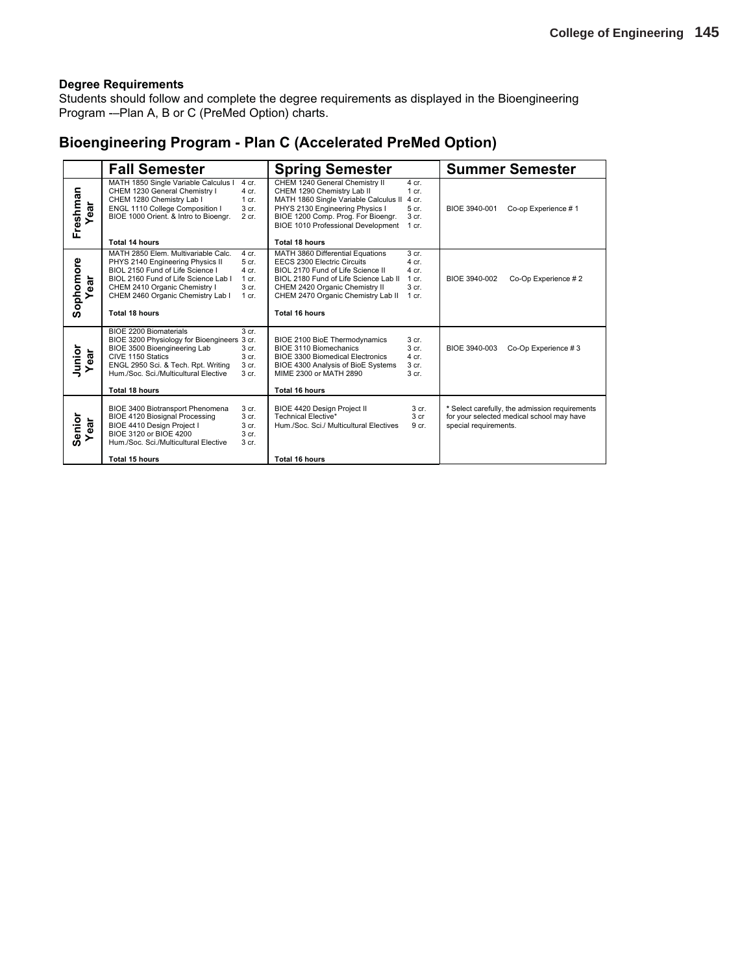Students should follow and complete the degree requirements as displayed in the Bioengineering Program -–Plan A, B or C (PreMed Option) charts.

### **Bioengineering Program - Plan C (Accelerated PreMed Option)**

|                  | <b>Fall Semester</b>                                                                                                                                                                                                                                                                                                                           | <b>Spring Semester</b>                                                                                                                                                                                                                                                                                                    | <b>Summer Semester</b>                                                                                               |
|------------------|------------------------------------------------------------------------------------------------------------------------------------------------------------------------------------------------------------------------------------------------------------------------------------------------------------------------------------------------|---------------------------------------------------------------------------------------------------------------------------------------------------------------------------------------------------------------------------------------------------------------------------------------------------------------------------|----------------------------------------------------------------------------------------------------------------------|
| Freshman<br>Yea  | MATH 1850 Single Variable Calculus I<br>$4$ cr.<br>CHEM 1230 General Chemistry I<br>$4$ cr.<br>CHEM 1280 Chemistry Lab I<br>$1$ cr.<br>ENGL 1110 College Composition I<br>3 <sub>cr.</sub><br>BIOE 1000 Orient. & Intro to Bioengr.<br>2 cr.<br>Total 14 hours                                                                                 | CHEM 1240 General Chemistry II<br>4 cr.<br>CHEM 1290 Chemistry Lab II<br>$1$ cr.<br>MATH 1860 Single Variable Calculus II<br>4 cr.<br>PHYS 2130 Engineering Physics I<br>5 cr.<br>BIOE 1200 Comp. Prog. For Bioengr.<br>3 <sub>cr.</sub><br><b>BIOE 1010 Professional Development</b><br>$1$ cr.<br><b>Total 18 hours</b> | BIOE 3940-001<br>Co-op Experience #1                                                                                 |
| Sophomore<br>ear | MATH 2850 Elem. Multivariable Calc.<br>4 cr.<br>PHYS 2140 Engineering Physics II<br>5 cr.<br>BIOL 2150 Fund of Life Science I<br>$4$ cr.<br>BIOL 2160 Fund of Life Science Lab I<br>1 cr.<br>3 <sub>cr.</sub><br>CHEM 2410 Organic Chemistry I<br>CHEM 2460 Organic Chemistry Lab I<br>$1$ cr.<br>Total 18 hours                               | 3 <sub>cr.</sub><br>MATH 3860 Differential Equations<br>EECS 2300 Electric Circuits<br>$4$ cr.<br>BIOL 2170 Fund of Life Science II<br>4 cr.<br>BIOL 2180 Fund of Life Science Lab II<br>$1$ cr.<br>CHEM 2420 Organic Chemistry II<br>3 <sub>cr.</sub><br>CHEM 2470 Organic Chemistry Lab II<br>1 cr.<br>Total 16 hours   | Co-Op Experience #2<br>BIOE 3940-002                                                                                 |
| Junior<br>Year   | <b>BIOE 2200 Biomaterials</b><br>3 <sub>cr.</sub><br>BIOE 3200 Physiology for Bioengineers 3 cr.<br>BIOE 3500 Bioengineering Lab<br>3 <sub>cr.</sub><br>CIVE 1150 Statics<br>3 <sub>cr.</sub><br>ENGL 2950 Sci. & Tech. Rpt. Writing<br>3 <sub>cr.</sub><br>Hum./Soc. Sci./Multicultural Elective<br>3 <sub>cr.</sub><br><b>Total 18 hours</b> | BIOE 2100 BioE Thermodynamics<br>3 cr.<br>BIOE 3110 Biomechanics<br>3 <sub>cr.</sub><br><b>BIOE 3300 Biomedical Electronics</b><br>4 cr.<br>BIOE 4300 Analysis of BioE Systems<br>3 <sub>cr.</sub><br>MIME 2300 or MATH 2890<br>3 <sub>cr.</sub><br><b>Total 16 hours</b>                                                 | BIOE 3940-003<br>Co-Op Experience #3                                                                                 |
| Senior<br>ear    | 3 cr.<br>BIOE 3400 Biotransport Phenomena<br><b>BIOE 4120 Biosignal Processing</b><br>3 <sub>cr.</sub><br>BIOE 4410 Design Project I<br>3 <sub>cr.</sub><br>BIOE 3120 or BIOE 4200<br>3 <sub>cr.</sub><br>Hum./Soc. Sci./Multicultural Elective<br>3 <sub>cr.</sub><br>Total 15 hours                                                          | BIOE 4420 Design Project II<br>3 <sub>cr.</sub><br>Technical Elective*<br>3 <sub>cr</sub><br>Hum./Soc. Sci./ Multicultural Electives<br>9 cr.<br>Total 16 hours                                                                                                                                                           | * Select carefully, the admission requirements<br>for your selected medical school may have<br>special requirements. |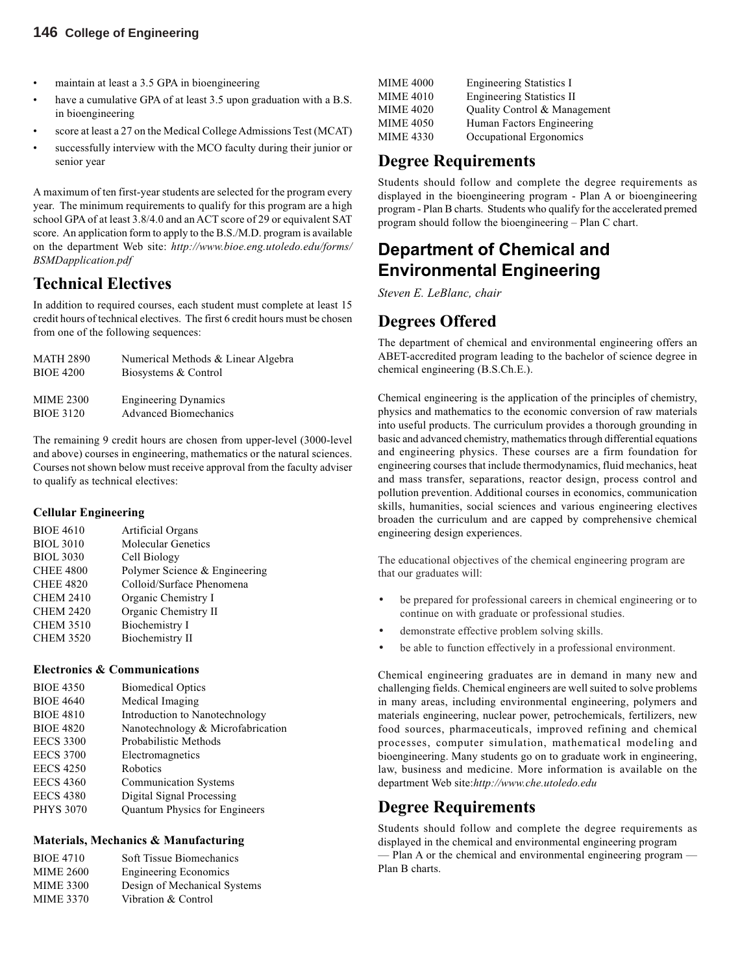#### **146 College of Engineering**

- maintain at least a 3.5 GPA in bioengineering
- have a cumulative GPA of at least 3.5 upon graduation with a B.S. in bioengineering
- score at least a 27 on the Medical College Admissions Test (MCAT)
- successfully interview with the MCO faculty during their junior or senior year

A maximum of ten first-year students are selected for the program every year. The minimum requirements to qualify for this program are a high school GPA of at least 3.8/4.0 and an ACT score of 29 or equivalent SAT score. An application form to apply to the B.S./M.D. program is available on the department Web site: *http://www.bioe.eng.utoledo.edu/forms/ BSMDapplication.pdf*

### **Technical Electives**

In addition to required courses, each student must complete at least 15 credit hours of technical electives. The first 6 credit hours must be chosen from one of the following sequences:

| <b>MATH 2890</b> | Numerical Methods & Linear Algebra |
|------------------|------------------------------------|
| <b>BIOE 4200</b> | Biosystems & Control               |
| <b>MIME 2300</b> | <b>Engineering Dynamics</b>        |
| <b>BIOE 3120</b> | <b>Advanced Biomechanics</b>       |

The remaining 9 credit hours are chosen from upper-level (3000-level and above) courses in engineering, mathematics or the natural sciences. Courses not shown below must receive approval from the faculty adviser to qualify as technical electives:

#### **Cellular Engineering**

| <b>BIOE 4610</b> | Artificial Organs             |
|------------------|-------------------------------|
| <b>BIOL 3010</b> | <b>Molecular Genetics</b>     |
| <b>BIOL 3030</b> | Cell Biology                  |
| <b>CHEE 4800</b> | Polymer Science & Engineering |
| <b>CHEE 4820</b> | Colloid/Surface Phenomena     |
| <b>CHEM 2410</b> | Organic Chemistry I           |
| <b>CHEM 2420</b> | Organic Chemistry II          |
| <b>CHEM 3510</b> | Biochemistry I                |
| <b>CHEM 3520</b> | <b>Biochemistry II</b>        |
|                  |                               |

#### **Electronics & Communications**

| <b>BIOE 4350</b> | <b>Biomedical Optics</b>          |
|------------------|-----------------------------------|
| <b>BIOE 4640</b> | Medical Imaging                   |
| <b>BIOE 4810</b> | Introduction to Nanotechnology    |
| <b>BIOE 4820</b> | Nanotechnology & Microfabrication |
| <b>EECS 3300</b> | Probabilistic Methods             |
| <b>EECS 3700</b> | Electromagnetics                  |
| <b>EECS 4250</b> | Robotics                          |
| <b>EECS 4360</b> | <b>Communication Systems</b>      |
| <b>EECS 4380</b> | Digital Signal Processing         |
| <b>PHYS 3070</b> | Quantum Physics for Engineers     |
|                  |                                   |

#### **Materials, Mechanics & Manufacturing**

| <b>BIOE 4710</b> | Soft Tissue Biomechanics     |
|------------------|------------------------------|
| <b>MIME 2600</b> | <b>Engineering Economics</b> |
| <b>MIME 3300</b> | Design of Mechanical Systems |
| <b>MIME 3370</b> | Vibration & Control          |

| <b>MIME 4000</b> | <b>Engineering Statistics I</b>  |
|------------------|----------------------------------|
| <b>MIME 4010</b> | <b>Engineering Statistics II</b> |
| <b>MIME 4020</b> | Quality Control & Management     |
| <b>MIME 4050</b> | Human Factors Engineering        |
| <b>MIME 4330</b> | Occupational Ergonomics          |

### **Degree Requirements**

Students should follow and complete the degree requirements as displayed in the bioengineering program - Plan A or bioengineering program - Plan B charts. Students who qualify for the accelerated premed program should follow the bioengineering – Plan C chart.

# **Department of Chemical and Environmental Engineering**

*Steven E. LeBlanc, chair*

### **Degrees Offered**

The department of chemical and environmental engineering offers an ABET-accredited program leading to the bachelor of science degree in chemical engineering (B.S.Ch.E.).

Chemical engineering is the application of the principles of chemistry, physics and mathematics to the economic conversion of raw materials into useful products. The curriculum provides a thorough grounding in basic and advanced chemistry, mathematics through differential equations and engineering physics. These courses are a firm foundation for engineering courses that include thermodynamics, fluid mechanics, heat and mass transfer, separations, reactor design, process control and pollution prevention. Additional courses in economics, communication skills, humanities, social sciences and various engineering electives broaden the curriculum and are capped by comprehensive chemical engineering design experiences.

The educational objectives of the chemical engineering program are that our graduates will:

- be prepared for professional careers in chemical engineering or to continue on with graduate or professional studies.
- demonstrate effective problem solving skills.
- be able to function effectively in a professional environment.

Chemical engineering graduates are in demand in many new and challenging fields. Chemical engineers are well suited to solve problems in many areas, including environmental engineering, polymers and materials engineering, nuclear power, petrochemicals, fertilizers, new food sources, pharmaceuticals, improved refining and chemical processes, computer simulation, mathematical modeling and bioengineering. Many students go on to graduate work in engineering, law, business and medicine. More information is available on the department Web site:*http://www.che.utoledo.edu*

### **Degree Requirements**

Students should follow and complete the degree requirements as displayed in the chemical and environmental engineering program — Plan A or the chemical and environmental engineering program — Plan B charts.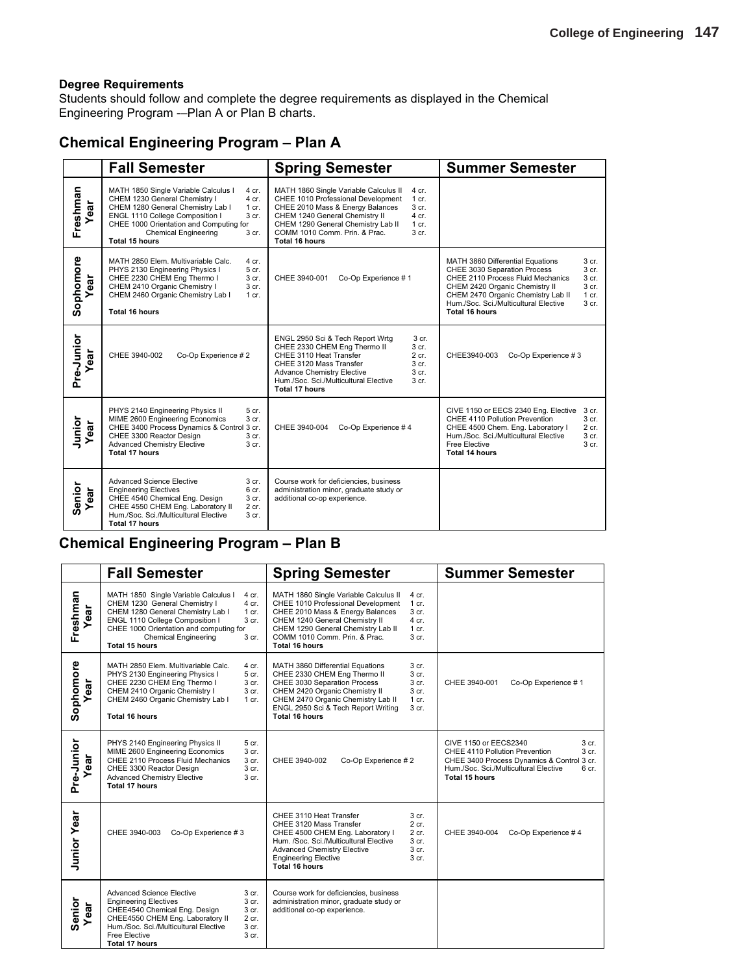Students should follow and complete the degree requirements as displayed in the Chemical Engineering Program -–Plan A or Plan B charts.

### **Chemical Engineering Program – Plan A**

|                   | <b>Fall Semester</b>                                                                                                                                                                                                                                                                                     | <b>Spring Semester</b>                                                                                                                                                                                                                                                                                                     | <b>Summer Semester</b>                                                                                                                                                                                                                                                                                                                                  |
|-------------------|----------------------------------------------------------------------------------------------------------------------------------------------------------------------------------------------------------------------------------------------------------------------------------------------------------|----------------------------------------------------------------------------------------------------------------------------------------------------------------------------------------------------------------------------------------------------------------------------------------------------------------------------|---------------------------------------------------------------------------------------------------------------------------------------------------------------------------------------------------------------------------------------------------------------------------------------------------------------------------------------------------------|
| Freshman<br>ear   | MATH 1850 Single Variable Calculus I<br>4 cr.<br>CHEM 1230 General Chemistry I<br>4 cr.<br>CHEM 1280 General Chemistry Lab I<br>1 cr.<br>ENGL 1110 College Composition I<br>3 cr.<br>CHEE 1000 Orientation and Computing for<br><b>Chemical Engineering</b><br>3 <sub>cr.</sub><br><b>Total 15 hours</b> | MATH 1860 Single Variable Calculus II<br>4 cr.<br>CHEE 1010 Professional Development<br>$1$ cr.<br>CHEE 2010 Mass & Energy Balances<br>3 cr.<br>CHEM 1240 General Chemistry II<br>$4$ cr.<br>CHEM 1290 General Chemistry Lab II<br>$1$ cr.<br>COMM 1010 Comm. Prin. & Prac.<br>3 <sub>cr.</sub><br>Total 16 hours          |                                                                                                                                                                                                                                                                                                                                                         |
| Sophomore<br>ar   | MATH 2850 Elem. Multivariable Calc.<br>4 cr.<br>PHYS 2130 Engineering Physics I<br>5 cr.<br>CHEE 2230 CHEM Eng Thermo I<br>3 cr.<br>CHEM 2410 Organic Chemistry I<br>3 cr.<br>CHEM 2460 Organic Chemistry Lab I<br>$1$ cr.<br><b>Total 16 hours</b>                                                      | CHEE 3940-001<br>Co-Op Experience #1                                                                                                                                                                                                                                                                                       | MATH 3860 Differential Equations<br>3 <sub>cr.</sub><br>CHEE 3030 Separation Process<br>3 <sub>cr.</sub><br>CHEE 2110 Process Fluid Mechanics<br>3 <sub>cr.</sub><br>CHEM 2420 Organic Chemistry II<br>3 <sub>cr.</sub><br>CHEM 2470 Organic Chemistry Lab II<br>$1$ cr.<br>Hum./Soc. Sci./Multicultural Elective<br>3 <sub>cr.</sub><br>Total 16 hours |
| Pre-Junior<br>ear | CHEE 3940-002<br>Co-Op Experience #2                                                                                                                                                                                                                                                                     | ENGL 2950 Sci & Tech Report Wrtg<br>3 <sub>cr.</sub><br>CHEE 2330 CHEM Eng Thermo II<br>3 <sub>cr.</sub><br>CHEE 3110 Heat Transfer<br>$2$ cr.<br>CHEE 3120 Mass Transfer<br>3 cr.<br>3 <sub>cr.</sub><br><b>Advance Chemistry Elective</b><br>Hum./Soc. Sci./Multicultural Elective<br>3 <sub>cr.</sub><br>Total 17 hours | CHEE3940-003<br>Co-Op Experience #3                                                                                                                                                                                                                                                                                                                     |
| Junior<br>ear     | PHYS 2140 Engineering Physics II<br>5 cr.<br>MIME 2600 Engineering Economics<br>3 cr.<br>CHEE 3400 Process Dynamics & Control 3 cr.<br>CHEE 3300 Reactor Design<br>3 cr.<br><b>Advanced Chemistry Elective</b><br>3 cr.<br><b>Total 17 hours</b>                                                         | CHEE 3940-004<br>Co-Op Experience #4                                                                                                                                                                                                                                                                                       | CIVE 1150 or EECS 2340 Eng. Elective<br>3 cr.<br>CHEE 4110 Pollution Prevention<br>3 <sub>cr.</sub><br>CHEE 4500 Chem. Eng. Laboratory I<br>$2$ cr.<br>Hum./Soc. Sci./Multicultural Elective<br>3 <sub>cr.</sub><br>3 cr.<br>Free Elective<br><b>Total 14 hours</b>                                                                                     |
| Senior<br>ear     | Advanced Science Elective<br>3 cr.<br><b>Engineering Electives</b><br>6 cr.<br>CHEE 4540 Chemical Eng. Design<br>3 cr.<br>CHEE 4550 CHEM Eng. Laboratory II<br>2 cr.<br>Hum./Soc. Sci./Multicultural Elective<br>3 cr.<br><b>Total 17 hours</b>                                                          | Course work for deficiencies, business<br>administration minor, graduate study or<br>additional co-op experience.                                                                                                                                                                                                          |                                                                                                                                                                                                                                                                                                                                                         |

### **Chemical Engineering Program – Plan B**

|                    | <b>Fall Semester</b>                                                                                                                                                                                                                                                                   | <b>Spring Semester</b>                                                                                                                                                                                                                                                                                        | <b>Summer Semester</b>                                                                                                                                                                                 |
|--------------------|----------------------------------------------------------------------------------------------------------------------------------------------------------------------------------------------------------------------------------------------------------------------------------------|---------------------------------------------------------------------------------------------------------------------------------------------------------------------------------------------------------------------------------------------------------------------------------------------------------------|--------------------------------------------------------------------------------------------------------------------------------------------------------------------------------------------------------|
| Freshman<br>ear    | MATH 1850 Single Variable Calculus I<br>4 cr.<br>CHEM 1230 General Chemistry I<br>4 cr.<br>CHEM 1280 General Chemistry Lab I<br>1 cr.<br>ENGL 1110 College Composition I<br>3 cr.<br>CHEE 1000 Orientation and computing for<br><b>Chemical Engineering</b><br>3 cr.<br>Total 15 hours | MATH 1860 Single Variable Calculus II<br>4 cr.<br>CHEE 1010 Professional Development<br>$1$ cr.<br>CHEE 2010 Mass & Energy Balances<br>3 cr.<br>CHEM 1240 General Chemistry II<br>4 cr.<br>CHEM 1290 General Chemistry Lab II<br>$1$ cr.<br>COMM 1010 Comm. Prin. & Prac.<br>3 cr.<br><b>Total 16 hours</b>   |                                                                                                                                                                                                        |
| Sophomore<br>ar    | MATH 2850 Elem. Multivariable Calc.<br>4 cr.<br>PHYS 2130 Engineering Physics I<br>5 cr.<br>CHEE 2230 CHEM Eng Thermo I<br>3 cr.<br>CHEM 2410 Organic Chemistry I<br>3 cr.<br>CHEM 2460 Organic Chemistry Lab I<br>1 cr.<br>Total 16 hours                                             | 3 <sub>cr.</sub><br>MATH 3860 Differential Equations<br>CHEE 2330 CHEM Eng Thermo II<br>3 cr.<br>CHEE 3030 Separation Process<br>3 cr.<br>CHEM 2420 Organic Chemistry II<br>3 cr.<br>CHEM 2470 Organic Chemistry Lab II<br>1 cr.<br>ENGL 2950 Sci & Tech Report Writing<br>3 <sub>cr.</sub><br>Total 16 hours | Co-Op Experience #1<br>CHEE 3940-001                                                                                                                                                                   |
| Pre-Junior<br>ear  | PHYS 2140 Engineering Physics II<br>5 cr.<br>MIME 2600 Engineering Economics<br>3 cr.<br>CHEE 2110 Process Fluid Mechanics<br>3 cr.<br>3 cr.<br>CHEE 3300 Reactor Design<br><b>Advanced Chemistry Elective</b><br>3 cr.<br>Total 17 hours                                              | CHEE 3940-002<br>Co-Op Experience #2                                                                                                                                                                                                                                                                          | CIVE 1150 or EECS2340<br>3 cr.<br>3 cr.<br>CHEE 4110 Pollution Prevention<br>CHEE 3400 Process Dynamics & Control 3 cr.<br>Hum./Soc. Sci./Multicultural Elective<br>6 <sub>cr.</sub><br>Total 15 hours |
| <b>Junior Year</b> | CHEE 3940-003<br>Co-Op Experience #3                                                                                                                                                                                                                                                   | CHEE 3110 Heat Transfer<br>3 cr.<br>2 cr.<br>CHEE 3120 Mass Transfer<br>CHEE 4500 CHEM Eng. Laboratory I<br>2 cr.<br>Hum. /Soc. Sci./Multicultural Elective<br>3 cr.<br><b>Advanced Chemistry Elective</b><br>3 cr.<br><b>Engineering Elective</b><br>3 <sub>cr.</sub><br>Total 16 hours                      | CHEE 3940-004<br>Co-Op Experience #4                                                                                                                                                                   |
| Senior<br>ear      | <b>Advanced Science Elective</b><br>3 cr.<br>3 cr.<br><b>Engineering Electives</b><br>CHEE4540 Chemical Eng. Design<br>3 cr.<br>CHEE4550 CHEM Eng. Laboratory II<br>2 cr.<br>Hum./Soc. Sci./Multicultural Elective<br>3 cr.<br>Free Elective<br>3 cr.<br><b>Total 17 hours</b>         | Course work for deficiencies, business<br>administration minor, graduate study or<br>additional co-op experience.                                                                                                                                                                                             |                                                                                                                                                                                                        |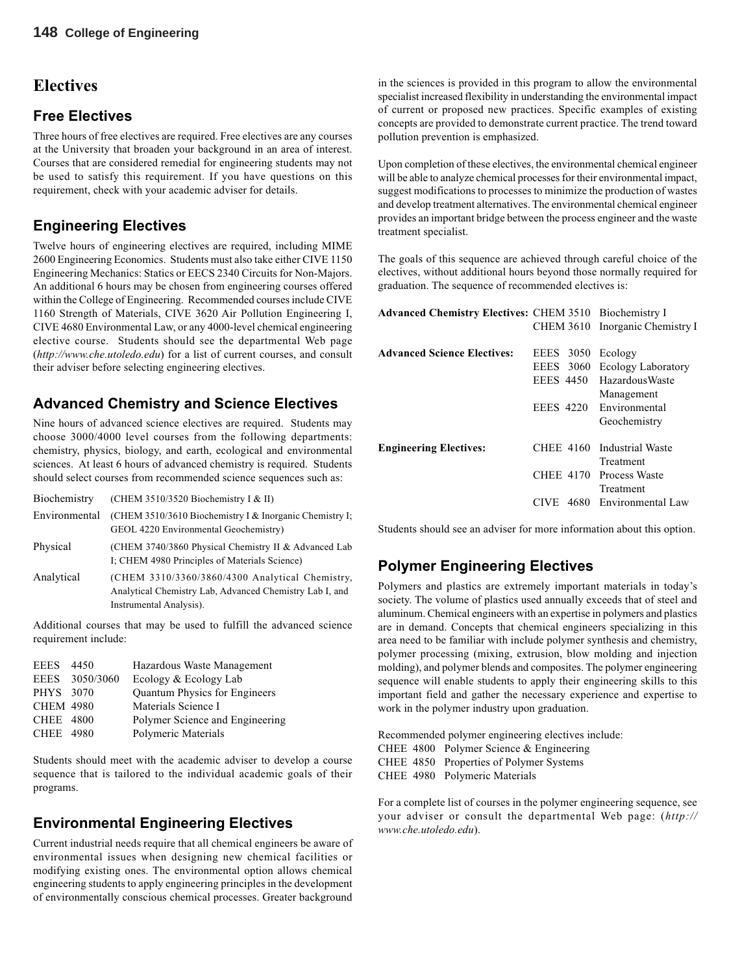### **Electives**

#### **Free Electives**

Three hours of free electives are required. Free electives are any courses at the University that broaden your background in an area of interest. Courses that are considered remedial for engineering students may not be used to satisfy this requirement. If you have questions on this requirement, check with your academic adviser for details.

### **Engineering Electives**

Twelve hours of engineering electives are required, including MIME 2600 Engineering Economics. Students must also take either CIVE 1150 Engineering Mechanics: Statics or EECS 2340 Circuits for Non-Majors. An additional 6 hours may be chosen from engineering courses offered within the College of Engineering. Recommended courses include CIVE 1160 Strength of Materials, CIVE 3620 Air Pollution Engineering I, CIVE 4680 Environmental Law, or any 4000-level chemical engineering elective course. Students should see the departmental Web page (*http://www.che.utoledo.edu*) for a list of current courses, and consult their adviser before selecting engineering electives.

### **Advanced Chemistry and Science Electives**

Nine hours of advanced science electives are required. Students may choose 3000/4000 level courses from the following departments: chemistry, physics, biology, and earth, ecological and environmental sciences. At least 6 hours of advanced chemistry is required. Students should select courses from recommended science sequences such as:

| Biochemistry  | (CHEM 3510/3520 Biochemistry I & II)                                                                                                  |
|---------------|---------------------------------------------------------------------------------------------------------------------------------------|
| Environmental | (CHEM 3510/3610 Biochemistry I & Inorganic Chemistry I;<br>GEOL 4220 Environmental Geochemistry)                                      |
| Physical      | (CHEM 3740/3860 Physical Chemistry II & Advanced Lab)<br>I: CHEM 4980 Principles of Materials Science)                                |
| Analytical    | (CHEM 3310/3360/3860/4300 Analytical Chemistry,<br>Analytical Chemistry Lab, Advanced Chemistry Lab I, and<br>Instrumental Analysis). |

Additional courses that may be used to fulfill the advanced science requirement include:

| <b>EEES</b>      | -4450          | Hazardous Waste Management           |
|------------------|----------------|--------------------------------------|
|                  | EEES 3050/3060 | Ecology & Ecology Lab                |
| PHYS 3070        |                | <b>Ouantum Physics for Engineers</b> |
| <b>CHEM 4980</b> |                | Materials Science I                  |
| CHEE 4800        |                | Polymer Science and Engineering      |
| CHEE 4980        |                | Polymeric Materials                  |
|                  |                |                                      |

Students should meet with the academic adviser to develop a course sequence that is tailored to the individual academic goals of their programs.

### **Environmental Engineering Electives**

Current industrial needs require that all chemical engineers be aware of environmental issues when designing new chemical facilities or modifying existing ones. The environmental option allows chemical engineering students to apply engineering principles in the development of environmentally conscious chemical processes. Greater background

in the sciences is provided in this program to allow the environmental specialist increased flexibility in understanding the environmental impact of current or proposed new practices. Specific examples of existing concepts are provided to demonstrate current practice. The trend toward pollution prevention is emphasized.

Upon completion of these electives, the environmental chemical engineer will be able to analyze chemical processes for their environmental impact, suggest modifications to processes to minimize the production of wastes and develop treatment alternatives. The environmental chemical engineer provides an important bridge between the process engineer and the waste treatment specialist.

The goals of this sequence are achieved through careful choice of the electives, without additional hours beyond those normally required for graduation. The sequence of recommended electives is:

| <b>Advanced Chemistry Electives: CHEM 3510 Biochemistry I</b> |                   |                                 |
|---------------------------------------------------------------|-------------------|---------------------------------|
|                                                               |                   | CHEM 3610 Inorganic Chemistry I |
| <b>Advanced Science Electives:</b>                            | EEES 3050 Ecology |                                 |
|                                                               | EEES 3060         | <b>Ecology Laboratory</b>       |
|                                                               | <b>EEES 4450</b>  | <b>HazardousWaste</b>           |
|                                                               |                   | Management                      |
|                                                               | <b>EEES 4220</b>  | Environmental                   |
|                                                               |                   | Geochemistry                    |
| <b>Engineering Electives:</b>                                 |                   | CHEE 4160 Industrial Waste      |
|                                                               |                   | Treatment                       |
|                                                               |                   | CHEE 4170 Process Waste         |
|                                                               |                   | Treatment                       |
|                                                               | 4680<br>CIVE      | Environmental Law               |
|                                                               |                   |                                 |

Students should see an adviser for more information about this option.

### **Polymer Engineering Electives**

Polymers and plastics are extremely important materials in today's society. The volume of plastics used annually exceeds that of steel and aluminum. Chemical engineers with an expertise in polymers and plastics are in demand. Concepts that chemical engineers specializing in this area need to be familiar with include polymer synthesis and chemistry, polymer processing (mixing, extrusion, blow molding and injection molding), and polymer blends and composites. The polymer engineering sequence will enable students to apply their engineering skills to this important field and gather the necessary experience and expertise to work in the polymer industry upon graduation.

Recommended polymer engineering electives include: CHEE 4800 Polymer Science & Engineering CHEE 4850 Properties of Polymer Systems CHEE 4980 Polymeric Materials

For a complete list of courses in the polymer engineering sequence, see your adviser or consult the departmental Web page: (*http:// www.che.utoledo.edu*).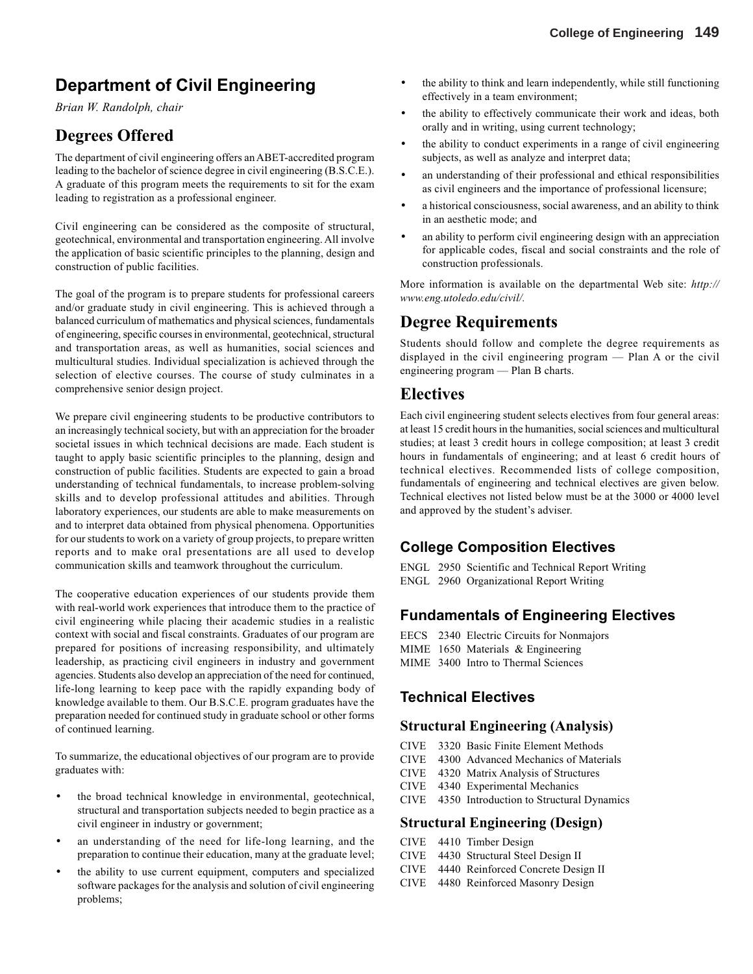# **Department of Civil Engineering**

*Brian W. Randolph, chair*

### **Degrees Offered**

The department of civil engineering offers an ABET-accredited program leading to the bachelor of science degree in civil engineering (B.S.C.E.). A graduate of this program meets the requirements to sit for the exam leading to registration as a professional engineer.

Civil engineering can be considered as the composite of structural, geotechnical, environmental and transportation engineering. All involve the application of basic scientific principles to the planning, design and construction of public facilities.

The goal of the program is to prepare students for professional careers and/or graduate study in civil engineering. This is achieved through a balanced curriculum of mathematics and physical sciences, fundamentals of engineering, specific courses in environmental, geotechnical, structural and transportation areas, as well as humanities, social sciences and multicultural studies. Individual specialization is achieved through the selection of elective courses. The course of study culminates in a comprehensive senior design project.

We prepare civil engineering students to be productive contributors to an increasingly technical society, but with an appreciation for the broader societal issues in which technical decisions are made. Each student is taught to apply basic scientific principles to the planning, design and construction of public facilities. Students are expected to gain a broad understanding of technical fundamentals, to increase problem-solving skills and to develop professional attitudes and abilities. Through laboratory experiences, our students are able to make measurements on and to interpret data obtained from physical phenomena. Opportunities for our students to work on a variety of group projects, to prepare written reports and to make oral presentations are all used to develop communication skills and teamwork throughout the curriculum.

The cooperative education experiences of our students provide them with real-world work experiences that introduce them to the practice of civil engineering while placing their academic studies in a realistic context with social and fiscal constraints. Graduates of our program are prepared for positions of increasing responsibility, and ultimately leadership, as practicing civil engineers in industry and government agencies. Students also develop an appreciation of the need for continued, life-long learning to keep pace with the rapidly expanding body of knowledge available to them. Our B.S.C.E. program graduates have the preparation needed for continued study in graduate school or other forms of continued learning.

To summarize, the educational objectives of our program are to provide graduates with:

- the broad technical knowledge in environmental, geotechnical, structural and transportation subjects needed to begin practice as a civil engineer in industry or government;
- an understanding of the need for life-long learning, and the preparation to continue their education, many at the graduate level;
- the ability to use current equipment, computers and specialized software packages for the analysis and solution of civil engineering problems;
- the ability to think and learn independently, while still functioning effectively in a team environment;
- the ability to effectively communicate their work and ideas, both orally and in writing, using current technology;
- the ability to conduct experiments in a range of civil engineering subjects, as well as analyze and interpret data;
- an understanding of their professional and ethical responsibilities as civil engineers and the importance of professional licensure;
- a historical consciousness, social awareness, and an ability to think in an aesthetic mode; and
- an ability to perform civil engineering design with an appreciation for applicable codes, fiscal and social constraints and the role of construction professionals.

More information is available on the departmental Web site: *http:// www.eng.utoledo.edu/civil/.*

### **Degree Requirements**

Students should follow and complete the degree requirements as displayed in the civil engineering program — Plan A or the civil engineering program — Plan B charts.

### **Electives**

Each civil engineering student selects electives from four general areas: at least 15 credit hours in the humanities, social sciences and multicultural studies; at least 3 credit hours in college composition; at least 3 credit hours in fundamentals of engineering; and at least 6 credit hours of technical electives. Recommended lists of college composition, fundamentals of engineering and technical electives are given below. Technical electives not listed below must be at the 3000 or 4000 level and approved by the student's adviser.

### **College Composition Electives**

ENGL 2950 Scientific and Technical Report Writing ENGL 2960 Organizational Report Writing

### **Fundamentals of Engineering Electives**

EECS 2340 Electric Circuits for Nonmajors MIME 1650 Materials & Engineering MIME 3400 Intro to Thermal Sciences

### **Technical Electives**

#### **Structural Engineering (Analysis)**

- CIVE 3320 Basic Finite Element Methods
- CIVE 4300 Advanced Mechanics of Materials
- CIVE 4320 Matrix Analysis of Structures
- CIVE 4340 Experimental Mechanics
- CIVE 4350 Introduction to Structural Dynamics

#### **Structural Engineering (Design)**

- CIVE 4410 Timber Design CIVE 4430 Structural Steel Design II CIVE 4440 Reinforced Concrete Design II
- CIVE 4480 Reinforced Masonry Design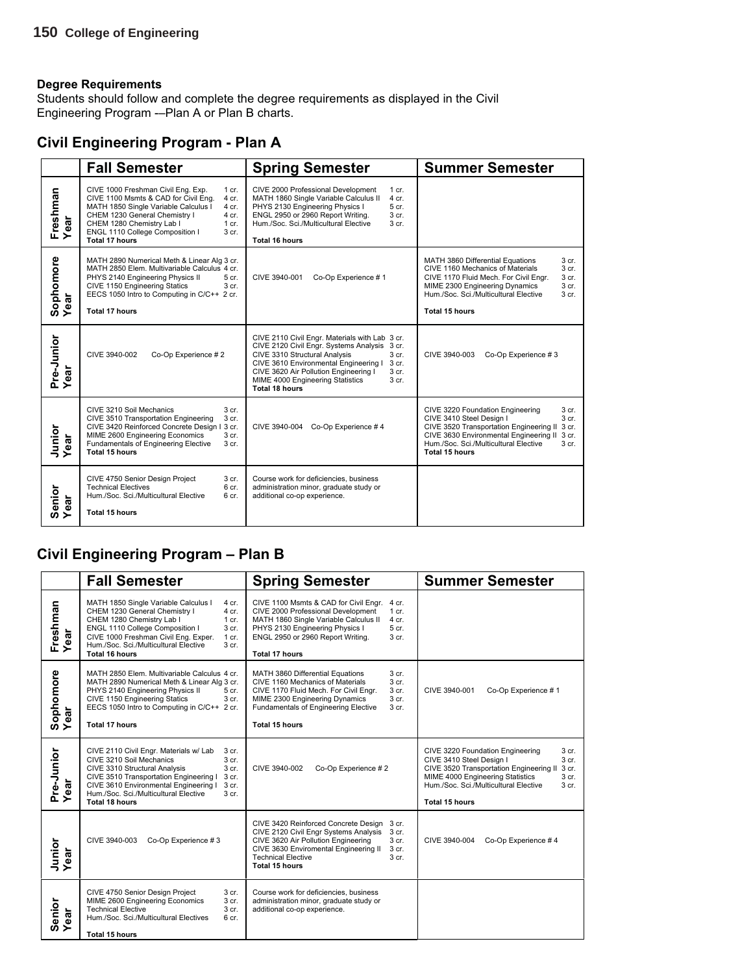Students should follow and complete the degree requirements as displayed in the Civil Engineering Program -–Plan A or Plan B charts.

### **Civil Engineering Program - Plan A**

|                          | <b>Fall Semester</b>                                                                                                                                                                                                                                                                          | <b>Spring Semester</b>                                                                                                                                                                                                                                                                                                            | <b>Summer Semester</b>                                                                                                                                                                                                                                                    |
|--------------------------|-----------------------------------------------------------------------------------------------------------------------------------------------------------------------------------------------------------------------------------------------------------------------------------------------|-----------------------------------------------------------------------------------------------------------------------------------------------------------------------------------------------------------------------------------------------------------------------------------------------------------------------------------|---------------------------------------------------------------------------------------------------------------------------------------------------------------------------------------------------------------------------------------------------------------------------|
| Freshman<br>Year<br>ar   | CIVE 1000 Freshman Civil Eng. Exp.<br>1 cr.<br>CIVE 1100 Msmts & CAD for Civil Eng.<br>4 cr.<br>MATH 1850 Single Variable Calculus I<br>4 cr.<br>CHEM 1230 General Chemistry I<br>4 cr.<br>CHEM 1280 Chemistry Lab I<br>$1$ cr.<br>ENGL 1110 College Composition I<br>3 cr.<br>Total 17 hours | CIVE 2000 Professional Development<br>$1$ cr.<br>4 cr.<br>MATH 1860 Single Variable Calculus II<br>PHYS 2130 Engineering Physics I<br>5 cr.<br>ENGL 2950 or 2960 Report Writing.<br>$3$ cr.<br>Hum./Soc. Sci./Multicultural Elective<br>3 cr.<br><b>Total 16 hours</b>                                                            |                                                                                                                                                                                                                                                                           |
| Sophomore<br>Year<br>ear | MATH 2890 Numerical Meth & Linear Alg 3 cr.<br>MATH 2850 Elem. Multivariable Calculus 4 cr.<br>PHYS 2140 Engineering Physics II<br>5 cr.<br>CIVE 1150 Engineering Statics<br>3 cr.<br>EECS 1050 Intro to Computing in C/C++ 2 cr.<br><b>Total 17 hours</b>                                    | Co-Op Experience #1<br>CIVE 3940-001                                                                                                                                                                                                                                                                                              | 3 cr.<br>MATH 3860 Differential Equations<br>CIVE 1160 Mechanics of Materials<br>3 cr.<br>CIVE 1170 Fluid Mech. For Civil Engr.<br>3 cr.<br>MIME 2300 Engineering Dynamics<br>3 cr.<br>Hum./Soc. Sci./Multicultural Elective<br>3 <sub>cr.</sub><br><b>Total 15 hours</b> |
| Pre-Junior<br>Year       | CIVE 3940-002<br>Co-Op Experience #2                                                                                                                                                                                                                                                          | CIVE 2110 Civil Engr. Materials with Lab 3 cr.<br>CIVE 2120 Civil Engr. Systems Analysis 3 cr.<br>CIVE 3310 Structural Analysis<br>3 <sub>cr.</sub><br>CIVE 3610 Environmental Engineering I<br>3 cr.<br>CIVE 3620 Air Pollution Engineering I<br>3 cr.<br>MIME 4000 Engineering Statistics<br>3 <sub>cr.</sub><br>Total 18 hours | CIVE 3940-003<br>Co-Op Experience #3                                                                                                                                                                                                                                      |
| Junior<br>Year           | CIVE 3210 Soil Mechanics<br>3 cr.<br>3 cr.<br>CIVE 3510 Transportation Engineering<br>CIVE 3420 Reinforced Concrete Design I 3 cr.<br>3 cr.<br>MIME 2600 Engineering Economics<br><b>Fundamentals of Engineering Elective</b><br>3 <sub>cr.</sub><br>Total 15 hours                           | CIVE 3940-004 Co-Op Experience #4                                                                                                                                                                                                                                                                                                 | CIVE 3220 Foundation Engineering<br>3 cr.<br>CIVE 3410 Steel Design I<br>3 cr.<br>CIVE 3520 Transportation Engineering II 3 cr.<br>CIVE 3630 Environmental Engineering II 3 cr.<br>Hum./Soc. Sci./Multicultural Elective<br>3 cr.<br>Total 15 hours                       |
| Senior<br>Year           | CIVE 4750 Senior Design Project<br>3 cr.<br><b>Technical Electives</b><br>6 cr.<br>Hum./Soc. Sci./Multicultural Elective<br>6 cr.<br><b>Total 15 hours</b>                                                                                                                                    | Course work for deficiencies, business<br>administration minor, graduate study or<br>additional co-op experience.                                                                                                                                                                                                                 |                                                                                                                                                                                                                                                                           |

### **Civil Engineering Program – Plan B**

|                               | <b>Fall Semester</b>                                                                                                                                                                                                                                                                                                          | <b>Spring Semester</b>                                                                                                                                                                                                                                                              | <b>Summer Semester</b>                                                                                                                                                                                                                                         |
|-------------------------------|-------------------------------------------------------------------------------------------------------------------------------------------------------------------------------------------------------------------------------------------------------------------------------------------------------------------------------|-------------------------------------------------------------------------------------------------------------------------------------------------------------------------------------------------------------------------------------------------------------------------------------|----------------------------------------------------------------------------------------------------------------------------------------------------------------------------------------------------------------------------------------------------------------|
| Freshman<br>ă<br>Φ<br>≻       | MATH 1850 Single Variable Calculus I<br>4 cr.<br>CHEM 1230 General Chemistry I<br>$4$ cr.<br>CHEM 1280 Chemistry Lab I<br>$1$ cr.<br>ENGL 1110 College Composition I<br>3 cr.<br>CIVE 1000 Freshman Civil Eng. Exper.<br>$1 \text{ cr}$ .<br>Hum./Soc. Sci./Multicultural Elective<br>3 cr.<br>Total 16 hours                 | CIVE 1100 Msmts & CAD for Civil Engr.<br>4 cr.<br>CIVE 2000 Professional Development<br>$1$ cr.<br>MATH 1860 Single Variable Calculus II<br>$4$ cr.<br>PHYS 2130 Engineering Physics I<br>5 cr.<br>ENGL 2950 or 2960 Report Writing.<br>3 <sub>cr.</sub><br><b>Total 17 hours</b>   |                                                                                                                                                                                                                                                                |
| Sophomore<br>Year<br>ear      | MATH 2850 Elem. Multivariable Calculus 4 cr.<br>MATH 2890 Numerical Meth & Linear Alg 3 cr.<br>PHYS 2140 Engineering Physics II<br>5 cr.<br>CIVE 1150 Engineering Statics<br>3 cr.<br>EECS 1050 Intro to Computing in C/C++ 2 cr.<br><b>Total 17 hours</b>                                                                    | MATH 3860 Differential Equations<br>3 cr.<br>CIVE 1160 Mechanics of Materials<br>3 <sub>cr.</sub><br>CIVE 1170 Fluid Mech. For Civil Engr.<br>3 <sub>cr.</sub><br>3 cr.<br>MIME 2300 Engineering Dynamics<br>Fundamentals of Engineering Elective<br>3 cr.<br><b>Total 15 hours</b> | Co-Op Experience #1<br>CIVE 3940-001                                                                                                                                                                                                                           |
| Pre-Junior<br>Year<br>ಕ<br>قة | CIVE 2110 Civil Engr. Materials w/ Lab<br>3 cr.<br>CIVE 3210 Soil Mechanics<br>3 <sub>cr.</sub><br>CIVE 3310 Structural Analysis<br>3 cr.<br>CIVE 3510 Transportation Engineering I<br>3 cr.<br>CIVE 3610 Environmental Engineering I<br>3 cr.<br>Hum./Soc. Sci./Multicultural Elective<br>3 <sub>cr.</sub><br>Total 18 hours | Co-Op Experience #2<br>CIVE 3940-002                                                                                                                                                                                                                                                | CIVE 3220 Foundation Engineering<br>3 cr.<br>CIVE 3410 Steel Design I<br>3 cr.<br>CIVE 3520 Transportation Engineering II<br>3 cr.<br>MIME 4000 Engineering Statistics<br>3 cr.<br>Hum./Soc. Sci./Multicultural Elective<br>3 <sub>cr.</sub><br>Total 15 hours |
| Junior<br>Year                | CIVE 3940-003<br>Co-Op Experience #3                                                                                                                                                                                                                                                                                          | CIVE 3420 Reinforced Concrete Design<br>3 cr.<br>CIVE 2120 Civil Engr Systems Analysis<br>3 cr.<br>CIVE 3620 Air Pollution Engineering<br>3 <sub>cr.</sub><br>CIVE 3630 Enviromental Engineering II<br>3 <sub>cr.</sub><br><b>Technical Elective</b><br>3 cr.<br>Total 15 hours     | CIVE 3940-004<br>Co-Op Experience #4                                                                                                                                                                                                                           |
| Senior<br>Year<br>ear         | CIVE 4750 Senior Design Project<br>3 cr.<br>MIME 2600 Engineering Economics<br>3 cr.<br><b>Technical Elective</b><br>3 cr.<br>Hum./Soc. Sci./Multicultural Electives<br>6 <sub>cr.</sub><br><b>Total 15 hours</b>                                                                                                             | Course work for deficiencies, business<br>administration minor, graduate study or<br>additional co-op experience.                                                                                                                                                                   |                                                                                                                                                                                                                                                                |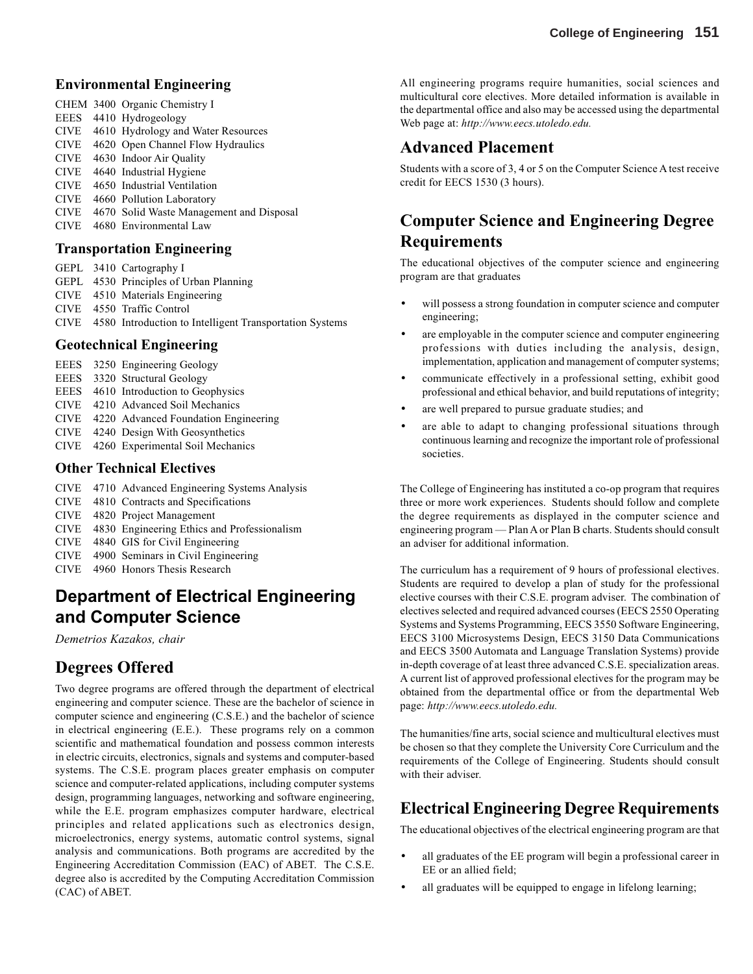#### **Environmental Engineering**

CHEM 3400 Organic Chemistry I EEES 4410 Hydrogeology CIVE 4610 Hydrology and Water Resources CIVE 4620 Open Channel Flow Hydraulics CIVE 4630 Indoor Air Quality CIVE 4640 Industrial Hygiene CIVE 4650 Industrial Ventilation CIVE 4660 Pollution Laboratory CIVE 4670 Solid Waste Management and Disposal CIVE 4680 Environmental Law

#### **Transportation Engineering**

- GEPL 3410 Cartography I
- GEPL 4530 Principles of Urban Planning
- CIVE 4510 Materials Engineering
- CIVE 4550 Traffic Control
- CIVE 4580 Introduction to Intelligent Transportation Systems

#### **Geotechnical Engineering**

- EEES 3250 Engineering Geology
- EEES 3320 Structural Geology
- EEES 4610 Introduction to Geophysics
- CIVE 4210 Advanced Soil Mechanics
- CIVE 4220 Advanced Foundation Engineering
- CIVE 4240 Design With Geosynthetics
- CIVE 4260 Experimental Soil Mechanics

#### **Other Technical Electives**

- CIVE 4710 Advanced Engineering Systems Analysis
- CIVE 4810 Contracts and Specifications
- CIVE 4820 Project Management
- CIVE 4830 Engineering Ethics and Professionalism
- CIVE 4840 GIS for Civil Engineering
- CIVE 4900 Seminars in Civil Engineering
- CIVE 4960 Honors Thesis Research

# **Department of Electrical Engineering and Computer Science**

*Demetrios Kazakos, chair*

### **Degrees Offered**

Two degree programs are offered through the department of electrical engineering and computer science. These are the bachelor of science in computer science and engineering (C.S.E.) and the bachelor of science in electrical engineering (E.E.). These programs rely on a common scientific and mathematical foundation and possess common interests in electric circuits, electronics, signals and systems and computer-based systems. The C.S.E. program places greater emphasis on computer science and computer-related applications, including computer systems design, programming languages, networking and software engineering, while the E.E. program emphasizes computer hardware, electrical principles and related applications such as electronics design, microelectronics, energy systems, automatic control systems, signal analysis and communications. Both programs are accredited by the Engineering Accreditation Commission (EAC) of ABET. The C.S.E. degree also is accredited by the Computing Accreditation Commission (CAC) of ABET.

All engineering programs require humanities, social sciences and multicultural core electives. More detailed information is available in the departmental office and also may be accessed using the departmental Web page at: *http://www.eecs.utoledo.edu.*

### **Advanced Placement**

Students with a score of 3, 4 or 5 on the Computer Science A test receive credit for EECS 1530 (3 hours).

# **Computer Science and Engineering Degree Requirements**

The educational objectives of the computer science and engineering program are that graduates

- will possess a strong foundation in computer science and computer engineering;
- are employable in the computer science and computer engineering professions with duties including the analysis, design, implementation, application and management of computer systems;
- communicate effectively in a professional setting, exhibit good professional and ethical behavior, and build reputations of integrity;
- are well prepared to pursue graduate studies; and
- are able to adapt to changing professional situations through continuous learning and recognize the important role of professional societies.

The College of Engineering has instituted a co-op program that requires three or more work experiences. Students should follow and complete the degree requirements as displayed in the computer science and engineering program — Plan A or Plan B charts. Students should consult an adviser for additional information.

The curriculum has a requirement of 9 hours of professional electives. Students are required to develop a plan of study for the professional elective courses with their C.S.E. program adviser. The combination of electives selected and required advanced courses (EECS 2550 Operating Systems and Systems Programming, EECS 3550 Software Engineering, EECS 3100 Microsystems Design, EECS 3150 Data Communications and EECS 3500 Automata and Language Translation Systems) provide in-depth coverage of at least three advanced C.S.E. specialization areas. A current list of approved professional electives for the program may be obtained from the departmental office or from the departmental Web page: *http://www.eecs.utoledo.edu.*

The humanities/fine arts, social science and multicultural electives must be chosen so that they complete the University Core Curriculum and the requirements of the College of Engineering. Students should consult with their adviser.

### **Electrical Engineering Degree Requirements**

The educational objectives of the electrical engineering program are that

- all graduates of the EE program will begin a professional career in EE or an allied field;
- all graduates will be equipped to engage in lifelong learning;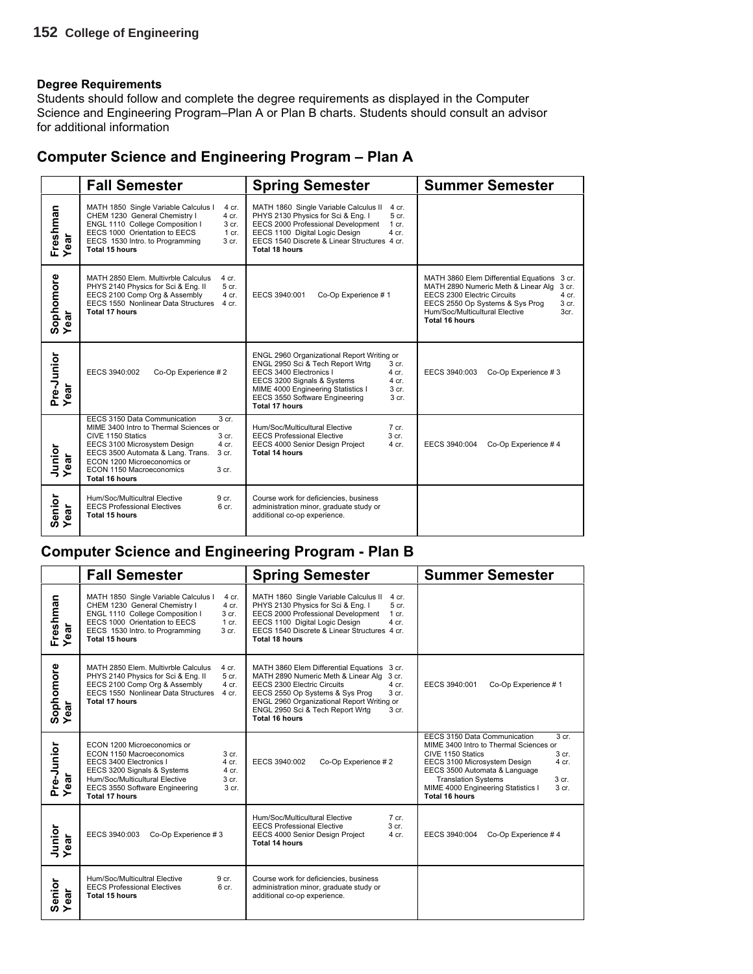Students should follow and complete the degree requirements as displayed in the Computer Science and Engineering Program–Plan A or Plan B charts. Students should consult an advisor for additional information

### **Computer Science and Engineering Program – Plan A**

|                      | <b>Fall Semester</b>                                                                                                                                                                                                                                                                                               | <b>Spring Semester</b>                                                                                                                                                                                                                                                                                             | <b>Summer Semester</b>                                                                                                                                                                                                                        |
|----------------------|--------------------------------------------------------------------------------------------------------------------------------------------------------------------------------------------------------------------------------------------------------------------------------------------------------------------|--------------------------------------------------------------------------------------------------------------------------------------------------------------------------------------------------------------------------------------------------------------------------------------------------------------------|-----------------------------------------------------------------------------------------------------------------------------------------------------------------------------------------------------------------------------------------------|
| Freshman<br>Year     | MATH 1850 Single Variable Calculus I<br>4 cr.<br>CHEM 1230 General Chemistry I<br>4 cr.<br>ENGL 1110 College Composition I<br>3 cr.<br>EECS 1000 Orientation to EECS<br>$1$ cr.<br>EECS 1530 Intro. to Programming<br>3 cr.<br>Total 15 hours                                                                      | MATH 1860 Single Variable Calculus II<br>4 cr.<br>PHYS 2130 Physics for Sci & Eng. I<br>5 cr.<br>EECS 2000 Professional Development<br>$1$ cr.<br>EECS 1100 Digital Logic Design<br>$4$ cr.<br>EECS 1540 Discrete & Linear Structures 4 cr.<br>Total 18 hours                                                      |                                                                                                                                                                                                                                               |
| Sophomore<br>Year    | MATH 2850 Elem. Multivrble Calculus<br>4 cr.<br>PHYS 2140 Physics for Sci & Eng. II<br>5 cr.<br>EECS 2100 Comp Org & Assembly<br>4 cr.<br>EECS 1550 Nonlinear Data Structures<br>4 cr.<br>Total 17 hours                                                                                                           | Co-Op Experience #1<br>EECS 3940:001                                                                                                                                                                                                                                                                               | MATH 3860 Elem Differential Equations 3 cr.<br>MATH 2890 Numeric Meth & Linear Alg<br>3 cr.<br>EECS 2300 Electric Circuits<br>$4$ cr.<br>3 cr.<br>EECS 2550 Op Systems & Sys Prog<br>Hum/Soc/Multicultural Elective<br>3cr.<br>Total 16 hours |
| Pre-Junior<br>Year   | EECS 3940:002<br>Co-Op Experience #2                                                                                                                                                                                                                                                                               | ENGL 2960 Organizational Report Writing or<br>ENGL 2950 Sci & Tech Report Wrtg<br>3 <sub>cr.</sub><br>EECS 3400 Electronics I<br>$4$ cr.<br>EECS 3200 Signals & Systems<br>4 cr.<br>MIME 4000 Engineering Statistics I<br>3 <sub>cr.</sub><br>EECS 3550 Software Engineering<br>3 <sub>cr.</sub><br>Total 17 hours | EECS 3940:003<br>Co-Op Experience #3                                                                                                                                                                                                          |
| Junior<br>Year<br>ar | EECS 3150 Data Communication<br>3 <sub>cr.</sub><br>MIME 3400 Intro to Thermal Sciences or<br>CIVE 1150 Statics<br>3 <sub>cr.</sub><br>EECS 3100 Microsystem Design<br>$4$ cr.<br>EECS 3500 Automata & Lang. Trans.<br>3 cr.<br>ECON 1200 Microeconomics or<br>ECON 1150 Macroeconomics<br>3 cr.<br>Total 16 hours | Hum/Soc/Multicultural Elective<br>$7$ cr.<br>3 <sub>cr.</sub><br><b>EECS Professional Elective</b><br>EECS 4000 Senior Design Project<br>$4$ cr.<br>Total 14 hours                                                                                                                                                 | Co-Op Experience #4<br>EECS 3940:004                                                                                                                                                                                                          |
| Senior<br>Year       | Hum/Soc/Multicultral Elective<br>9 cr.<br><b>EECS Professional Electives</b><br>6 <sub>cr.</sub><br>Total 15 hours                                                                                                                                                                                                 | Course work for deficiencies, business<br>administration minor, graduate study or<br>additional co-op experience.                                                                                                                                                                                                  |                                                                                                                                                                                                                                               |

### **Computer Science and Engineering Program - Plan B**

|                           | <b>Fall Semester</b>                                                                                                                                                                                                                                   | <b>Spring Semester</b>                                                                                                                                                                                                                                                                                    | <b>Summer Semester</b>                                                                                                                                                                                                                                                                                     |
|---------------------------|--------------------------------------------------------------------------------------------------------------------------------------------------------------------------------------------------------------------------------------------------------|-----------------------------------------------------------------------------------------------------------------------------------------------------------------------------------------------------------------------------------------------------------------------------------------------------------|------------------------------------------------------------------------------------------------------------------------------------------------------------------------------------------------------------------------------------------------------------------------------------------------------------|
| Freshman<br>Year<br>ලි    | MATH 1850 Single Variable Calculus I<br>4 cr.<br>CHEM 1230 General Chemistry I<br>4 cr.<br>ENGL 1110 College Composition I<br>3 cr.<br>EECS 1000 Orientation to EECS<br>$1$ cr.<br>EECS 1530 Intro. to Programming<br>3 cr.<br>Total 15 hours          | MATH 1860 Single Variable Calculus II<br>$4$ cr.<br>PHYS 2130 Physics for Sci & Eng. I<br>5 cr.<br>EECS 2000 Professional Development<br>$1$ cr.<br>EECS 1100 Digital Logic Design<br>$4$ cr.<br>EECS 1540 Discrete & Linear Structures 4 cr.<br>Total 18 hours                                           |                                                                                                                                                                                                                                                                                                            |
| Sophomore<br>Year         | MATH 2850 Elem. Multivrble Calculus<br>4 cr.<br>PHYS 2140 Physics for Sci & Eng. II<br>5 cr.<br>EECS 2100 Comp Org & Assembly<br>4 cr.<br>EECS 1550 Nonlinear Data Structures<br>4 cr.<br>Total 17 hours                                               | MATH 3860 Elem Differential Equations 3 cr.<br>MATH 2890 Numeric Meth & Linear Alg<br>3 cr.<br>EECS 2300 Electric Circuits<br>$4$ cr.<br>EECS 2550 Op Systems & Sys Prog<br>3 <sub>cr.</sub><br>ENGL 2960 Organizational Report Writing or<br>ENGL 2950 Sci & Tech Report Wrtg<br>3 cr.<br>Total 16 hours | EECS 3940:001<br>Co-Op Experience #1                                                                                                                                                                                                                                                                       |
| Pre-Junior<br>Year<br>ear | ECON 1200 Microeconomics or<br>ECON 1150 Macroeconomics<br>3 cr.<br>EECS 3400 Electronics I<br>$4$ cr.<br>EECS 3200 Signals & Systems<br>4 cr.<br>Hum/Soc/Multicultural Elective<br>3 cr.<br>EECS 3550 Software Engineering<br>3 cr.<br>Total 17 hours | Co-Op Experience #2<br>EECS 3940:002                                                                                                                                                                                                                                                                      | EECS 3150 Data Communication<br>3 <sub>cr.</sub><br>MIME 3400 Intro to Thermal Sciences or<br>3 cr.<br>CIVE 1150 Statics<br>4 cr.<br>EECS 3100 Microsystem Design<br>EECS 3500 Automata & Language<br><b>Translation Systems</b><br>3 cr.<br>MIME 4000 Engineering Statistics I<br>3 cr.<br>Total 16 hours |
| Junior<br>Year            | EECS 3940:003<br>Co-Op Experience #3                                                                                                                                                                                                                   | Hum/Soc/Multicultural Elective<br>$7$ cr.<br>3 cr.<br><b>EECS Professional Elective</b><br>EECS 4000 Senior Design Project<br>4 cr.<br><b>Total 14 hours</b>                                                                                                                                              | EECS 3940:004<br>Co-Op Experience #4                                                                                                                                                                                                                                                                       |
| Senior<br>Year<br>ă<br>ق  | Hum/Soc/Multicultral Elective<br>9 cr.<br><b>EECS Professional Electives</b><br>6 <sub>cr.</sub><br>Total 15 hours                                                                                                                                     | Course work for deficiencies, business<br>administration minor, graduate study or<br>additional co-op experience.                                                                                                                                                                                         |                                                                                                                                                                                                                                                                                                            |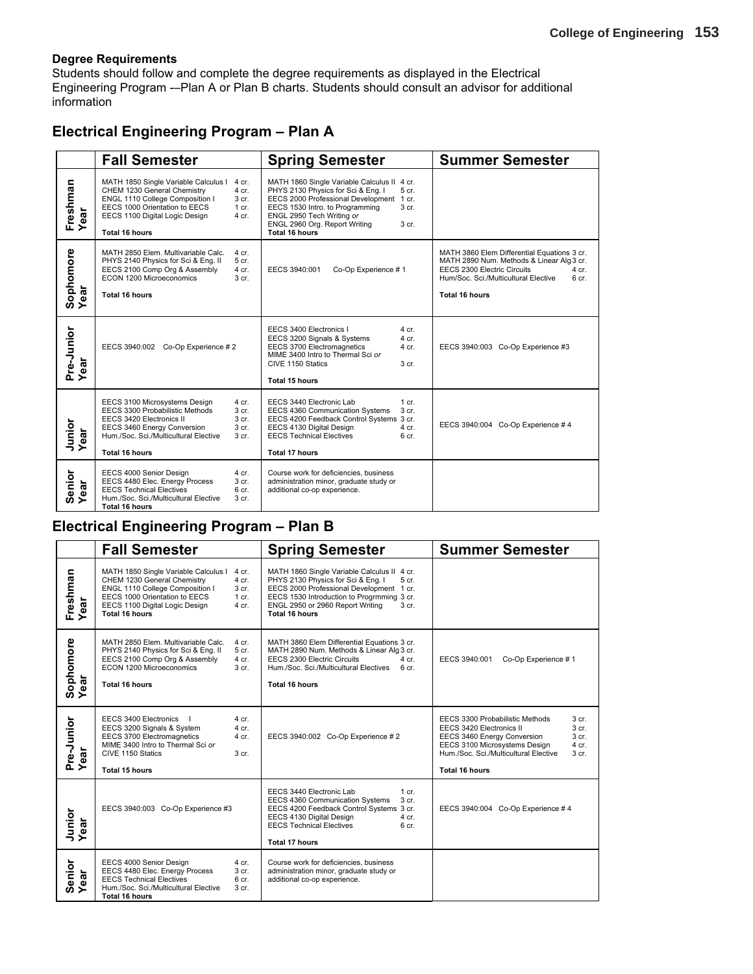Students should follow and complete the degree requirements as displayed in the Electrical Engineering Program -–Plan A or Plan B charts. Students should consult an advisor for additional information

### **Electrical Engineering Program – Plan A**

|                           | <b>Fall Semester</b>                                                                                                                                                                                                                                  | <b>Spring Semester</b>                                                                                                                                                                                                                                                      | <b>Summer Semester</b>                                                                                                                                                                                                  |
|---------------------------|-------------------------------------------------------------------------------------------------------------------------------------------------------------------------------------------------------------------------------------------------------|-----------------------------------------------------------------------------------------------------------------------------------------------------------------------------------------------------------------------------------------------------------------------------|-------------------------------------------------------------------------------------------------------------------------------------------------------------------------------------------------------------------------|
| Freshman<br>Year          | MATH 1850 Single Variable Calculus I<br>4 cr.<br>CHEM 1230 General Chemistry<br>4 cr.<br>ENGL 1110 College Composition I<br>3 cr.<br>EECS 1000 Orientation to EECS<br>$1$ cr.<br>EECS 1100 Digital Logic Design<br>$4$ cr.<br>Total 16 hours          | MATH 1860 Single Variable Calculus II 4 cr.<br>PHYS 2130 Physics for Sci & Eng. I<br>5 cr.<br>EECS 2000 Professional Development 1 cr.<br>3 cr.<br>EECS 1530 Intro. to Programming<br>ENGL 2950 Tech Writing or<br>ENGL 2960 Org. Report Writing<br>3 cr.<br>Total 16 hours |                                                                                                                                                                                                                         |
| Sophomore<br>Year<br>ear  | MATH 2850 Elem. Multivariable Calc.<br>4 cr.<br>PHYS 2140 Physics for Sci & Eng. II<br>5 cr.<br>EECS 2100 Comp Org & Assembly<br>4 cr.<br>ECON 1200 Microeconomics<br>3 <sub>cr.</sub><br>Total 16 hours                                              | Co-Op Experience #1<br>EECS 3940:001                                                                                                                                                                                                                                        | MATH 3860 Elem Differential Equations 3 cr.<br>MATH 2890 Num. Methods & Linear Alg 3 cr.<br>EECS 2300 Electric Circuits<br>$4$ cr.<br>Hum/Soc. Sci./Multicultural Elective<br>6 <sub>cr.</sub><br><b>Total 16 hours</b> |
| Pre-Junior<br>Year<br>ear | EECS 3940:002 Co-Op Experience # 2                                                                                                                                                                                                                    | EECS 3400 Electronics I<br>$4$ cr.<br>4 cr.<br>EECS 3200 Signals & Systems<br>EECS 3700 Electromagnetics<br>4 cr.<br>MIME 3400 Intro to Thermal Sci or<br>CIVE 1150 Statics<br>3 <sub>cr.</sub><br><b>Total 15 hours</b>                                                    | EECS 3940:003 Co-Op Experience #3                                                                                                                                                                                       |
| Junior<br>Year            | EECS 3100 Microsystems Design<br>4 cr.<br>EECS 3300 Probabilistic Methods<br>3 cr.<br>3 cr.<br>EECS 3420 Electronics II<br>EECS 3460 Energy Conversion<br>3 cr.<br>Hum./Soc. Sci./Multicultural Elective<br>3 <sub>cr.</sub><br><b>Total 16 hours</b> | EECS 3440 Electronic Lab<br>1 cr.<br>3 cr.<br>EECS 4360 Communication Systems<br>EECS 4200 Feedback Control Systems 3 cr.<br>EECS 4130 Digital Design<br>$4$ cr.<br><b>EECS Technical Electives</b><br>6 cr.<br><b>Total 17 hours</b>                                       | EECS 3940:004 Co-Op Experience #4                                                                                                                                                                                       |
| Senior<br>Year<br>ear     | EECS 4000 Senior Design<br>4 cr.<br>EECS 4480 Elec. Energy Process<br>3 cr.<br><b>EECS Technical Electives</b><br>6 cr.<br>Hum./Soc. Sci./Multicultural Elective<br>3 <sub>cr.</sub><br>Total 16 hours                                                | Course work for deficiencies, business<br>administration minor, graduate study or<br>additional co-op experience.                                                                                                                                                           |                                                                                                                                                                                                                         |

### **Electrical Engineering Program – Plan B**

|                       | <b>Fall Semester</b>                                                                                                                                                                                                                         | <b>Spring Semester</b>                                                                                                                                                                                                                                         | <b>Summer Semester</b>                                                                                                                                                                                                                                      |
|-----------------------|----------------------------------------------------------------------------------------------------------------------------------------------------------------------------------------------------------------------------------------------|----------------------------------------------------------------------------------------------------------------------------------------------------------------------------------------------------------------------------------------------------------------|-------------------------------------------------------------------------------------------------------------------------------------------------------------------------------------------------------------------------------------------------------------|
| Freshman<br>Year      | MATH 1850 Single Variable Calculus I<br>4 cr.<br>CHEM 1230 General Chemistry<br>$4$ cr.<br>ENGL 1110 College Composition I<br>3 cr.<br>EECS 1000 Orientation to EECS<br>1 cr.<br>EECS 1100 Digital Logic Design<br>$4$ cr.<br>Total 16 hours | MATH 1860 Single Variable Calculus II 4 cr.<br>PHYS 2130 Physics for Sci & Eng. I<br>5 cr.<br>EECS 2000 Professional Development 1 cr.<br>EECS 1530 Introduction to Progrmming 3 cr.<br>3 <sub>cr.</sub><br>ENGL 2950 or 2960 Report Writing<br>Total 16 hours |                                                                                                                                                                                                                                                             |
| Sophomore<br>Year     | MATH 2850 Elem. Multivariable Calc.<br>4 cr.<br>PHYS 2140 Physics for Sci & Eng. II<br>5 cr.<br>EECS 2100 Comp Org & Assembly<br>$4$ cr.<br>ECON 1200 Microeconomics<br>3 cr.<br>Total 16 hours                                              | MATH 3860 Elem Differential Equations 3 cr.<br>MATH 2890 Num. Methods & Linear Alg 3 cr.<br>EECS 2300 Electric Circuits<br>4 cr.<br>Hum./Soc. Sci./Multicultural Electives<br>6 <sub>cr.</sub><br>Total 16 hours                                               | EECS 3940:001<br>Co-Op Experience #1                                                                                                                                                                                                                        |
| Pre-Junior<br>Year    | EECS 3400 Electronics<br>4 cr.<br>EECS 3200 Signals & System<br>$4$ cr.<br>EECS 3700 Electromagnetics<br>4 cr.<br>MIME 3400 Intro to Thermal Sci or<br>CIVE 1150 Statics<br>3 <sub>cr.</sub><br><b>Total 15 hours</b>                        | EECS 3940:002 Co-Op Experience # 2                                                                                                                                                                                                                             | EECS 3300 Probabilistic Methods<br>3 <sub>cr.</sub><br>EECS 3420 Electronics II<br>3 <sub>cr.</sub><br>EECS 3460 Energy Conversion<br>3 cr.<br>EECS 3100 Microsystems Design<br>$4$ cr.<br>Hum./Soc. Sci./Multicultural Elective<br>3 cr.<br>Total 16 hours |
| Junior<br>Year        | EECS 3940:003 Co-Op Experience #3                                                                                                                                                                                                            | EECS 3440 Electronic Lab<br>$1$ cr.<br>3 <sub>cr.</sub><br>EECS 4360 Communication Systems<br>EECS 4200 Feedback Control Systems 3 cr.<br>EECS 4130 Digital Design<br>$4$ cr.<br><b>EECS Technical Electives</b><br>6 cr.<br><b>Total 17 hours</b>             | EECS 3940:004 Co-Op Experience #4                                                                                                                                                                                                                           |
| Senior<br>Year<br>ear | EECS 4000 Senior Design<br>4 cr.<br>EECS 4480 Elec. Energy Process<br>3 cr.<br><b>EECS Technical Electives</b><br>6 cr.<br>Hum./Soc. Sci./Multicultural Elective<br>3 <sub>cr.</sub><br>Total 16 hours                                       | Course work for deficiencies, business<br>administration minor, graduate study or<br>additional co-op experience.                                                                                                                                              |                                                                                                                                                                                                                                                             |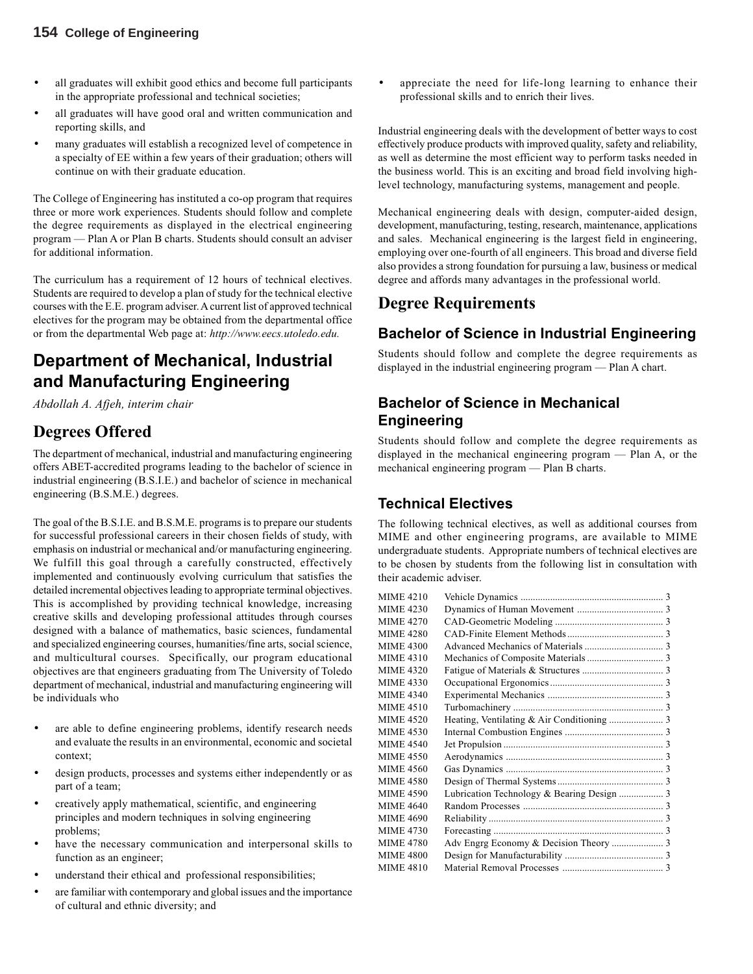- all graduates will exhibit good ethics and become full participants in the appropriate professional and technical societies;
- all graduates will have good oral and written communication and reporting skills, and
- many graduates will establish a recognized level of competence in a specialty of EE within a few years of their graduation; others will continue on with their graduate education.

The College of Engineering has instituted a co-op program that requires three or more work experiences. Students should follow and complete the degree requirements as displayed in the electrical engineering program — Plan A or Plan B charts. Students should consult an adviser for additional information.

The curriculum has a requirement of 12 hours of technical electives. Students are required to develop a plan of study for the technical elective courses with the E.E. program adviser. A current list of approved technical electives for the program may be obtained from the departmental office or from the departmental Web page at: *http://www.eecs.utoledo.edu.*

# **Department of Mechanical, Industrial and Manufacturing Engineering**

*Abdollah A. Afjeh, interim chair*

# **Degrees Offered**

The department of mechanical, industrial and manufacturing engineering offers ABET-accredited programs leading to the bachelor of science in industrial engineering (B.S.I.E.) and bachelor of science in mechanical engineering (B.S.M.E.) degrees.

The goal of the B.S.I.E. and B.S.M.E. programs is to prepare our students for successful professional careers in their chosen fields of study, with emphasis on industrial or mechanical and/or manufacturing engineering. We fulfill this goal through a carefully constructed, effectively implemented and continuously evolving curriculum that satisfies the detailed incremental objectives leading to appropriate terminal objectives. This is accomplished by providing technical knowledge, increasing creative skills and developing professional attitudes through courses designed with a balance of mathematics, basic sciences, fundamental and specialized engineering courses, humanities/fine arts, social science, and multicultural courses. Specifically, our program educational objectives are that engineers graduating from The University of Toledo department of mechanical, industrial and manufacturing engineering will be individuals who

- are able to define engineering problems, identify research needs and evaluate the results in an environmental, economic and societal context;
- design products, processes and systems either independently or as part of a team;
- creatively apply mathematical, scientific, and engineering principles and modern techniques in solving engineering problems;
- have the necessary communication and interpersonal skills to function as an engineer;
- understand their ethical and professional responsibilities;
- are familiar with contemporary and global issues and the importance of cultural and ethnic diversity; and

appreciate the need for life-long learning to enhance their professional skills and to enrich their lives.

Industrial engineering deals with the development of better ways to cost effectively produce products with improved quality, safety and reliability, as well as determine the most efficient way to perform tasks needed in the business world. This is an exciting and broad field involving highlevel technology, manufacturing systems, management and people.

Mechanical engineering deals with design, computer-aided design, development, manufacturing, testing, research, maintenance, applications and sales. Mechanical engineering is the largest field in engineering, employing over one-fourth of all engineers. This broad and diverse field also provides a strong foundation for pursuing a law, business or medical degree and affords many advantages in the professional world.

### **Degree Requirements**

### **Bachelor of Science in Industrial Engineering**

Students should follow and complete the degree requirements as displayed in the industrial engineering program — Plan A chart.

### **Bachelor of Science in Mechanical Engineering**

Students should follow and complete the degree requirements as displayed in the mechanical engineering program — Plan A, or the mechanical engineering program — Plan B charts.

### **Technical Electives**

The following technical electives, as well as additional courses from MIME and other engineering programs, are available to MIME undergraduate students. Appropriate numbers of technical electives are to be chosen by students from the following list in consultation with their academic adviser.

| MIME 4210        |  |
|------------------|--|
| MIME 4230        |  |
| MIME 4270        |  |
| MIME 4280        |  |
| MIME 4300        |  |
| MIME 4310        |  |
| MIME 4320        |  |
| MIME 4330        |  |
| MIME 4340        |  |
| MIME 4510        |  |
| MIME 4520        |  |
| MIME 4530        |  |
| MIME 4540        |  |
| MIME 4550        |  |
| MIME 4560        |  |
| MIME 4580        |  |
| MIME 4590        |  |
| MIME 4640        |  |
| <b>MIME 4690</b> |  |
| MIME 4730        |  |
| MIME 4780        |  |
| MIME 4800        |  |
| MIME 4810        |  |
|                  |  |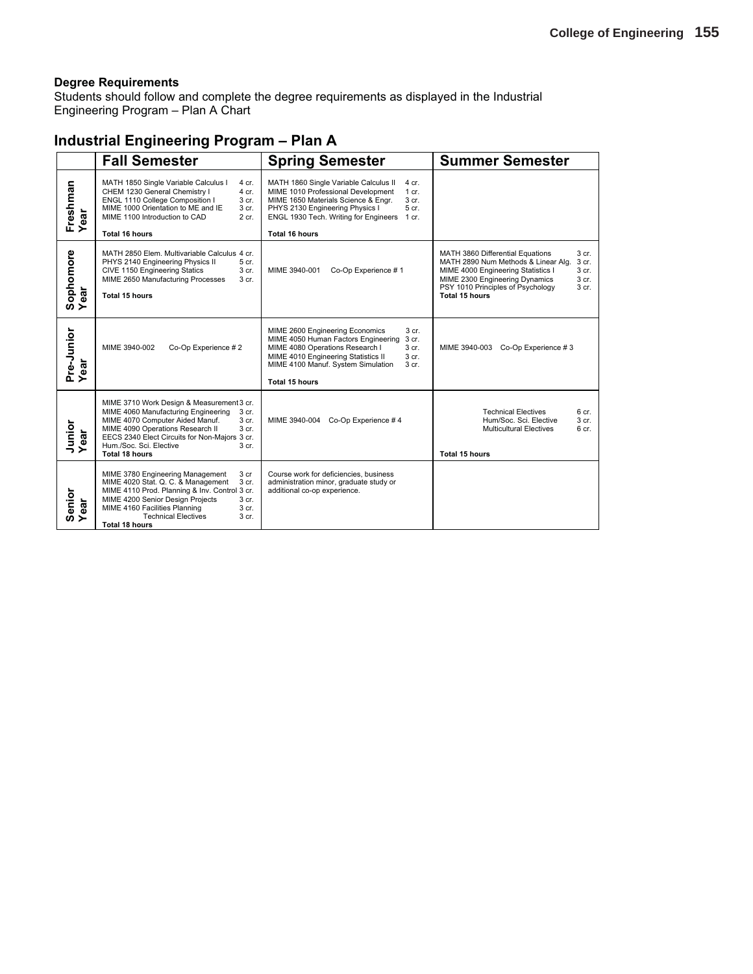Students should follow and complete the degree requirements as displayed in the Industrial Engineering Program – Plan A Chart

### **Industrial Engineering Program – Plan A**

|                         | <b>Fall Semester</b>                                                                                                                                                                                                                                                                                        | <b>Spring Semester</b>                                                                                                                                                                                                                                                         | <b>Summer Semester</b>                                                                                                                                                                                                                                     |
|-------------------------|-------------------------------------------------------------------------------------------------------------------------------------------------------------------------------------------------------------------------------------------------------------------------------------------------------------|--------------------------------------------------------------------------------------------------------------------------------------------------------------------------------------------------------------------------------------------------------------------------------|------------------------------------------------------------------------------------------------------------------------------------------------------------------------------------------------------------------------------------------------------------|
| Freshman<br>Year<br>ear | MATH 1850 Single Variable Calculus I<br>4 cr.<br>CHEM 1230 General Chemistry I<br>4 cr.<br>ENGL 1110 College Composition I<br>3 cr.<br>MIME 1000 Orientation to ME and IE<br>3 cr.<br>MIME 1100 Introduction to CAD<br>2 cr.<br><b>Total 16 hours</b>                                                       | MATH 1860 Single Variable Calculus II<br>4 cr.<br>MIME 1010 Professional Development<br>$1$ cr.<br>MIME 1650 Materials Science & Engr.<br>3 <sub>cr.</sub><br>PHYS 2130 Engineering Physics I<br>5 cr.<br>ENGL 1930 Tech. Writing for Engineers 1 cr.<br><b>Total 16 hours</b> |                                                                                                                                                                                                                                                            |
| Sophomore<br>Year       | MATH 2850 Elem. Multivariable Calculus 4 cr.<br>PHYS 2140 Engineering Physics II<br>5 cr.<br>CIVE 1150 Engineering Statics<br>3 cr.<br>MIME 2650 Manufacturing Processes<br>3 cr.<br><b>Total 15 hours</b>                                                                                                  | MIME 3940-001<br>Co-Op Experience #1                                                                                                                                                                                                                                           | 3 cr.<br>MATH 3860 Differential Equations<br>MATH 2890 Num Methods & Linear Alg.<br>3 cr.<br>MIME 4000 Engineering Statistics I<br>3 cr.<br>MIME 2300 Engineering Dynamics<br>3 cr.<br>PSY 1010 Principles of Psychology<br>3 cr.<br><b>Total 15 hours</b> |
| Pre-Junior<br>Year      | MIME 3940-002<br>Co-Op Experience #2                                                                                                                                                                                                                                                                        | MIME 2600 Engineering Economics<br>3 cr.<br>MIME 4050 Human Factors Engineering<br>3 cr.<br>MIME 4080 Operations Research I<br>3 cr.<br>MIME 4010 Engineering Statistics II<br>3 <sub>cr.</sub><br>MIME 4100 Manuf. System Simulation<br>3 <sub>cr.</sub><br>Total 15 hours    | MIME 3940-003<br>Co-Op Experience #3                                                                                                                                                                                                                       |
| Junior<br>Year          | MIME 3710 Work Design & Measurement 3 cr.<br>MIME 4060 Manufacturing Engineering<br>3 cr.<br>MIME 4070 Computer Aided Manuf.<br>3 cr.<br>MIME 4090 Operations Research II<br>3 cr.<br>EECS 2340 Elect Circuits for Non-Majors 3 cr.<br>Hum./Soc. Sci. Elective<br>3 <sub>cr.</sub><br><b>Total 18 hours</b> | Co-Op Experience #4<br>MIME 3940-004                                                                                                                                                                                                                                           | <b>Technical Electives</b><br>6 cr.<br>Hum/Soc. Sci. Elective<br>3 cr.<br><b>Multicultural Electives</b><br>6 cr.<br><b>Total 15 hours</b>                                                                                                                 |
| Senior<br>Year          | MIME 3780 Engineering Management<br>3 <sub>cr</sub><br>MIME 4020 Stat. Q. C. & Management<br>3 cr.<br>MIME 4110 Prod. Planning & Inv. Control 3 cr.<br>MIME 4200 Senior Design Projects<br>3 cr.<br>MIME 4160 Facilities Planning<br>3 cr.<br><b>Technical Electives</b><br>3 cr.<br><b>Total 18 hours</b>  | Course work for deficiencies, business<br>administration minor, graduate study or<br>additional co-op experience.                                                                                                                                                              |                                                                                                                                                                                                                                                            |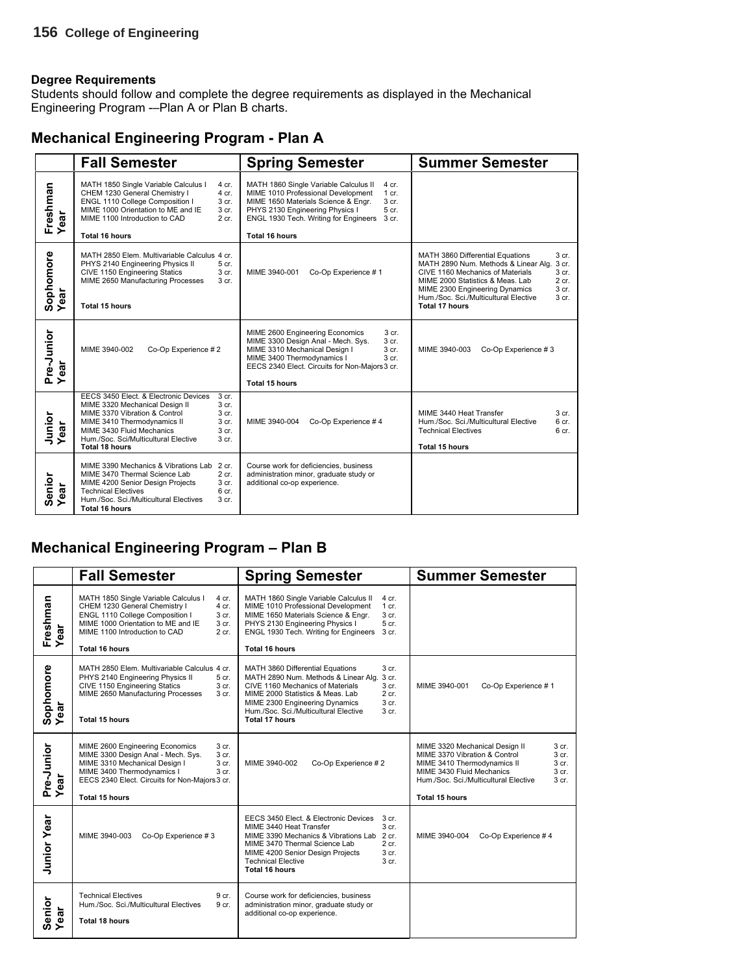Students should follow and complete the degree requirements as displayed in the Mechanical Engineering Program -–Plan A or Plan B charts.

| <b>Mechanical Engineering Program - Plan A</b> |  |  |  |
|------------------------------------------------|--|--|--|
|                                                |  |  |  |

|                           | <b>Fall Semester</b>                                                                                                                                                                                                                                                                                   | <b>Spring Semester</b>                                                                                                                                                                                                                                                        | <b>Summer Semester</b>                                                                                                                                                                                                                                                                                                                            |
|---------------------------|--------------------------------------------------------------------------------------------------------------------------------------------------------------------------------------------------------------------------------------------------------------------------------------------------------|-------------------------------------------------------------------------------------------------------------------------------------------------------------------------------------------------------------------------------------------------------------------------------|---------------------------------------------------------------------------------------------------------------------------------------------------------------------------------------------------------------------------------------------------------------------------------------------------------------------------------------------------|
| Freshman<br>Year<br>ear   | MATH 1850 Single Variable Calculus I<br>4 cr.<br>CHEM 1230 General Chemistry I<br>$4$ cr.<br>ENGL 1110 College Composition I<br>3 cr.<br>MIME 1000 Orientation to ME and IE<br>3 cr.<br>MIME 1100 Introduction to CAD<br>2 cr.<br><b>Total 16 hours</b>                                                | MATH 1860 Single Variable Calculus II<br>4 cr.<br>MIME 1010 Professional Development<br>$1$ cr.<br>MIME 1650 Materials Science & Engr.<br>3 cr.<br>PHYS 2130 Engineering Physics I<br>5 cr.<br>ENGL 1930 Tech. Writing for Engineers 3 cr.<br><b>Total 16 hours</b>           |                                                                                                                                                                                                                                                                                                                                                   |
| Sophomore<br>Year         | MATH 2850 Elem. Multivariable Calculus 4 cr.<br>PHYS 2140 Engineering Physics II<br>5 cr.<br>CIVE 1150 Engineering Statics<br>3 cr.<br>MIME 2650 Manufacturing Processes<br>3 <sub>cr.</sub><br><b>Total 15 hours</b>                                                                                  | MIME 3940-001<br>Co-Op Experience #1                                                                                                                                                                                                                                          | MATH 3860 Differential Equations<br>3 <sub>cr.</sub><br>MATH 2890 Num. Methods & Linear Alg.<br>3 cr.<br>CIVE 1160 Mechanics of Materials<br>3 <sub>cr.</sub><br>MIME 2000 Statistics & Meas, Lab<br>$2$ cr.<br>3 <sub>cr.</sub><br>MIME 2300 Engineering Dynamics<br>Hum./Soc. Sci./Multicultural Elective<br>3 <sub>cr.</sub><br>Total 17 hours |
| Pre-Junior<br>Year<br>ear | MIME 3940-002<br>Co-Op Experience #2                                                                                                                                                                                                                                                                   | 3 <sub>cr.</sub><br>MIME 2600 Engineering Economics<br>MIME 3300 Design Anal - Mech. Sys.<br>3 cr.<br>MIME 3310 Mechanical Design I<br>3 <sub>cr.</sub><br>MIME 3400 Thermodynamics I<br>3 <sub>cr.</sub><br>EECS 2340 Elect. Circuits for Non-Majors 3 cr.<br>Total 15 hours | MIME 3940-003<br>Co-Op Experience #3                                                                                                                                                                                                                                                                                                              |
| Junior<br>Year            | EECS 3450 Elect. & Electronic Devices<br>3 <sub>cr.</sub><br>MIME 3320 Mechanical Design II<br>3 cr.<br>MIME 3370 Vibration & Control<br>3 cr.<br>MIME 3410 Thermodynamics II<br>3 cr.<br>MIME 3430 Fluid Mechanics<br>3 cr.<br>Hum./Soc. Sci/Multicultural Elective<br>3 cr.<br><b>Total 18 hours</b> | MIME 3940-004<br>Co-Op Experience #4                                                                                                                                                                                                                                          | MIME 3440 Heat Transfer<br>3 <sub>cr.</sub><br>Hum./Soc. Sci./Multicultural Elective<br>6 <sub>cr.</sub><br><b>Technical Electives</b><br>6 <sub>cr.</sub><br><b>Total 15 hours</b>                                                                                                                                                               |
| Senior<br>Year<br>ear     | MIME 3390 Mechanics & Vibrations Lab 2 cr.<br>2 cr.<br>MIME 3470 Thermal Science Lab<br>MIME 4200 Senior Design Projects<br>3 cr.<br><b>Technical Electives</b><br>6 cr.<br>Hum./Soc. Sci./Multicultural Electives<br>3 cr.<br><b>Total 16 hours</b>                                                   | Course work for deficiencies, business<br>administration minor, graduate study or<br>additional co-op experience.                                                                                                                                                             |                                                                                                                                                                                                                                                                                                                                                   |

### **Mechanical Engineering Program – Plan B**

|                           | <b>Fall Semester</b>                                                                                                                                                                                                                                      | <b>Spring Semester</b>                                                                                                                                                                                                                                                                                           | <b>Summer Semester</b>                                                                                                                                                                                                                                |
|---------------------------|-----------------------------------------------------------------------------------------------------------------------------------------------------------------------------------------------------------------------------------------------------------|------------------------------------------------------------------------------------------------------------------------------------------------------------------------------------------------------------------------------------------------------------------------------------------------------------------|-------------------------------------------------------------------------------------------------------------------------------------------------------------------------------------------------------------------------------------------------------|
| Freshman<br>ar<br>≻       | MATH 1850 Single Variable Calculus I<br>4 cr.<br>CHEM 1230 General Chemistry I<br>$4$ cr.<br>ENGL 1110 College Composition I<br>3 cr.<br>MIME 1000 Orientation to ME and IE<br>3 cr.<br>MIME 1100 Introduction to CAD<br>$2$ cr.<br><b>Total 16 hours</b> | MATH 1860 Single Variable Calculus II<br>$4$ cr.<br>MIME 1010 Professional Development<br>$1$ cr.<br>MIME 1650 Materials Science & Engr.<br>3 cr.<br>PHYS 2130 Engineering Physics I<br>5 cr.<br>ENGL 1930 Tech. Writing for Engineers<br>3 <sub>cr.</sub><br><b>Total 16 hours</b>                              |                                                                                                                                                                                                                                                       |
| Sophomore<br>Year         | MATH 2850 Elem. Multivariable Calculus 4 cr.<br>PHYS 2140 Engineering Physics II<br>5 cr.<br>CIVE 1150 Engineering Statics<br>3 cr.<br>MIME 2650 Manufacturing Processes<br>3 cr.<br>Total 15 hours                                                       | 3 cr.<br>MATH 3860 Differential Equations<br>MATH 2890 Num. Methods & Linear Alg.<br>3 cr.<br>CIVE 1160 Mechanics of Materials<br>3 <sub>cr.</sub><br>$2$ cr.<br>MIME 2000 Statistics & Meas. Lab<br>3 cr.<br>MIME 2300 Engineering Dynamics<br>Hum./Soc. Sci./Multicultural Elective<br>3 cr.<br>Total 17 hours | Co-Op Experience #1<br>MIME 3940-001                                                                                                                                                                                                                  |
| Pre-Junior<br>Year<br>ear | MIME 2600 Engineering Economics<br>3 cr.<br>MIME 3300 Design Anal - Mech. Sys.<br>3 cr.<br>MIME 3310 Mechanical Design I<br>3 cr.<br>MIME 3400 Thermodynamics I<br>3 cr.<br>EECS 2340 Elect. Circuits for Non-Majors 3 cr.<br>Total 15 hours              | Co-Op Experience #2<br>MIME 3940-002                                                                                                                                                                                                                                                                             | MIME 3320 Mechanical Design II<br>3 cr.<br>3 cr.<br>MIME 3370 Vibration & Control<br>3 cr.<br>MIME 3410 Thermodynamics II<br>MIME 3430 Fluid Mechanics<br>3 cr.<br>Hum./Soc. Sci./Multicultural Elective<br>3 <sub>cr.</sub><br><b>Total 15 hours</b> |
| <b>Junior Year</b>        | Co-Op Experience #3<br>MIME 3940-003                                                                                                                                                                                                                      | EECS 3450 Elect. & Electronic Devices<br>3 <sub>cr.</sub><br>MIME 3440 Heat Transfer<br>3 cr.<br>MIME 3390 Mechanics & Vibrations Lab 2 cr.<br>MIME 3470 Thermal Science Lab<br>$2$ cr.<br>MIME 4200 Senior Design Projects<br>3 cr.<br><b>Technical Elective</b><br>3 cr.<br><b>Total 16 hours</b>              | MIME 3940-004<br>Co-Op Experience #4                                                                                                                                                                                                                  |
| Senior<br>Year<br>ear     | <b>Technical Electives</b><br>9 cr.<br>Hum./Soc. Sci./Multicultural Electives<br>9 cr.<br><b>Total 18 hours</b>                                                                                                                                           | Course work for deficiencies, business<br>administration minor, graduate study or<br>additional co-op experience.                                                                                                                                                                                                |                                                                                                                                                                                                                                                       |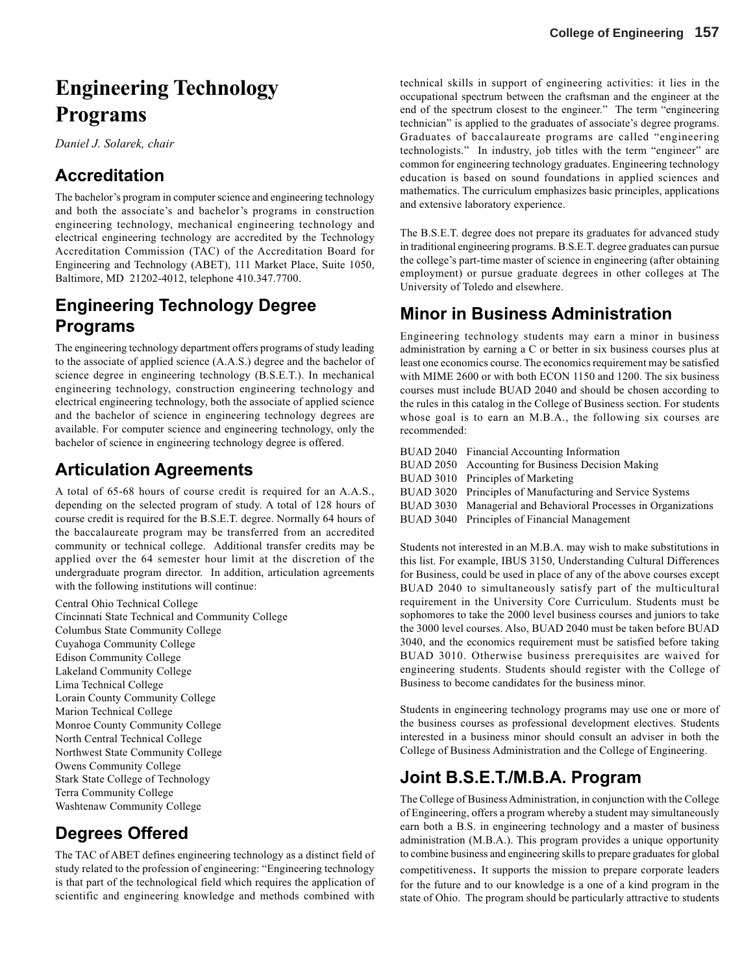# **Engineering Technology Programs**

*Daniel J. Solarek, chair*

# **Accreditation**

The bachelor's program in computer science and engineering technology and both the associate's and bachelor's programs in construction engineering technology, mechanical engineering technology and electrical engineering technology are accredited by the Technology Accreditation Commission (TAC) of the Accreditation Board for Engineering and Technology (ABET), 111 Market Place, Suite 1050, Baltimore, MD 21202-4012, telephone 410.347.7700.

# **Engineering Technology Degree Programs**

The engineering technology department offers programs of study leading to the associate of applied science (A.A.S.) degree and the bachelor of science degree in engineering technology (B.S.E.T.). In mechanical engineering technology, construction engineering technology and electrical engineering technology, both the associate of applied science and the bachelor of science in engineering technology degrees are available. For computer science and engineering technology, only the bachelor of science in engineering technology degree is offered.

# **Articulation Agreements**

A total of 65-68 hours of course credit is required for an A.A.S., depending on the selected program of study. A total of 128 hours of course credit is required for the B.S.E.T. degree. Normally 64 hours of the baccalaureate program may be transferred from an accredited community or technical college. Additional transfer credits may be applied over the 64 semester hour limit at the discretion of the undergraduate program director. In addition, articulation agreements with the following institutions will continue:

Central Ohio Technical College Cincinnati State Technical and Community College Columbus State Community College Cuyahoga Community College Edison Community College Lakeland Community College Lima Technical College Lorain County Community College Marion Technical College Monroe County Community College North Central Technical College Northwest State Community College Owens Community College Stark State College of Technology Terra Community College Washtenaw Community College

# **Degrees Offered**

The TAC of ABET defines engineering technology as a distinct field of study related to the profession of engineering: "Engineering technology is that part of the technological field which requires the application of scientific and engineering knowledge and methods combined with technical skills in support of engineering activities: it lies in the occupational spectrum between the craftsman and the engineer at the end of the spectrum closest to the engineer." The term "engineering technician" is applied to the graduates of associate's degree programs. Graduates of baccalaureate programs are called "engineering technologists." In industry, job titles with the term "engineer" are common for engineering technology graduates. Engineering technology education is based on sound foundations in applied sciences and mathematics. The curriculum emphasizes basic principles, applications and extensive laboratory experience.

The B.S.E.T. degree does not prepare its graduates for advanced study in traditional engineering programs. B.S.E.T. degree graduates can pursue the college's part-time master of science in engineering (after obtaining employment) or pursue graduate degrees in other colleges at The University of Toledo and elsewhere.

# **Minor in Business Administration**

Engineering technology students may earn a minor in business administration by earning a C or better in six business courses plus at least one economics course. The economics requirement may be satisfied with MIME 2600 or with both ECON 1150 and 1200. The six business courses must include BUAD 2040 and should be chosen according to the rules in this catalog in the College of Business section. For students whose goal is to earn an M.B.A., the following six courses are recommended:

| BUAD 2040 Financial Accounting Information                     |
|----------------------------------------------------------------|
| BUAD 2050 Accounting for Business Decision Making              |
| BUAD 3010 Principles of Marketing                              |
| BUAD 3020 Principles of Manufacturing and Service Systems      |
| BUAD 3030 Managerial and Behavioral Processes in Organizations |
| BUAD 3040 Principles of Financial Management                   |
|                                                                |

Students not interested in an M.B.A. may wish to make substitutions in this list. For example, IBUS 3150, Understanding Cultural Differences for Business, could be used in place of any of the above courses except BUAD 2040 to simultaneously satisfy part of the multicultural requirement in the University Core Curriculum. Students must be sophomores to take the 2000 level business courses and juniors to take the 3000 level courses. Also, BUAD 2040 must be taken before BUAD 3040, and the economics requirement must be satisfied before taking BUAD 3010. Otherwise business prerequisites are waived for engineering students. Students should register with the College of Business to become candidates for the business minor.

Students in engineering technology programs may use one or more of the business courses as professional development electives. Students interested in a business minor should consult an adviser in both the College of Business Administration and the College of Engineering.

# **Joint B.S.E.T./M.B.A. Program**

The College of Business Administration, in conjunction with the College of Engineering, offers a program whereby a student may simultaneously earn both a B.S. in engineering technology and a master of business administration (M.B.A.). This program provides a unique opportunity to combine business and engineering skills to prepare graduates for global competitiveness. It supports the mission to prepare corporate leaders for the future and to our knowledge is a one of a kind program in the state of Ohio. The program should be particularly attractive to students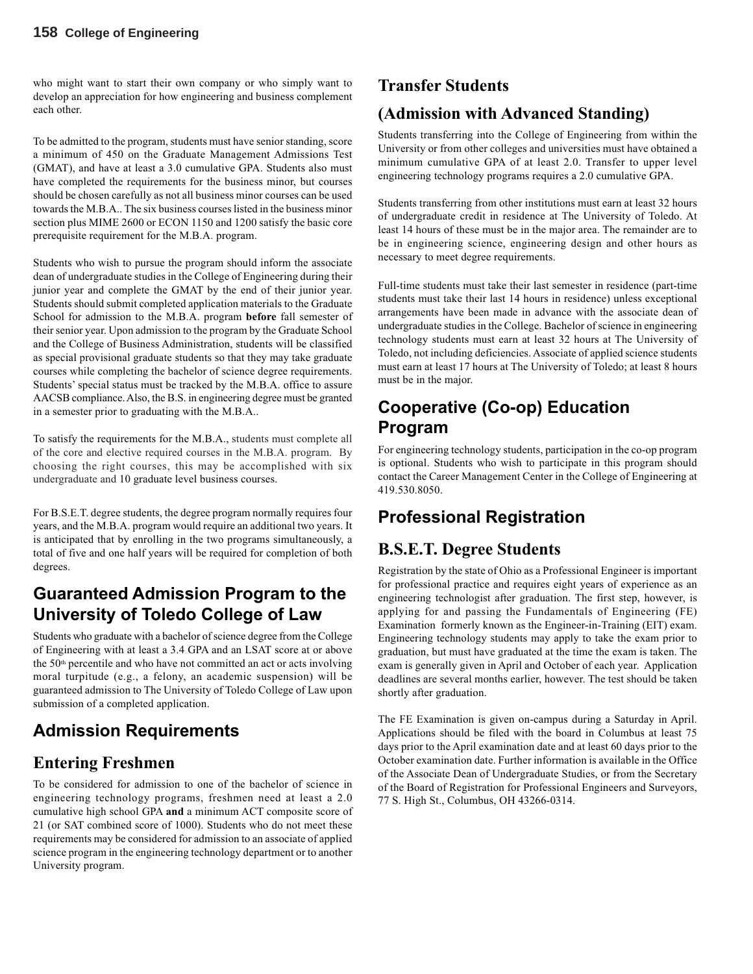who might want to start their own company or who simply want to develop an appreciation for how engineering and business complement each other.

To be admitted to the program, students must have senior standing, score a minimum of 450 on the Graduate Management Admissions Test (GMAT), and have at least a 3.0 cumulative GPA. Students also must have completed the requirements for the business minor, but courses should be chosen carefully as not all business minor courses can be used towards the M.B.A.. The six business courses listed in the business minor section plus MIME 2600 or ECON 1150 and 1200 satisfy the basic core prerequisite requirement for the M.B.A. program.

Students who wish to pursue the program should inform the associate dean of undergraduate studies in the College of Engineering during their junior year and complete the GMAT by the end of their junior year. Students should submit completed application materials to the Graduate School for admission to the M.B.A. program **before** fall semester of their senior year. Upon admission to the program by the Graduate School and the College of Business Administration, students will be classified as special provisional graduate students so that they may take graduate courses while completing the bachelor of science degree requirements. Students' special status must be tracked by the M.B.A. office to assure AACSB compliance. Also, the B.S. in engineering degree must be granted in a semester prior to graduating with the M.B.A..

To satisfy the requirements for the M.B.A., students must complete all of the core and elective required courses in the M.B.A. program. By choosing the right courses, this may be accomplished with six undergraduate and 10 graduate level business courses.

For B.S.E.T. degree students, the degree program normally requires four years, and the M.B.A. program would require an additional two years. It is anticipated that by enrolling in the two programs simultaneously, a total of five and one half years will be required for completion of both degrees.

# **Guaranteed Admission Program to the University of Toledo College of Law**

Students who graduate with a bachelor of science degree from the College of Engineering with at least a 3.4 GPA and an LSAT score at or above the 50<sup>th</sup> percentile and who have not committed an act or acts involving moral turpitude (e.g., a felony, an academic suspension) will be guaranteed admission to The University of Toledo College of Law upon submission of a completed application.

# **Admission Requirements**

# **Entering Freshmen**

To be considered for admission to one of the bachelor of science in engineering technology programs, freshmen need at least a 2.0 cumulative high school GPA **and** a minimum ACT composite score of 21 (or SAT combined score of 1000). Students who do not meet these requirements may be considered for admission to an associate of applied science program in the engineering technology department or to another University program.

# **Transfer Students**

# **(Admission with Advanced Standing)**

Students transferring into the College of Engineering from within the University or from other colleges and universities must have obtained a minimum cumulative GPA of at least 2.0. Transfer to upper level engineering technology programs requires a 2.0 cumulative GPA.

Students transferring from other institutions must earn at least 32 hours of undergraduate credit in residence at The University of Toledo. At least 14 hours of these must be in the major area. The remainder are to be in engineering science, engineering design and other hours as necessary to meet degree requirements.

Full-time students must take their last semester in residence (part-time students must take their last 14 hours in residence) unless exceptional arrangements have been made in advance with the associate dean of undergraduate studies in the College. Bachelor of science in engineering technology students must earn at least 32 hours at The University of Toledo, not including deficiencies. Associate of applied science students must earn at least 17 hours at The University of Toledo; at least 8 hours must be in the major.

# **Cooperative (Co-op) Education Program**

For engineering technology students, participation in the co-op program is optional. Students who wish to participate in this program should contact the Career Management Center in the College of Engineering at 419.530.8050.

# **Professional Registration**

# **B.S.E.T. Degree Students**

Registration by the state of Ohio as a Professional Engineer is important for professional practice and requires eight years of experience as an engineering technologist after graduation. The first step, however, is applying for and passing the Fundamentals of Engineering (FE) Examination formerly known as the Engineer-in-Training (EIT) exam. Engineering technology students may apply to take the exam prior to graduation, but must have graduated at the time the exam is taken. The exam is generally given in April and October of each year. Application deadlines are several months earlier, however. The test should be taken shortly after graduation.

The FE Examination is given on-campus during a Saturday in April. Applications should be filed with the board in Columbus at least 75 days prior to the April examination date and at least 60 days prior to the October examination date. Further information is available in the Office of the Associate Dean of Undergraduate Studies, or from the Secretary of the Board of Registration for Professional Engineers and Surveyors, 77 S. High St., Columbus, OH 43266-0314.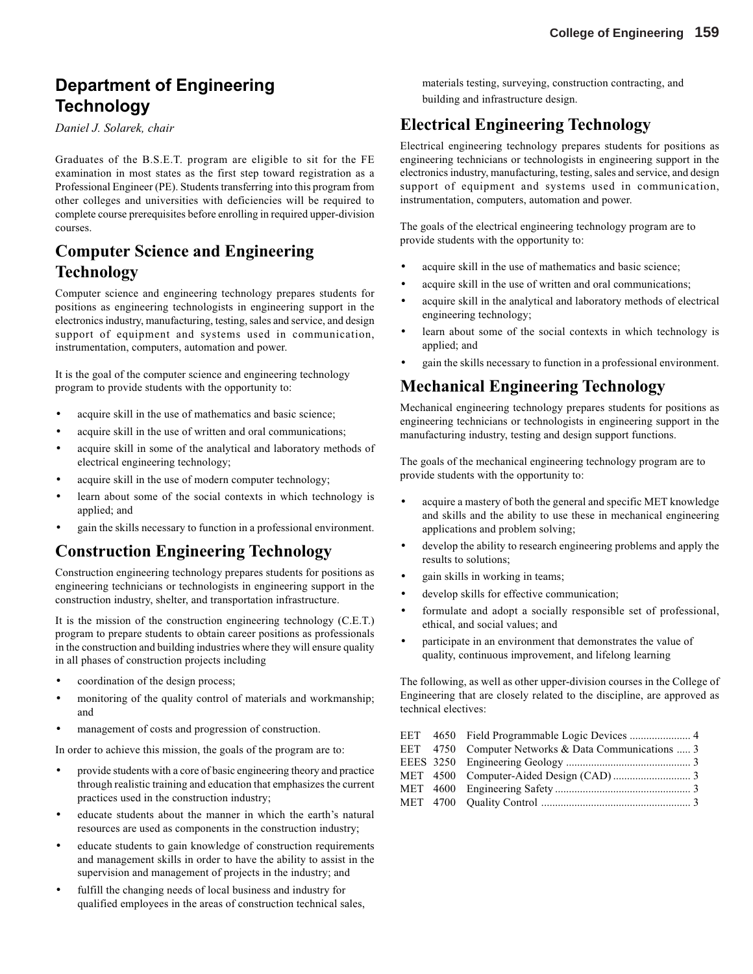# **Department of Engineering Technology**

*Daniel J. Solarek, chair*

Graduates of the B.S.E.T. program are eligible to sit for the FE examination in most states as the first step toward registration as a Professional Engineer (PE). Students transferring into this program from other colleges and universities with deficiencies will be required to complete course prerequisites before enrolling in required upper-division courses.

# **Computer Science and Engineering Technology**

Computer science and engineering technology prepares students for positions as engineering technologists in engineering support in the electronics industry, manufacturing, testing, sales and service, and design support of equipment and systems used in communication, instrumentation, computers, automation and power.

It is the goal of the computer science and engineering technology program to provide students with the opportunity to:

- acquire skill in the use of mathematics and basic science;
- acquire skill in the use of written and oral communications;
- acquire skill in some of the analytical and laboratory methods of electrical engineering technology;
- acquire skill in the use of modern computer technology;
- learn about some of the social contexts in which technology is applied; and
- gain the skills necessary to function in a professional environment.

### **Construction Engineering Technology**

Construction engineering technology prepares students for positions as engineering technicians or technologists in engineering support in the construction industry, shelter, and transportation infrastructure.

It is the mission of the construction engineering technology (C.E.T.) program to prepare students to obtain career positions as professionals in the construction and building industries where they will ensure quality in all phases of construction projects including

- coordination of the design process;
- monitoring of the quality control of materials and workmanship; and
- management of costs and progression of construction.

In order to achieve this mission, the goals of the program are to:

- provide students with a core of basic engineering theory and practice through realistic training and education that emphasizes the current practices used in the construction industry;
- educate students about the manner in which the earth's natural resources are used as components in the construction industry;
- educate students to gain knowledge of construction requirements and management skills in order to have the ability to assist in the supervision and management of projects in the industry; and
- fulfill the changing needs of local business and industry for qualified employees in the areas of construction technical sales,

materials testing, surveying, construction contracting, and building and infrastructure design.

### **Electrical Engineering Technology**

Electrical engineering technology prepares students for positions as engineering technicians or technologists in engineering support in the electronics industry, manufacturing, testing, sales and service, and design support of equipment and systems used in communication, instrumentation, computers, automation and power.

The goals of the electrical engineering technology program are to provide students with the opportunity to:

- acquire skill in the use of mathematics and basic science:
- acquire skill in the use of written and oral communications;
- acquire skill in the analytical and laboratory methods of electrical engineering technology;
- learn about some of the social contexts in which technology is applied; and
- gain the skills necessary to function in a professional environment.

### **Mechanical Engineering Technology**

Mechanical engineering technology prepares students for positions as engineering technicians or technologists in engineering support in the manufacturing industry, testing and design support functions.

The goals of the mechanical engineering technology program are to provide students with the opportunity to:

- acquire a mastery of both the general and specific MET knowledge and skills and the ability to use these in mechanical engineering applications and problem solving;
- develop the ability to research engineering problems and apply the results to solutions;
- gain skills in working in teams;
- develop skills for effective communication;
- formulate and adopt a socially responsible set of professional, ethical, and social values; and
- participate in an environment that demonstrates the value of quality, continuous improvement, and lifelong learning

The following, as well as other upper-division courses in the College of Engineering that are closely related to the discipline, are approved as technical electives:

|  | EET 4750 Computer Networks & Data Communications  3 |
|--|-----------------------------------------------------|
|  |                                                     |
|  |                                                     |
|  |                                                     |
|  |                                                     |
|  |                                                     |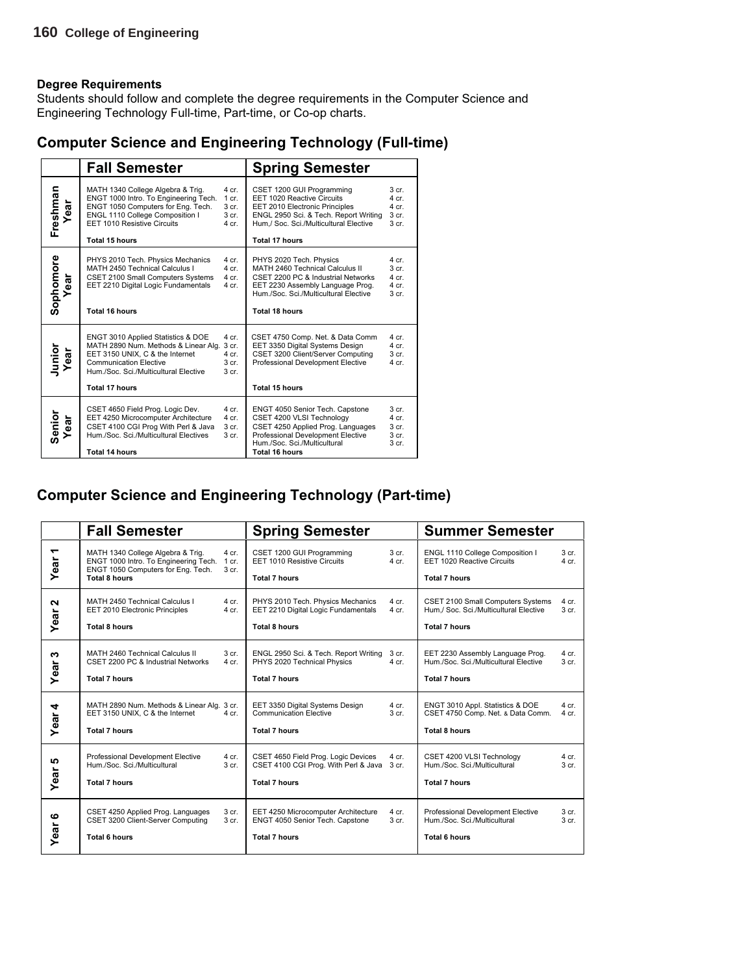Students should follow and complete the degree requirements in the Computer Science and Engineering Technology Full-time, Part-time, or Co-op charts.

### **Computer Science and Engineering Technology (Full-time)**

|                   | <b>Fall Semester</b>                                                                                                                                                                                      |                                                                            | <b>Spring Semester</b>                                                                                                                                                                                 |                                                                                |
|-------------------|-----------------------------------------------------------------------------------------------------------------------------------------------------------------------------------------------------------|----------------------------------------------------------------------------|--------------------------------------------------------------------------------------------------------------------------------------------------------------------------------------------------------|--------------------------------------------------------------------------------|
| Freshman<br>Year  | MATH 1340 College Algebra & Trig.<br>ENGT 1000 Intro. To Engineering Tech.<br>ENGT 1050 Computers for Eng. Tech.<br>ENGL 1110 College Composition I<br>EET 1010 Resistive Circuits<br>Total 15 hours      | $4$ cr.<br>1 cr.<br>3 <sub>cr.</sub><br>3 <sub>cr.</sub><br>$4$ cr.        | CSET 1200 GUI Programming<br>EET 1020 Reactive Circuits<br>EET 2010 Electronic Principles<br>ENGL 2950 Sci. & Tech. Report Writing<br>Hum./ Soc. Sci./Multicultural Elective<br><b>Total 17 hours</b>  | 3 <sub>cr.</sub><br>$4$ cr<br>4 cr.<br>3 <sub>cr.</sub><br>3 <sub>cr.</sub>    |
| Sophomore<br>Year | PHYS 2010 Tech. Physics Mechanics<br>MATH 2450 Technical Calculus I<br>CSET 2100 Small Computers Systems<br>EET 2210 Digital Logic Fundamentals<br><b>Total 16 hours</b>                                  | 4 cr.<br>4 cr.<br>$4$ cr.<br>4 cr.                                         | PHYS 2020 Tech. Physics<br>MATH 2460 Technical Calculus II<br>CSET 2200 PC & Industrial Networks<br>EET 2230 Assembly Language Prog.<br>Hum./Soc. Sci./Multicultural Elective<br><b>Total 18 hours</b> | $4$ cr.<br>3 <sub>cr.</sub><br>$4$ cr.<br>$4$ cr.<br>3 <sub>cr.</sub>          |
| Junior<br>Year    | ENGT 3010 Applied Statistics & DOE<br>MATH 2890 Num. Methods & Linear Alg.<br>EET 3150 UNIX, C & the Internet<br><b>Communication Elective</b><br>Hum./Soc. Sci./Multicultural Elective<br>Total 17 hours | 4 cr.<br>3 <sub>cr.</sub><br>4 cr.<br>3 <sub>cr.</sub><br>3 <sub>cr.</sub> | CSET 4750 Comp. Net. & Data Comm<br>EET 3350 Digital Systems Design<br>CSET 3200 Client/Server Computing<br>Professional Development Elective<br>Total 15 hours                                        | 4 cr.<br>$4$ cr.<br>3 <sub>cr.</sub><br>4 cr.                                  |
| Senior<br>Year    | CSET 4650 Field Prog. Logic Dev.<br>EET 4250 Microcomputer Architecture<br>CSET 4100 CGI Prog With Perl & Java<br>Hum./Soc. Sci./Multicultural Electives<br><b>Total 14 hours</b>                         | 4 cr.<br>4 cr.<br>3 <sub>cr.</sub><br>3 <sub>cr.</sub>                     | ENGT 4050 Senior Tech. Capstone<br>CSET 4200 VLSI Technology<br>CSET 4250 Applied Prog. Languages<br>Professional Development Elective<br>Hum./Soc. Sci./Multicultural<br>Total 16 hours               | 3 <sub>cr.</sub><br>$4$ cr.<br>$3$ cr.<br>3 <sub>cr.</sub><br>3 <sub>cr.</sub> |

### **Computer Science and Engineering Technology (Part-time)**

|                                      | <b>Fall Semester</b>                                                                                                                     |                             | <b>Spring Semester</b>                                                                                    |                           | <b>Summer Semester</b>                                                                              |                                      |
|--------------------------------------|------------------------------------------------------------------------------------------------------------------------------------------|-----------------------------|-----------------------------------------------------------------------------------------------------------|---------------------------|-----------------------------------------------------------------------------------------------------|--------------------------------------|
| $\overline{\phantom{0}}$<br>ear<br>≻ | MATH 1340 College Algebra & Trig.<br>ENGT 1000 Intro. To Engineering Tech.<br>ENGT 1050 Computers for Eng. Tech.<br><b>Total 8 hours</b> | 4 cr.<br>1 cr.<br>3 cr.     | CSET 1200 GUI Programming<br>EET 1010 Resistive Circuits<br><b>Total 7 hours</b>                          | 3 cr.<br>$4$ cr.          | ENGL 1110 College Composition I<br>EET 1020 Reactive Circuits<br><b>Total 7 hours</b>               | 3 <sub>cr.</sub><br>$4$ cr.          |
| $\sim$<br>Year                       | MATH 2450 Technical Calculus I<br>EET 2010 Electronic Principles<br><b>Total 8 hours</b>                                                 | $4$ cr.<br>4 cr.            | PHYS 2010 Tech. Physics Mechanics<br>EET 2210 Digital Logic Fundamentals<br><b>Total 8 hours</b>          | 4 cr.<br>$4$ cr.          | CSET 2100 Small Computers Systems<br>Hum,/ Soc. Sci./Multicultural Elective<br><b>Total 7 hours</b> | $4$ cr.<br>3 <sub>cr.</sub>          |
| ∾<br>Year                            | MATH 2460 Technical Calculus II<br>CSET 2200 PC & Industrial Networks<br><b>Total 7 hours</b>                                            | 3 <sub>cr.</sub><br>$4$ cr. | ENGL 2950 Sci. & Tech. Report Writing<br>PHYS 2020 Technical Physics<br><b>Total 7 hours</b>              | 3 cr.<br>$4$ cr.          | EET 2230 Assembly Language Prog.<br>Hum./Soc. Sci./Multicultural Elective<br><b>Total 7 hours</b>   | $4$ cr.<br>3 <sub>cr.</sub>          |
| 4<br>Year                            | MATH 2890 Num. Methods & Linear Alg. 3 cr.<br>EET 3150 UNIX, C & the Internet<br><b>Total 7 hours</b>                                    | $4$ cr.                     | EET 3350 Digital Systems Design<br><b>Communication Elective</b><br><b>Total 7 hours</b>                  | 4 cr.<br>3 <sub>cr.</sub> | ENGT 3010 Appl. Statistics & DOE<br>CSET 4750 Comp. Net. & Data Comm.<br><b>Total 8 hours</b>       | $4$ cr.<br>$4$ cr.                   |
| 5<br>ear<br>≻                        | Professional Development Elective<br>Hum./Soc. Sci./Multicultural<br><b>Total 7 hours</b>                                                | $4$ cr.<br>3 cr.            | CSET 4650 Field Prog. Logic Devices<br>CSET 4100 CGI Prog. With Perl & Java 3 cr.<br><b>Total 7 hours</b> | $4$ cr.                   | CSET 4200 VLSI Technology<br>Hum./Soc. Sci./Multicultural<br><b>Total 7 hours</b>                   | $4$ cr.<br>3 <sub>cr</sub>           |
| ဖ<br>Year                            | CSET 4250 Applied Prog. Languages<br>CSET 3200 Client-Server Computing<br><b>Total 6 hours</b>                                           | 3 <sub>cr.</sub><br>3 cr.   | EET 4250 Microcomputer Architecture<br>ENGT 4050 Senior Tech. Capstone<br><b>Total 7 hours</b>            | $4$ cr.<br>3 cr.          | Professional Development Elective<br>Hum./Soc. Sci./Multicultural<br><b>Total 6 hours</b>           | 3 <sub>cr.</sub><br>3 <sub>cr.</sub> |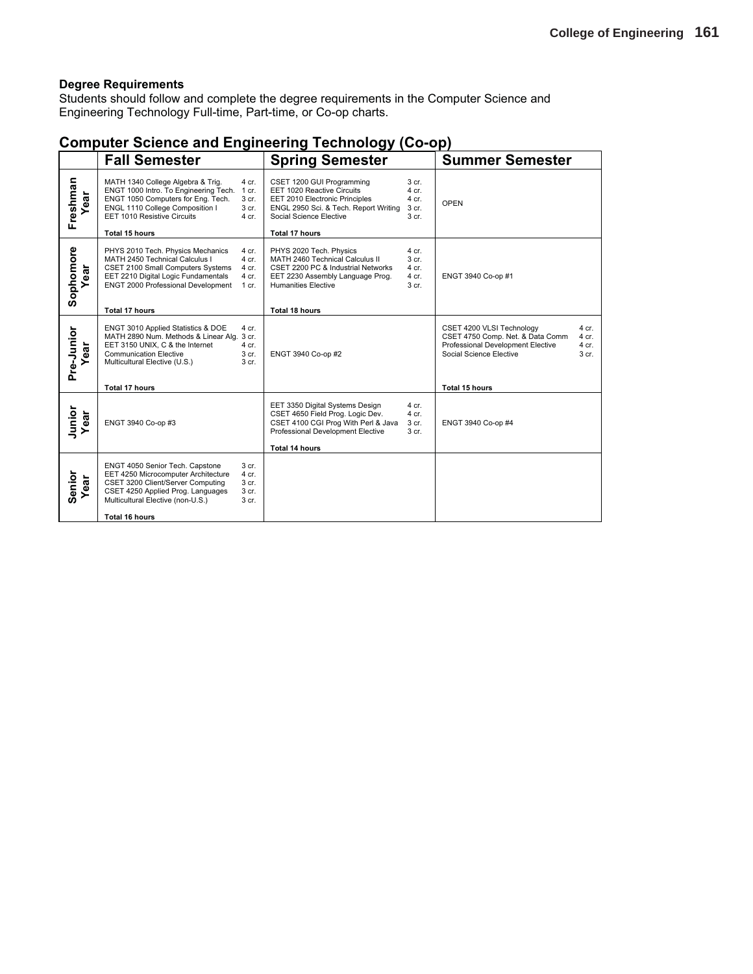Students should follow and complete the degree requirements in the Computer Science and Engineering Technology Full-time, Part-time, or Co-op charts.

### **Computer Science and Engineering Technology (Co-op)**

|                   | <b>Fall Semester</b>                                                                                                                                                                                                                                        | <b>Spring Semester</b>                                                                                                                                                                                                                                    | <b>Summer Semester</b>                                                                                                                                                                             |
|-------------------|-------------------------------------------------------------------------------------------------------------------------------------------------------------------------------------------------------------------------------------------------------------|-----------------------------------------------------------------------------------------------------------------------------------------------------------------------------------------------------------------------------------------------------------|----------------------------------------------------------------------------------------------------------------------------------------------------------------------------------------------------|
| Freshman<br>ear   | MATH 1340 College Algebra & Trig.<br>4 cr.<br>ENGT 1000 Intro. To Engineering Tech.<br>1 cr.<br>3 cr.<br>ENGT 1050 Computers for Eng. Tech.<br>ENGL 1110 College Composition I<br>3 cr.<br>EET 1010 Resistive Circuits<br>$4$ cr.<br><b>Total 15 hours</b>  | CSET 1200 GUI Programming<br>3 <sub>cr.</sub><br>EET 1020 Reactive Circuits<br>4 cr.<br>EET 2010 Electronic Principles<br>4 cr.<br>ENGL 2950 Sci. & Tech. Report Writing<br>3 cr.<br>Social Science Elective<br>3 <sub>cr.</sub><br><b>Total 17 hours</b> | OPEN                                                                                                                                                                                               |
| Sophomore<br>ear  | PHYS 2010 Tech. Physics Mechanics<br>4 cr.<br>MATH 2450 Technical Calculus I<br>4 cr.<br>CSET 2100 Small Computers Systems<br>4 cr.<br>EET 2210 Digital Logic Fundamentals<br>4 cr.<br>ENGT 2000 Professional Development<br>1 cr.<br><b>Total 17 hours</b> | PHYS 2020 Tech. Physics<br>4 cr.<br>MATH 2460 Technical Calculus II<br>3 cr.<br>CSET 2200 PC & Industrial Networks<br>4 cr.<br>4 cr.<br>EET 2230 Assembly Language Prog.<br><b>Humanities Elective</b><br>3 cr.<br>Total 18 hours                         | ENGT 3940 Co-op #1                                                                                                                                                                                 |
| Pre-Junior<br>ear | ENGT 3010 Applied Statistics & DOE<br>4 cr.<br>MATH 2890 Num. Methods & Linear Alg. 3 cr.<br>EET 3150 UNIX, C & the Internet<br>$4$ cr.<br><b>Communication Elective</b><br>3 cr.<br>3 cr.<br>Multicultural Elective (U.S.)<br><b>Total 17 hours</b>        | ENGT 3940 Co-op #2                                                                                                                                                                                                                                        | CSET 4200 VLSI Technology<br>4 cr.<br>CSET 4750 Comp. Net. & Data Comm<br>$4$ cr.<br>Professional Development Elective<br>$4$ cr.<br>Social Science Elective<br>3 <sub>cr.</sub><br>Total 15 hours |
| Junior<br>Year    | ENGT 3940 Co-op #3                                                                                                                                                                                                                                          | EET 3350 Digital Systems Design<br>4 cr.<br>CSET 4650 Field Prog. Logic Dev.<br>4 cr.<br>CSET 4100 CGI Prog With Perl & Java<br>3 cr.<br>Professional Development Elective<br>3 cr.<br><b>Total 14 hours</b>                                              | ENGT 3940 Co-op #4                                                                                                                                                                                 |
| Senior<br>ear     | ENGT 4050 Senior Tech. Capstone<br>3 cr.<br>EET 4250 Microcomputer Architecture<br>4 cr.<br>CSET 3200 Client/Server Computing<br>3 cr.<br>CSET 4250 Applied Prog. Languages<br>3 cr.<br>Multicultural Elective (non-U.S.)<br>3 cr.<br><b>Total 16 hours</b> |                                                                                                                                                                                                                                                           |                                                                                                                                                                                                    |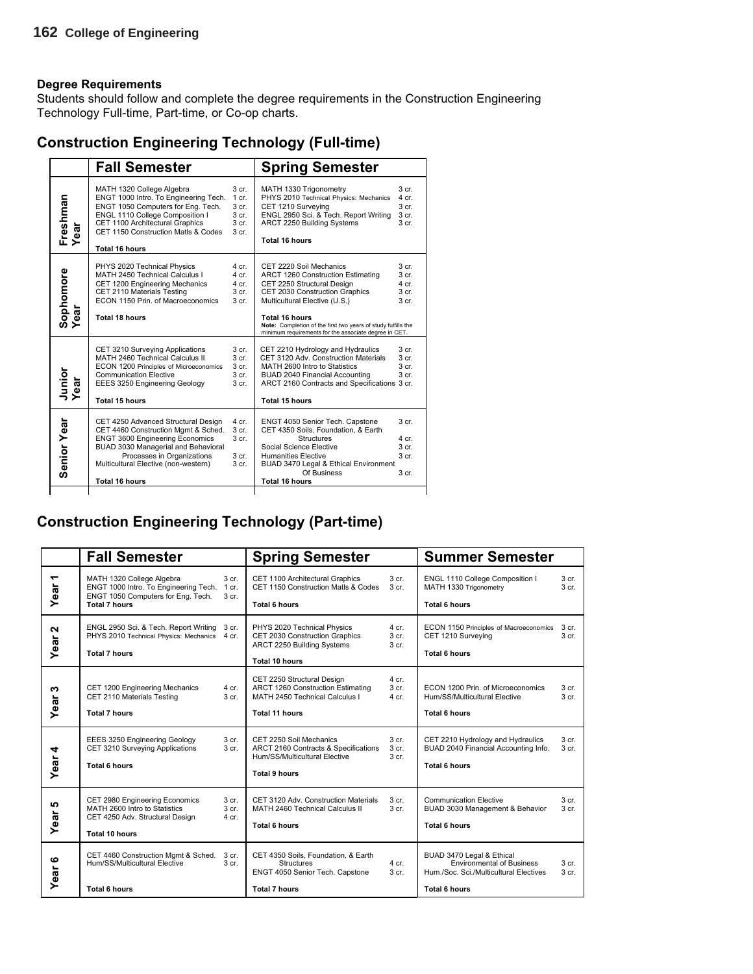Students should follow and complete the degree requirements in the Construction Engineering Technology Full-time, Part-time, or Co-op charts.

| <b>Construction Engineering Technology (Full-time)</b> |  |  |
|--------------------------------------------------------|--|--|
|--------------------------------------------------------|--|--|

|                             | <b>Fall Semester</b>                                                                                                                                                                                                                                       |                                                                                       | <b>Spring Semester</b>                                                                                                                                                                                                                                                                                           |                                                                                         |
|-----------------------------|------------------------------------------------------------------------------------------------------------------------------------------------------------------------------------------------------------------------------------------------------------|---------------------------------------------------------------------------------------|------------------------------------------------------------------------------------------------------------------------------------------------------------------------------------------------------------------------------------------------------------------------------------------------------------------|-----------------------------------------------------------------------------------------|
| Freshman<br>ear             | MATH 1320 College Algebra<br>ENGT 1000 Intro. To Engineering Tech.<br>ENGT 1050 Computers for Eng. Tech.<br>ENGL 1110 College Composition I<br>CET 1100 Architectural Graphics<br>CET 1150 Construction Matls & Codes<br><b>Total 16 hours</b>             | 3 <sub>cr.</sub><br>$1$ cr.<br>3 <sub>cr.</sub><br>3 cr.<br>3 cr.<br>3 <sub>cr.</sub> | MATH 1330 Trigonometry<br>PHYS 2010 Technical Physics: Mechanics<br>CET 1210 Surveying<br>ENGL 2950 Sci. & Tech. Report Writing<br>ARCT 2250 Building Systems<br><b>Total 16 hours</b>                                                                                                                           | 3 <sub>cr.</sub><br>$4$ cr.<br>3 cr.<br>3 cr.<br>3 <sub>cr.</sub>                       |
| Sophomore<br>Year<br>ಕ<br>ة | PHYS 2020 Technical Physics<br>MATH 2450 Technical Calculus I<br>CET 1200 Engineering Mechanics<br>CET 2110 Materials Testing<br>ECON 1150 Prin. of Macroeconomics<br><b>Total 18 hours</b>                                                                | 4 cr.<br>$4$ cr.<br>4 cr.<br>3 cr.<br>3 cr.                                           | CET 2220 Soil Mechanics<br>ARCT 1260 Construction Estimating<br>CET 2250 Structural Design<br>CET 2030 Construction Graphics<br>Multicultural Elective (U.S.)<br><b>Total 16 hours</b><br>Note: Completion of the first two years of study fulfills the<br>minimum requirements for the associate degree in CET. | 3 <sub>cr.</sub><br>3 <sub>cr.</sub><br>$4$ cr.<br>3 <sub>cr.</sub><br>3 <sub>cr.</sub> |
| Junior<br>Year              | CET 3210 Surveying Applications<br>MATH 2460 Technical Calculus II<br>ECON 1200 Principles of Microeconomics<br><b>Communication Elective</b><br>EEES 3250 Engineering Geology<br><b>Total 15 hours</b>                                                    | 3 cr.<br>3 cr.<br>3 cr.<br>3 cr.<br>3 cr.                                             | CET 2210 Hydrology and Hydraulics<br>CET 3120 Adv. Construction Materials<br>MATH 2600 Intro to Statistics<br>BUAD 2040 Financial Accounting<br>ARCT 2160 Contracts and Specifications 3 cr.<br><b>Total 15 hours</b>                                                                                            | 3 <sub>cr.</sub><br>3 <sub>cr.</sub><br>3 <sub>cr</sub><br>3 <sub>cr.</sub>             |
| <b>Senior Year</b>          | CET 4250 Advanced Structural Design<br>CET 4460 Construction Mgmt & Sched.<br><b>ENGT 3600 Engineering Economics</b><br>BUAD 3030 Managerial and Behavioral<br>Processes in Organizations<br>Multicultural Elective (non-western)<br><b>Total 16 hours</b> | 4 cr.<br>3 cr.<br>3 cr.<br>3 cr.<br>3 cr.                                             | ENGT 4050 Senior Tech. Capstone<br>CET 4350 Soils, Foundation, & Earth<br><b>Structures</b><br>Social Science Elective<br><b>Humanities Elective</b><br>BUAD 3470 Legal & Ethical Environment<br>Of Business<br><b>Total 16 hours</b>                                                                            | 3 <sub>cr.</sub><br>4 cr<br>3 <sub>cr.</sub><br>3 <sub>cr.</sub><br>3 <sub>cr.</sub>    |

### **Construction Engineering Technology (Part-time)**

|                                  | <b>Fall Semester</b>                                                                                                             |                                                 | <b>Spring Semester</b>                                                                                                     |                                        | <b>Summer Semester</b>                                                                                                          |                                      |
|----------------------------------|----------------------------------------------------------------------------------------------------------------------------------|-------------------------------------------------|----------------------------------------------------------------------------------------------------------------------------|----------------------------------------|---------------------------------------------------------------------------------------------------------------------------------|--------------------------------------|
| $\overline{\phantom{0}}$<br>Year | MATH 1320 College Algebra<br>ENGT 1000 Intro. To Engineering Tech.<br>ENGT 1050 Computers for Eng. Tech.<br><b>Total 7 hours</b> | 3 <sub>cr.</sub><br>$1$ cr.<br>3 <sub>cr.</sub> | CET 1100 Architectural Graphics<br>CET 1150 Construction Matls & Codes<br><b>Total 6 hours</b>                             | 3 <sub>cr.</sub><br>3 cr.              | ENGL 1110 College Composition I<br>MATH 1330 Trigonometry<br>Total 6 hours                                                      | 3 <sub>cr.</sub><br>3 cr.            |
| $\mathbf{\Omega}$<br>Year        | ENGL 2950 Sci. & Tech. Report Writing<br>PHYS 2010 Technical Physics: Mechanics 4 cr.<br><b>Total 7 hours</b>                    | 3 cr.                                           | PHYS 2020 Technical Physics<br>CET 2030 Construction Graphics<br>ARCT 2250 Building Systems<br><b>Total 10 hours</b>       | 4 cr.<br>3 cr.<br>3 <sub>cr.</sub>     | ECON 1150 Principles of Macroeconomics<br>CET 1210 Surveying<br><b>Total 6 hours</b>                                            | 3 cr.<br>3 cr.                       |
| ო<br>Year                        | CET 1200 Engineering Mechanics<br>CET 2110 Materials Testing<br><b>Total 7 hours</b>                                             | 4 cr.<br>3 cr.                                  | CET 2250 Structural Design<br>ARCT 1260 Construction Estimating<br>MATH 2450 Technical Calculus I<br><b>Total 11 hours</b> | $4$ cr.<br>3 <sub>cr.</sub><br>$4$ cr. | ECON 1200 Prin. of Microeconomics<br>Hum/SS/Multicultural Elective<br><b>Total 6 hours</b>                                      | 3 <sub>cr.</sub><br>3 <sub>cr.</sub> |
| Year 4                           | EEES 3250 Engineering Geology<br>CET 3210 Surveying Applications<br><b>Total 6 hours</b>                                         | 3 cr.<br>3 cr.                                  | CET 2250 Soil Mechanics<br>ARCT 2160 Contracts & Specifications<br>Hum/SS/Multicultural Elective<br><b>Total 9 hours</b>   | 3 cr.<br>3 cr.<br>3 <sub>cr.</sub>     | CET 2210 Hydrology and Hydraulics<br>BUAD 2040 Financial Accounting Info.<br><b>Total 6 hours</b>                               | 3 cr.<br>3 cr.                       |
| 5<br>Year                        | CET 2980 Engineering Economics<br>MATH 2600 Intro to Statistics<br>CET 4250 Adv. Structural Design<br>Total 10 hours             | 3 cr.<br>3 cr.<br>$4$ cr.                       | CET 3120 Adv. Construction Materials<br>MATH 2460 Technical Calculus II<br><b>Total 6 hours</b>                            | 3 <sub>cr.</sub><br>3 cr.              | <b>Communication Elective</b><br>BUAD 3030 Management & Behavior<br><b>Total 6 hours</b>                                        | 3 cr.<br>3 cr.                       |
| ဖ<br>ear<br>≻                    | CET 4460 Construction Mgmt & Sched.<br>Hum/SS/Multicultural Elective<br><b>Total 6 hours</b>                                     | 3 cr.<br>3 cr.                                  | CET 4350 Soils, Foundation, & Earth<br><b>Structures</b><br>ENGT 4050 Senior Tech. Capstone<br><b>Total 7 hours</b>        | $4$ cr.<br>3 cr.                       | BUAD 3470 Legal & Ethical<br><b>Environmental of Business</b><br>Hum./Soc. Sci./Multicultural Electives<br><b>Total 6 hours</b> | 3 cr.<br>3 <sub>cr.</sub>            |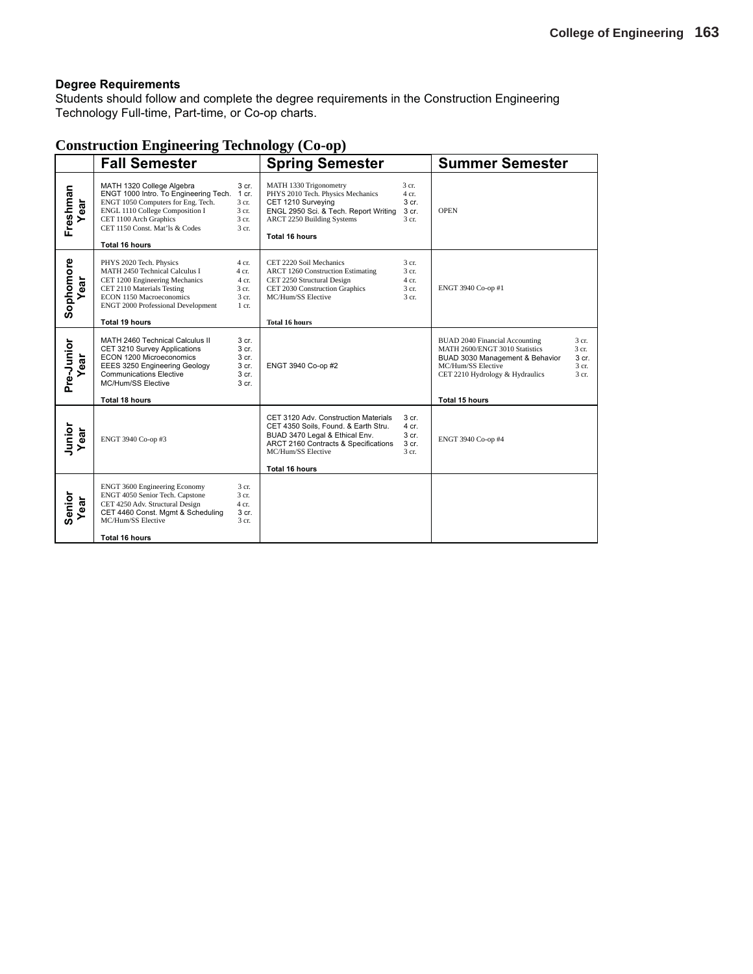Students should follow and complete the degree requirements in the Construction Engineering Technology Full-time, Part-time, or Co-op charts.

### **Construction Engineering Technology (Co-op)**

|                  | <b>Fall Semester</b>                                                                                                                                                                                                               |                                                      | <b>Spring Semester</b>                                                                                                                                                                         |                                           | <b>Summer Semester</b>                                                                                                                                                                                                               |
|------------------|------------------------------------------------------------------------------------------------------------------------------------------------------------------------------------------------------------------------------------|------------------------------------------------------|------------------------------------------------------------------------------------------------------------------------------------------------------------------------------------------------|-------------------------------------------|--------------------------------------------------------------------------------------------------------------------------------------------------------------------------------------------------------------------------------------|
| Freshman<br>Year | MATH 1320 College Algebra<br>ENGT 1000 Intro. To Engineering Tech.<br>ENGT 1050 Computers for Eng. Tech.<br>ENGL 1110 College Composition I<br>CET 1100 Arch Graphics<br>CET 1150 Const. Mat'ls & Codes<br><b>Total 16 hours</b>   | 3 cr.<br>1 cr.<br>3 cr.<br>3 cr.<br>3 cr.<br>3 cr.   | MATH 1330 Trigonometry<br>PHYS 2010 Tech. Physics Mechanics<br>CET 1210 Surveying<br>ENGL 2950 Sci. & Tech. Report Writing<br><b>ARCT 2250 Building Systems</b><br><b>Total 16 hours</b>       | 3 cr.<br>4 cr.<br>3 cr.<br>3 cr.<br>3 cr. | <b>OPEN</b>                                                                                                                                                                                                                          |
| Sophomore<br>ear | PHYS 2020 Tech. Physics<br><b>MATH 2450 Technical Calculus I</b><br>CET 1200 Engineering Mechanics<br>CET 2110 Materials Testing<br>ECON 1150 Macroeconomics<br><b>ENGT 2000 Professional Development</b><br><b>Total 19 hours</b> | 4 cr.<br>4 cr.<br>4 cr.<br>3 cr.<br>3 cr.<br>$1$ cr. | CET 2220 Soil Mechanics<br><b>ARCT 1260 Construction Estimating</b><br>CET 2250 Structural Design<br>CET 2030 Construction Graphics<br>MC/Hum/SS Elective<br><b>Total 16 hours</b>             | 3 cr.<br>3 cr.<br>4 cr.<br>3 cr.<br>3 cr. | ENGT 3940 Co-op #1                                                                                                                                                                                                                   |
| Pre-Junior<br>ar | MATH 2460 Technical Calculus II<br>CET 3210 Survey Applications<br>ECON 1200 Microeconomics<br>EEES 3250 Engineering Geology<br><b>Communications Elective</b><br>MC/Hum/SS Elective<br><b>Total 18 hours</b>                      | 3 cr.<br>3 cr.<br>3 cr.<br>3 cr.<br>3 cr.<br>3 cr.   | ENGT 3940 Co-op #2                                                                                                                                                                             |                                           | <b>BUAD 2040 Financial Accounting</b><br>3 cr.<br>MATH 2600/ENGT 3010 Statistics<br>3 cr.<br>BUAD 3030 Management & Behavior<br>3 cr.<br>MC/Hum/SS Elective<br>3 cr.<br>CET 2210 Hydrology & Hydraulics<br>$3$ cr.<br>Total 15 hours |
| Junior<br>Year   | ENGT 3940 Co-op #3                                                                                                                                                                                                                 |                                                      | CET 3120 Adv. Construction Materials<br>CET 4350 Soils, Found. & Earth Stru.<br>BUAD 3470 Legal & Ethical Env.<br>ARCT 2160 Contracts & Specifications<br>MC/Hum/SS Elective<br>Total 16 hours | 3 cr.<br>4 cr.<br>3 cr.<br>3 cr.<br>3 cr. | ENGT 3940 Co-op #4                                                                                                                                                                                                                   |
| Senior<br>Year   | <b>ENGT 3600 Engineering Economy</b><br>ENGT 4050 Senior Tech. Capstone<br>CET 4250 Adv. Structural Design<br>CET 4460 Const. Mgmt & Scheduling<br>MC/Hum/SS Elective<br><b>Total 16 hours</b>                                     | 3 cr.<br>3 cr.<br>4 cr.<br>3 cr.<br>3 cr.            |                                                                                                                                                                                                |                                           |                                                                                                                                                                                                                                      |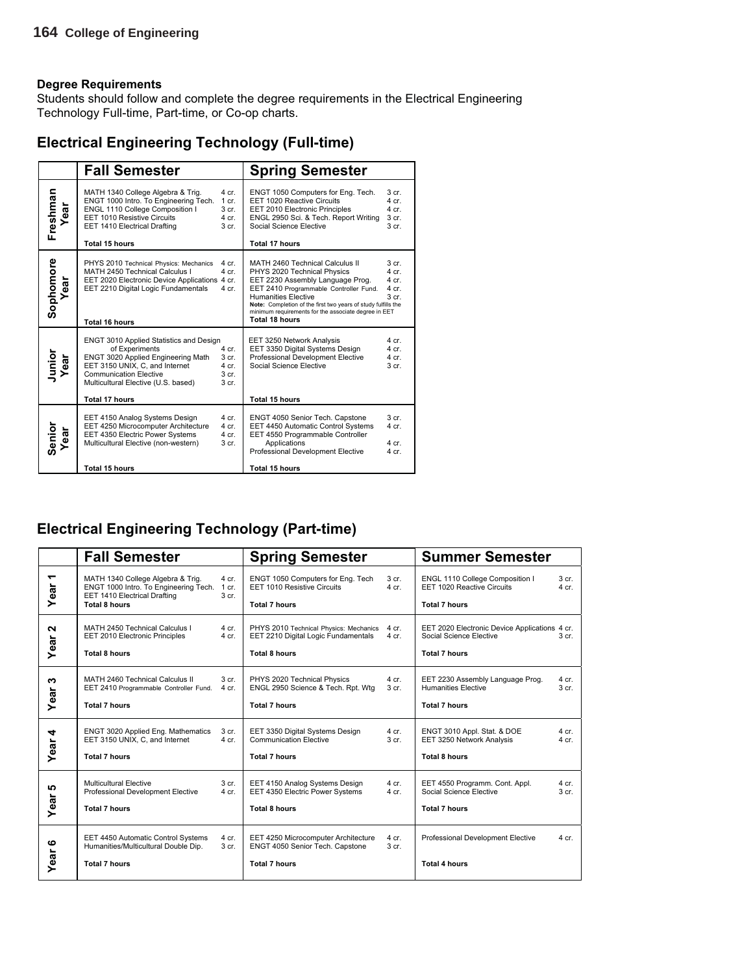Students should follow and complete the degree requirements in the Electrical Engineering Technology Full-time, Part-time, or Co-op charts.

### **Electrical Engineering Technology (Full-time)**

|                   | <b>Fall Semester</b>                                                                                                                                                                                                                                                                                           | <b>Spring Semester</b>                                                                                                                                                                                                                                                                                                                                                                                |
|-------------------|----------------------------------------------------------------------------------------------------------------------------------------------------------------------------------------------------------------------------------------------------------------------------------------------------------------|-------------------------------------------------------------------------------------------------------------------------------------------------------------------------------------------------------------------------------------------------------------------------------------------------------------------------------------------------------------------------------------------------------|
| Freshman<br>Year  | MATH 1340 College Algebra & Trig.<br>4 cr.<br>ENGT 1000 Intro. To Engineering Tech.<br>1 cr.<br>ENGL 1110 College Composition I<br>3 cr.<br>EET 1010 Resistive Circuits<br>4 cr.<br>EET 1410 Electrical Drafting<br>3 cr.<br><b>Total 15 hours</b>                                                             | ENGT 1050 Computers for Eng. Tech.<br>3 <sub>cr.</sub><br>EET 1020 Reactive Circuits<br>$4$ cr.<br>$4$ cr.<br>EET 2010 Electronic Principles<br>ENGL 2950 Sci. & Tech. Report Writing<br>3 cr.<br>Social Science Elective<br>3 cr.<br><b>Total 17 hours</b>                                                                                                                                           |
| Sophomore<br>Year | PHYS 2010 Technical Physics: Mechanics<br>4 cr.<br>MATH 2450 Technical Calculus I<br>4 cr.<br>EET 2020 Electronic Device Applications 4 cr.<br>EET 2210 Digital Logic Fundamentals<br>4 cr.<br><b>Total 16 hours</b>                                                                                           | MATH 2460 Technical Calculus II<br>3 <sub>cr.</sub><br>PHYS 2020 Technical Physics<br>$4$ cr.<br>EET 2230 Assembly Language Prog.<br>$4$ cr.<br>EET 2410 Programmable Controller Fund.<br>$4$ cr.<br><b>Humanities Elective</b><br>3 <sub>cr.</sub><br>Note: Completion of the first two years of study fulfills the<br>minimum requirements for the associate degree in EET<br><b>Total 18 hours</b> |
| Junior<br>Year    | <b>ENGT 3010 Applied Statistics and Design</b><br>of Experiments<br>4 cr.<br>ENGT 3020 Applied Engineering Math<br>3 <sub>cr.</sub><br>EET 3150 UNIX. C. and Internet<br>$4$ cr.<br><b>Communication Elective</b><br>3 <sub>cr.</sub><br>Multicultural Elective (U.S. based)<br>3 cr.<br><b>Total 17 hours</b> | $4$ cr.<br>EET 3250 Network Analysis<br>$4$ cr.<br>EET 3350 Digital Systems Design<br>Professional Development Elective<br>$4$ cr.<br>Social Science Elective<br>3 <sub>cr.</sub><br><b>Total 15 hours</b>                                                                                                                                                                                            |
| Senior<br>Year    | EET 4150 Analog Systems Design<br>4 cr.<br>EET 4250 Microcomputer Architecture<br>4 cr.<br>EET 4350 Electric Power Systems<br>$4$ cr.<br>Multicultural Elective (non-western)<br>3 cr.<br><b>Total 15 hours</b>                                                                                                | 3 <sub>cr.</sub><br>ENGT 4050 Senior Tech. Capstone<br>EET 4450 Automatic Control Systems<br>$4$ cr.<br>EET 4550 Programmable Controller<br>Applications<br>$4$ cr.<br>Professional Development Elective<br>$4$ cr.<br><b>Total 15 hours</b>                                                                                                                                                          |

### **Electrical Engineering Technology (Part-time)**

|            | <b>Fall Semester</b>                                                                                                               |                             | <b>Spring Semester</b>                                                                                |                             | <b>Summer Semester</b>                                                                           |                             |
|------------|------------------------------------------------------------------------------------------------------------------------------------|-----------------------------|-------------------------------------------------------------------------------------------------------|-----------------------------|--------------------------------------------------------------------------------------------------|-----------------------------|
| ↽<br>Year  | MATH 1340 College Algebra & Trig.<br>ENGT 1000 Intro. To Engineering Tech.<br>EET 1410 Electrical Drafting<br><b>Total 8 hours</b> | $4$ cr.<br>$1$ cr.<br>3 cr. | ENGT 1050 Computers for Eng. Tech<br>EET 1010 Resistive Circuits<br><b>Total 7 hours</b>              | 3 <sub>cr.</sub><br>$4$ cr. | ENGL 1110 College Composition I<br>EET 1020 Reactive Circuits<br><b>Total 7 hours</b>            | 3 <sub>cr.</sub><br>$4$ cr. |
| N<br>Year  | MATH 2450 Technical Calculus I<br>EET 2010 Electronic Principles<br><b>Total 8 hours</b>                                           | $4$ cr.<br>4 cr.            | PHYS 2010 Technical Physics: Mechanics<br>EET 2210 Digital Logic Fundamentals<br><b>Total 8 hours</b> | $4$ cr.<br>4 cr.            | EET 2020 Electronic Device Applications 4 cr.<br>Social Science Elective<br><b>Total 7 hours</b> | 3 <sub>cr.</sub>            |
| ω<br>Year  | MATH 2460 Technical Calculus II<br>EET 2410 Programmable Controller Fund.<br><b>Total 7 hours</b>                                  | 3 cr.<br>$4$ cr.            | PHYS 2020 Technical Physics<br>ENGL 2950 Science & Tech. Rpt. Wtg<br><b>Total 7 hours</b>             | 4 cr.<br>3 <sub>cr.</sub>   | EET 2230 Assembly Language Prog.<br><b>Humanities Elective</b><br><b>Total 7 hours</b>           | 4 cr.<br>3 <sub>cr.</sub>   |
| 4<br>Year  | ENGT 3020 Applied Eng. Mathematics<br>EET 3150 UNIX, C, and Internet<br><b>Total 7 hours</b>                                       | 3 cr.<br>$4$ cr.            | EET 3350 Digital Systems Design<br><b>Communication Elective</b><br><b>Total 7 hours</b>              | $4$ cr.<br>3 <sub>cr.</sub> | ENGT 3010 Appl. Stat. & DOE<br>EET 3250 Network Analysis<br><b>Total 8 hours</b>                 | $4$ cr.<br>$4$ cr.          |
| မာ<br>Year | Multicultural Elective<br>Professional Development Elective<br><b>Total 7 hours</b>                                                | 3 cr.<br>$4$ cr.            | EET 4150 Analog Systems Design<br>EET 4350 Electric Power Systems<br><b>Total 8 hours</b>             | $4$ cr.<br>4 cr.            | EET 4550 Programm. Cont. Appl.<br>Social Science Elective<br><b>Total 7 hours</b>                | $4$ cr.<br>3 <sub>cr.</sub> |
| ဖ<br>Year  | EET 4450 Automatic Control Systems<br>Humanities/Multicultural Double Dip.<br><b>Total 7 hours</b>                                 | 4 cr.<br>3 cr.              | EET 4250 Microcomputer Architecture<br>ENGT 4050 Senior Tech. Capstone<br><b>Total 7 hours</b>        | $4$ cr.<br>3 cr.            | Professional Development Elective<br><b>Total 4 hours</b>                                        | $4$ cr.                     |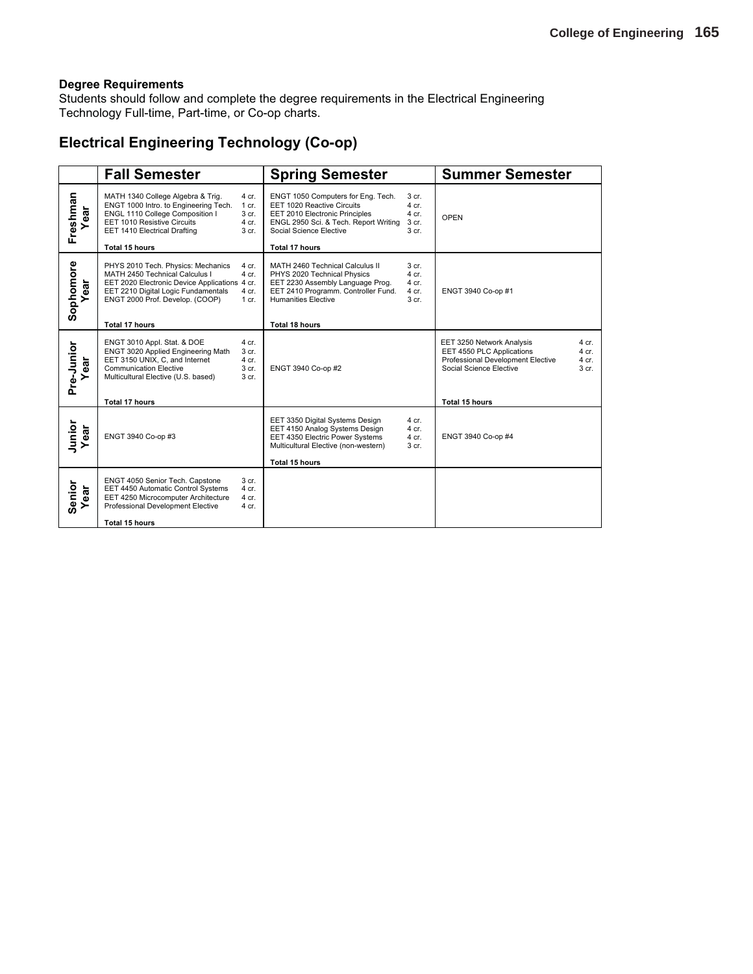Students should follow and complete the degree requirements in the Electrical Engineering Technology Full-time, Part-time, or Co-op charts.

### **Electrical Engineering Technology (Co-op)**

|                       | <b>Fall Semester</b>                                                                                                                                                                                                                                 | <b>Spring Semester</b>                                                                                                                                                                                                                                    | <b>Summer Semester</b>                                                                                                                                                              |
|-----------------------|------------------------------------------------------------------------------------------------------------------------------------------------------------------------------------------------------------------------------------------------------|-----------------------------------------------------------------------------------------------------------------------------------------------------------------------------------------------------------------------------------------------------------|-------------------------------------------------------------------------------------------------------------------------------------------------------------------------------------|
| Freshman<br>ar        | MATH 1340 College Algebra & Trig.<br>4 cr.<br>ENGT 1000 Intro. to Engineering Tech.<br>$1$ cr.<br>ENGL 1110 College Composition I<br>3 cr.<br>EET 1010 Resistive Circuits<br>4 cr.<br>EET 1410 Electrical Drafting<br>3 cr.<br><b>Total 15 hours</b> | ENGT 1050 Computers for Eng. Tech.<br>3 cr.<br>EET 1020 Reactive Circuits<br>$4$ cr.<br>4 cr.<br>EET 2010 Electronic Principles<br>ENGL 2950 Sci. & Tech. Report Writing<br>3 cr.<br>Social Science Elective<br>3 <sub>cr.</sub><br><b>Total 17 hours</b> | OPEN                                                                                                                                                                                |
|                       |                                                                                                                                                                                                                                                      |                                                                                                                                                                                                                                                           |                                                                                                                                                                                     |
| Sophomore<br>ear      | PHYS 2010 Tech. Physics: Mechanics<br>4 cr.<br>MATH 2450 Technical Calculus I<br>4 cr.<br>EET 2020 Electronic Device Applications 4 cr.<br>EET 2210 Digital Logic Fundamentals<br>4 cr.<br>ENGT 2000 Prof. Develop. (COOP)<br>$1$ cr.                | MATH 2460 Technical Calculus II<br>3 cr.<br>PHYS 2020 Technical Physics<br>$4$ cr.<br>EET 2230 Assembly Language Prog.<br>4 cr.<br>EET 2410 Programm. Controller Fund.<br>4 cr.<br><b>Humanities Elective</b><br>3 cr.                                    | ENGT 3940 Co-op #1                                                                                                                                                                  |
|                       | Total 17 hours                                                                                                                                                                                                                                       | Total 18 hours                                                                                                                                                                                                                                            |                                                                                                                                                                                     |
| Pre-Junior<br>ear     | ENGT 3010 Appl. Stat. & DOE<br>4 cr.<br>ENGT 3020 Applied Engineering Math<br>3 cr.<br>EET 3150 UNIX, C, and Internet<br>4 cr.<br><b>Communication Elective</b><br>3 cr.<br>Multicultural Elective (U.S. based)<br>3 cr.<br><b>Total 17 hours</b>    | ENGT 3940 Co-op #2                                                                                                                                                                                                                                        | EET 3250 Network Analysis<br>4 cr.<br>EET 4550 PLC Applications<br>4 cr.<br>Professional Development Elective<br>4 cr.<br>Social Science Elective<br>3 cr.<br><b>Total 15 hours</b> |
|                       |                                                                                                                                                                                                                                                      |                                                                                                                                                                                                                                                           |                                                                                                                                                                                     |
| Junior<br>Year<br>ear | ENGT 3940 Co-op #3                                                                                                                                                                                                                                   | EET 3350 Digital Systems Design<br>4 cr.<br>EET 4150 Analog Systems Design<br>4 cr.<br>EET 4350 Electric Power Systems<br>4 cr.<br>Multicultural Elective (non-western)<br>3 cr.<br><b>Total 15 hours</b>                                                 | ENGT 3940 Co-op #4                                                                                                                                                                  |
|                       |                                                                                                                                                                                                                                                      |                                                                                                                                                                                                                                                           |                                                                                                                                                                                     |
| Senior<br>ear         | ENGT 4050 Senior Tech. Capstone<br>3 cr.<br>EET 4450 Automatic Control Systems<br>4 cr.<br>EET 4250 Microcomputer Architecture<br>4 cr.<br>Professional Development Elective<br>4 cr.                                                                |                                                                                                                                                                                                                                                           |                                                                                                                                                                                     |
|                       | <b>Total 15 hours</b>                                                                                                                                                                                                                                |                                                                                                                                                                                                                                                           |                                                                                                                                                                                     |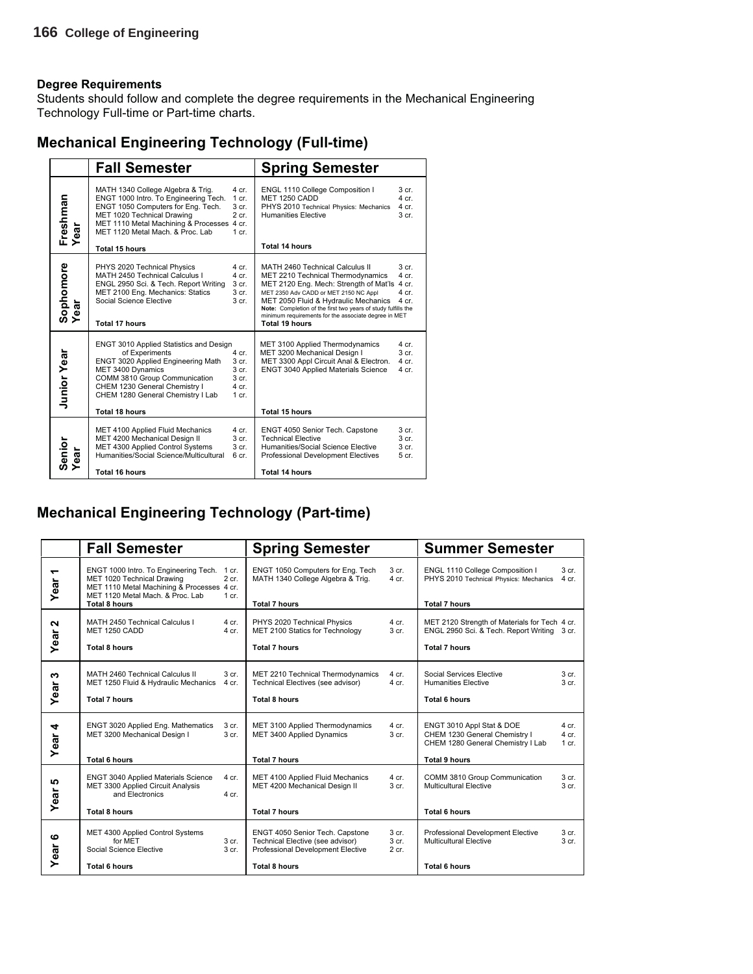Students should follow and complete the degree requirements in the Mechanical Engineering Technology Full-time or Part-time charts.

|  | <b>Mechanical Engineering Technology (Full-time)</b> |  |
|--|------------------------------------------------------|--|
|  |                                                      |  |

|                      | <b>Fall Semester</b>                                                                                                                                                                                                                                               |                                                                                       | <b>Spring Semester</b>                                                                                                                                                                                                                                                                                                                           |                                                                   |
|----------------------|--------------------------------------------------------------------------------------------------------------------------------------------------------------------------------------------------------------------------------------------------------------------|---------------------------------------------------------------------------------------|--------------------------------------------------------------------------------------------------------------------------------------------------------------------------------------------------------------------------------------------------------------------------------------------------------------------------------------------------|-------------------------------------------------------------------|
| Freshman<br>ear      | MATH 1340 College Algebra & Trig.<br>ENGT 1000 Intro. To Engineering Tech.<br>ENGT 1050 Computers for Eng. Tech.<br>MET 1020 Technical Drawing<br>MET 1110 Metal Machining & Processes 4 cr.<br>MET 1120 Metal Mach. & Proc. Lab<br>Total 15 hours                 | 4 cr.<br>1 cr.<br>3 <sub>cr.</sub><br>$2$ cr.<br>$1$ cr.                              | ENGL 1110 College Composition I<br><b>MET 1250 CADD</b><br>PHYS 2010 Technical Physics: Mechanics<br><b>Humanities Elective</b><br>Total 14 hours                                                                                                                                                                                                | 3 <sub>cr.</sub><br>$4$ cr.<br>4 cr.<br>3 cr.                     |
| Sophomore<br>Year    | PHYS 2020 Technical Physics<br>MATH 2450 Technical Calculus I<br>ENGL 2950 Sci. & Tech. Report Writing<br>MET 2100 Eng. Mechanics: Statics<br>Social Science Elective<br><b>Total 17 hours</b>                                                                     | 4 cr.<br>$4$ cr.<br>3 cr.<br>3 <sub>cr.</sub><br>3 <sub>cr.</sub>                     | MATH 2460 Technical Calculus II<br>MET 2210 Technical Thermodynamics<br>MET 2120 Eng. Mech: Strength of Mat'ls 4 cr.<br>MET 2350 Adv CADD or MET 2150 NC Appl<br>MET 2050 Fluid & Hydraulic Mechanics<br>Note: Completion of the first two years of study fulfills the<br>minimum requirements for the associate degree in MET<br>Total 19 hours | 3 <sub>cr.</sub><br>4 cr.<br>4 cr.<br>4 cr.                       |
| <b>Junior Year</b>   | <b>ENGT 3010 Applied Statistics and Design</b><br>of Experiments<br><b>ENGT 3020 Applied Engineering Math</b><br>MET 3400 Dynamics<br>COMM 3810 Group Communication<br>CHEM 1230 General Chemistry I<br>CHEM 1280 General Chemistry I Lab<br><b>Total 18 hours</b> | 4 cr.<br>3 <sub>cr.</sub><br>3 <sub>cr.</sub><br>3 <sub>cr.</sub><br>4 cr.<br>$1$ cr. | MET 3100 Applied Thermodynamics<br>MET 3200 Mechanical Design I<br>MET 3300 Appl Circuit Anal & Electron.<br><b>ENGT 3040 Applied Materials Science</b><br><b>Total 15 hours</b>                                                                                                                                                                 | 4 cr.<br>$3$ cr.<br>4 cr.<br>4 cr.                                |
| Senior<br>Year<br>តូ | MET 4100 Applied Fluid Mechanics<br>MET 4200 Mechanical Design II<br>MET 4300 Applied Control Systems<br>Humanities/Social Science/Multicultural<br><b>Total 16 hours</b>                                                                                          | 4 cr.<br>3 cr.<br>3 <sub>cr.</sub><br>6 cr.                                           | ENGT 4050 Senior Tech. Capstone<br><b>Technical Elective</b><br>Humanities/Social Science Elective<br><b>Professional Development Electives</b><br><b>Total 14 hours</b>                                                                                                                                                                         | 3 <sub>cr.</sub><br>3 <sub>cr.</sub><br>3 <sub>cr.</sub><br>5 cr. |

### **Mechanical Engineering Technology (Part-time)**

|                                  | <b>Fall Semester</b>                                                                                                                                  |                           | <b>Spring Semester</b>                                                                                   |                             | <b>Summer Semester</b>                                                                                                  |                                      |
|----------------------------------|-------------------------------------------------------------------------------------------------------------------------------------------------------|---------------------------|----------------------------------------------------------------------------------------------------------|-----------------------------|-------------------------------------------------------------------------------------------------------------------------|--------------------------------------|
| $\overline{\phantom{0}}$<br>Year | ENGT 1000 Intro. To Engineering Tech.<br>MET 1020 Technical Drawing<br>MET 1110 Metal Machining & Processes 4 cr.<br>MET 1120 Metal Mach. & Proc. Lab | 1 cr.<br>$2$ cr.<br>1 cr. | ENGT 1050 Computers for Eng. Tech<br>MATH 1340 College Algebra & Trig.                                   | 3 cr.<br>$4$ cr.            | ENGL 1110 College Composition I<br>PHYS 2010 Technical Physics: Mechanics                                               | 3 cr.<br>$4$ cr.                     |
|                                  | <b>Total 8 hours</b>                                                                                                                                  |                           | <b>Total 7 hours</b>                                                                                     |                             | <b>Total 7 hours</b>                                                                                                    |                                      |
| N<br>Year                        | MATH 2450 Technical Calculus I<br>MET 1250 CADD                                                                                                       | 4 cr.<br>4 cr.            | PHYS 2020 Technical Physics<br>MET 2100 Statics for Technology                                           | $4$ cr.<br>3 cr.            | MET 2120 Strength of Materials for Tech 4 cr.<br>ENGL 2950 Sci. & Tech. Report Writing 3 cr.                            |                                      |
|                                  | <b>Total 8 hours</b>                                                                                                                                  |                           | <b>Total 7 hours</b>                                                                                     |                             | <b>Total 7 hours</b>                                                                                                    |                                      |
| ω<br>Year                        | MATH 2460 Technical Calculus II<br>MET 1250 Fluid & Hydraulic Mechanics<br><b>Total 7 hours</b>                                                       | 3 cr.<br>4 cr.            | MET 2210 Technical Thermodynamics<br>Technical Electives (see advisor)<br><b>Total 8 hours</b>           | $4$ cr.<br>4 cr.            | Social Services Elective<br><b>Humanities Elective</b><br><b>Total 6 hours</b>                                          | 3 <sub>cr.</sub><br>3 <sub>cr.</sub> |
| ear 4<br>≻                       | ENGT 3020 Applied Eng. Mathematics<br>MET 3200 Mechanical Design I<br><b>Total 6 hours</b>                                                            | 3 cr.<br>3 cr.            | MET 3100 Applied Thermodynamics<br>MET 3400 Applied Dynamics<br><b>Total 7 hours</b>                     | $4$ cr.<br>3 <sub>cr.</sub> | ENGT 3010 Appl Stat & DOE<br>CHEM 1230 General Chemistry I<br>CHEM 1280 General Chemistry I Lab<br><b>Total 9 hours</b> | $4$ cr.<br>$4$ cr.<br>$1$ cr.        |
|                                  |                                                                                                                                                       |                           |                                                                                                          |                             |                                                                                                                         |                                      |
| 5<br>Year                        | <b>ENGT 3040 Applied Materials Science</b><br>MET 3300 Applied Circuit Analysis<br>and Electronics                                                    | 4 cr.<br>$4$ cr.          | MET 4100 Applied Fluid Mechanics<br>MET 4200 Mechanical Design II                                        | 4 cr.<br>3 <sub>cr.</sub>   | COMM 3810 Group Communication<br>Multicultural Elective                                                                 | 3 cr.<br>3 <sub>cr.</sub>            |
|                                  | <b>Total 8 hours</b>                                                                                                                                  |                           | <b>Total 7 hours</b>                                                                                     |                             | <b>Total 6 hours</b>                                                                                                    |                                      |
| ဖ<br>ear                         | MET 4300 Applied Control Systems<br>for MET<br>Social Science Elective                                                                                | 3 cr.<br>3 <sub>cr.</sub> | ENGT 4050 Senior Tech. Capstone<br>Technical Elective (see advisor)<br>Professional Development Elective | 3 cr.<br>3 cr.<br>$2$ cr.   | Professional Development Elective<br><b>Multicultural Elective</b>                                                      | 3 cr.<br>3 <sub>cr.</sub>            |
| ≻                                | <b>Total 6 hours</b>                                                                                                                                  |                           | <b>Total 8 hours</b>                                                                                     |                             | <b>Total 6 hours</b>                                                                                                    |                                      |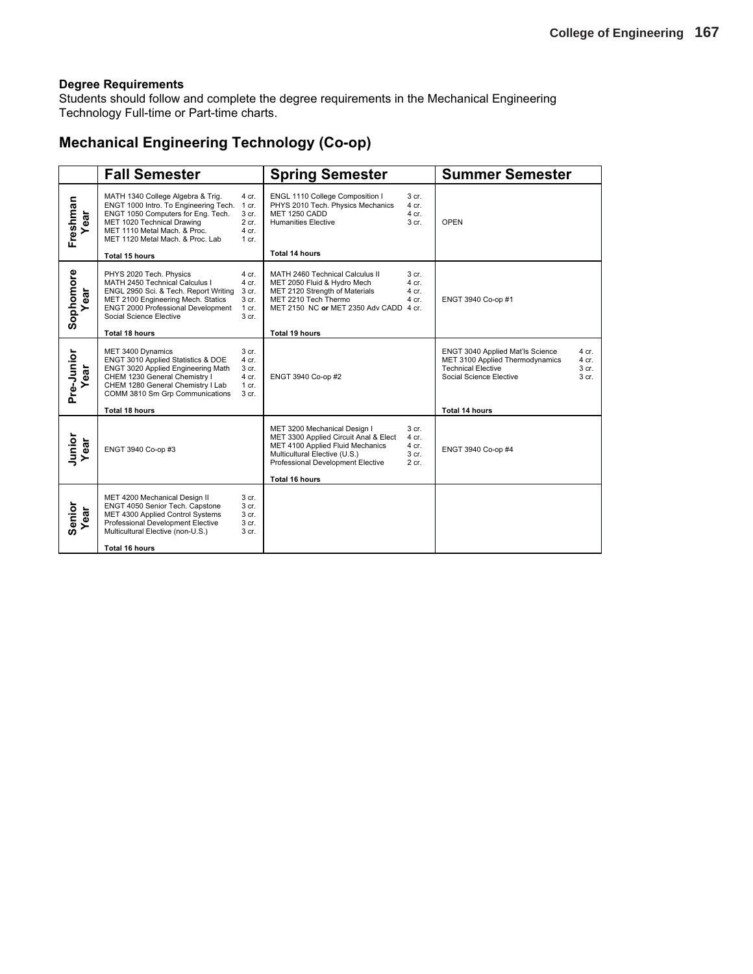Students should follow and complete the degree requirements in the Mechanical Engineering Technology Full-time or Part-time charts.

### **Mechanical Engineering Technology (Co-op)**

|                   | <b>Fall Semester</b>                                                                                                                                                                                               |                                                                   | <b>Spring Semester</b>                                                                                                                                                          |                                               | <b>Summer Semester</b>                                                                                                                                          |
|-------------------|--------------------------------------------------------------------------------------------------------------------------------------------------------------------------------------------------------------------|-------------------------------------------------------------------|---------------------------------------------------------------------------------------------------------------------------------------------------------------------------------|-----------------------------------------------|-----------------------------------------------------------------------------------------------------------------------------------------------------------------|
| Freshman<br>ear   | MATH 1340 College Algebra & Trig.<br>ENGT 1000 Intro. To Engineering Tech.<br>ENGT 1050 Computers for Eng. Tech.<br>MET 1020 Technical Drawing<br>MET 1110 Metal Mach. & Proc.<br>MET 1120 Metal Mach, & Proc. Lab | 4 cr.<br>1 cr.<br>3 <sub>cr.</sub><br>$2$ cr.<br>4 cr.<br>$1$ cr. | ENGL 1110 College Composition I<br>PHYS 2010 Tech. Physics Mechanics<br>MET 1250 CADD<br><b>Humanities Elective</b>                                                             | 3 cr.<br>4 cr.<br>$4$ cr.<br>3 <sub>cr.</sub> | <b>OPEN</b>                                                                                                                                                     |
|                   | Total 15 hours                                                                                                                                                                                                     |                                                                   | <b>Total 14 hours</b>                                                                                                                                                           |                                               |                                                                                                                                                                 |
| Sophomore<br>ear  | PHYS 2020 Tech. Physics<br>MATH 2450 Technical Calculus I<br>ENGL 2950 Sci. & Tech. Report Writing<br>MET 2100 Engineering Mech. Statics<br>ENGT 2000 Professional Development<br>Social Science Elective          | 4 cr.<br>4 cr.<br>3 cr.<br>3 cr.<br>$1$ cr.<br>3 cr.              | MATH 2460 Technical Calculus II<br>MET 2050 Fluid & Hydro Mech<br>MET 2120 Strength of Materials<br>MET 2210 Tech Thermo<br>MET 2150 NC or MET 2350 Adv CADD 4 cr.              | 3 <sub>cr.</sub><br>4 cr.<br>4 cr.<br>4 cr.   | ENGT 3940 Co-op #1                                                                                                                                              |
|                   | <b>Total 18 hours</b>                                                                                                                                                                                              |                                                                   | Total 19 hours                                                                                                                                                                  |                                               |                                                                                                                                                                 |
| Pre-Junior<br>ear | MET 3400 Dynamics<br>ENGT 3010 Applied Statistics & DOE<br>ENGT 3020 Applied Engineering Math<br>CHEM 1230 General Chemistry I<br>CHEM 1280 General Chemistry I Lab<br>COMM 3810 Sm Grp Communications             | 3 cr.<br>4 cr.<br>3 cr.<br>4 cr.<br>$1$ cr.<br>3 cr.              | ENGT 3940 Co-op #2                                                                                                                                                              |                                               | ENGT 3040 Applied Mat'ls Science<br>4 cr.<br>MET 3100 Applied Thermodynamics<br>4 cr.<br><b>Technical Elective</b><br>3 cr.<br>Social Science Elective<br>3 cr. |
|                   | <b>Total 18 hours</b>                                                                                                                                                                                              |                                                                   |                                                                                                                                                                                 |                                               | <b>Total 14 hours</b>                                                                                                                                           |
| Junior<br>Year    | ENGT 3940 Co-op #3                                                                                                                                                                                                 |                                                                   | MET 3200 Mechanical Design I<br>MET 3300 Applied Circuit Anal & Elect<br>MET 4100 Applied Fluid Mechanics<br>Multicultural Elective (U.S.)<br>Professional Development Elective | 3 cr.<br>4 cr.<br>4 cr.<br>3 cr.<br>2 cr.     | ENGT 3940 Co-op #4                                                                                                                                              |
|                   |                                                                                                                                                                                                                    |                                                                   | <b>Total 16 hours</b>                                                                                                                                                           |                                               |                                                                                                                                                                 |
| Senior<br>ear     | MET 4200 Mechanical Design II<br>ENGT 4050 Senior Tech. Capstone<br>MET 4300 Applied Control Systems<br>Professional Development Elective<br>Multicultural Elective (non-U.S.)                                     | 3 cr.<br>3 cr.<br>3 cr.<br>3 cr.<br>3 cr.                         |                                                                                                                                                                                 |                                               |                                                                                                                                                                 |
|                   | Total 16 hours                                                                                                                                                                                                     |                                                                   |                                                                                                                                                                                 |                                               |                                                                                                                                                                 |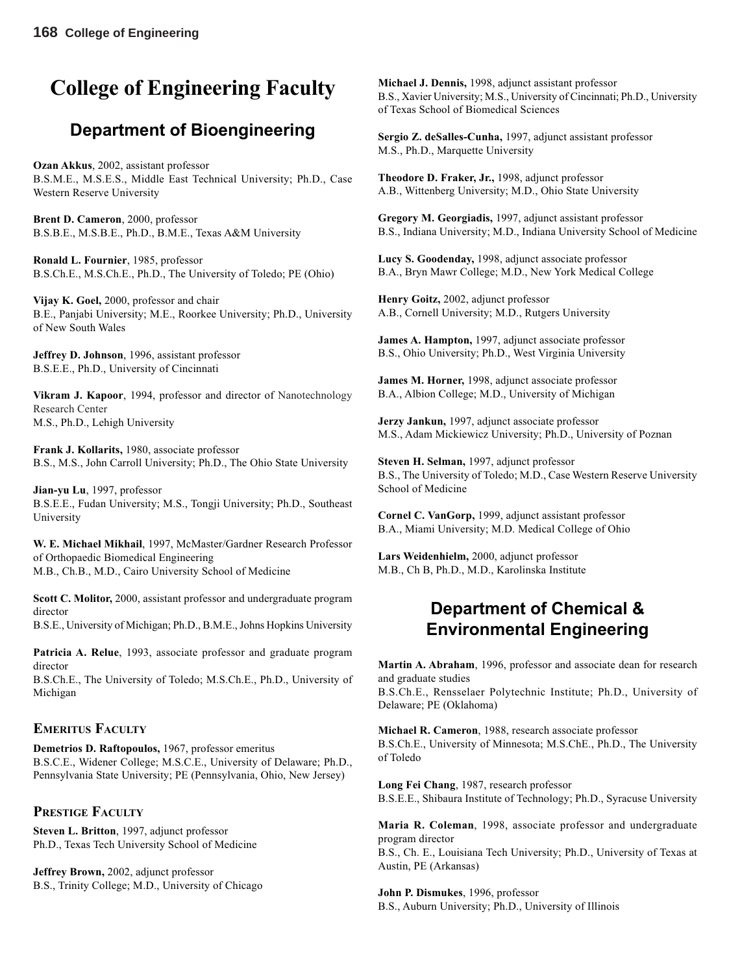# **College of Engineering Faculty**

# **Department of Bioengineering**

**Ozan Akkus**, 2002, assistant professor B.S.M.E., M.S.E.S., Middle East Technical University; Ph.D., Case Western Reserve University

**Brent D. Cameron**, 2000, professor B.S.B.E., M.S.B.E., Ph.D., B.M.E., Texas A&M University

**Ronald L. Fournier**, 1985, professor B.S.Ch.E., M.S.Ch.E., Ph.D., The University of Toledo; PE (Ohio)

**Vijay K. Goel,** 2000, professor and chair B.E., Panjabi University; M.E., Roorkee University; Ph.D., University of New South Wales

**Jeffrey D. Johnson**, 1996, assistant professor B.S.E.E., Ph.D., University of Cincinnati

**Vikram J. Kapoor**, 1994, professor and director of Nanotechnology Research Center M.S., Ph.D., Lehigh University

**Frank J. Kollarits,** 1980, associate professor B.S., M.S., John Carroll University; Ph.D., The Ohio State University

**Jian-yu Lu**, 1997, professor B.S.E.E., Fudan University; M.S., Tongji University; Ph.D., Southeast University

**W. E. Michael Mikhail**, 1997, McMaster/Gardner Research Professor of Orthopaedic Biomedical Engineering M.B., Ch.B., M.D., Cairo University School of Medicine

**Scott C. Molitor,** 2000, assistant professor and undergraduate program director

B.S.E., University of Michigan; Ph.D., B.M.E., Johns Hopkins University

**Patricia A. Relue**, 1993, associate professor and graduate program director

B.S.Ch.E., The University of Toledo; M.S.Ch.E., Ph.D., University of Michigan

#### **EMERITUS FACULTY**

**Demetrios D. Raftopoulos,** 1967, professor emeritus B.S.C.E., Widener College; M.S.C.E., University of Delaware; Ph.D., Pennsylvania State University; PE (Pennsylvania, Ohio, New Jersey)

#### **PRESTIGE FACULTY**

**Steven L. Britton**, 1997, adjunct professor Ph.D., Texas Tech University School of Medicine

**Jeffrey Brown,** 2002, adjunct professor B.S., Trinity College; M.D., University of Chicago

**Michael J. Dennis,** 1998, adjunct assistant professor B.S., Xavier University; M.S., University of Cincinnati; Ph.D., University of Texas School of Biomedical Sciences

**Sergio Z. deSalles-Cunha,** 1997, adjunct assistant professor M.S., Ph.D., Marquette University

**Theodore D. Fraker, Jr.,** 1998, adjunct professor A.B., Wittenberg University; M.D., Ohio State University

**Gregory M. Georgiadis,** 1997, adjunct assistant professor B.S., Indiana University; M.D., Indiana University School of Medicine

**Lucy S. Goodenday,** 1998, adjunct associate professor B.A., Bryn Mawr College; M.D., New York Medical College

**Henry Goitz,** 2002, adjunct professor A.B., Cornell University; M.D., Rutgers University

**James A. Hampton,** 1997, adjunct associate professor B.S., Ohio University; Ph.D., West Virginia University

**James M. Horner,** 1998, adjunct associate professor B.A., Albion College; M.D., University of Michigan

**Jerzy Jankun,** 1997, adjunct associate professor M.S., Adam Mickiewicz University; Ph.D., University of Poznan

**Steven H. Selman,** 1997, adjunct professor B.S., The University of Toledo; M.D., Case Western Reserve University School of Medicine

**Cornel C. VanGorp,** 1999, adjunct assistant professor B.A., Miami University; M.D. Medical College of Ohio

**Lars Weidenhielm,** 2000, adjunct professor M.B., Ch B, Ph.D., M.D., Karolinska Institute

# **Department of Chemical & Environmental Engineering**

**Martin A. Abraham**, 1996, professor and associate dean for research and graduate studies B.S.Ch.E., Rensselaer Polytechnic Institute; Ph.D., University of

Delaware; PE (Oklahoma)

**Michael R. Cameron**, 1988, research associate professor B.S.Ch.E., University of Minnesota; M.S.ChE., Ph.D., The University of Toledo

**Long Fei Chang**, 1987, research professor B.S.E.E., Shibaura Institute of Technology; Ph.D., Syracuse University

**Maria R. Coleman**, 1998, associate professor and undergraduate program director B.S., Ch. E., Louisiana Tech University; Ph.D., University of Texas at

Austin, PE (Arkansas)

**John P. Dismukes**, 1996, professor B.S., Auburn University; Ph.D., University of Illinois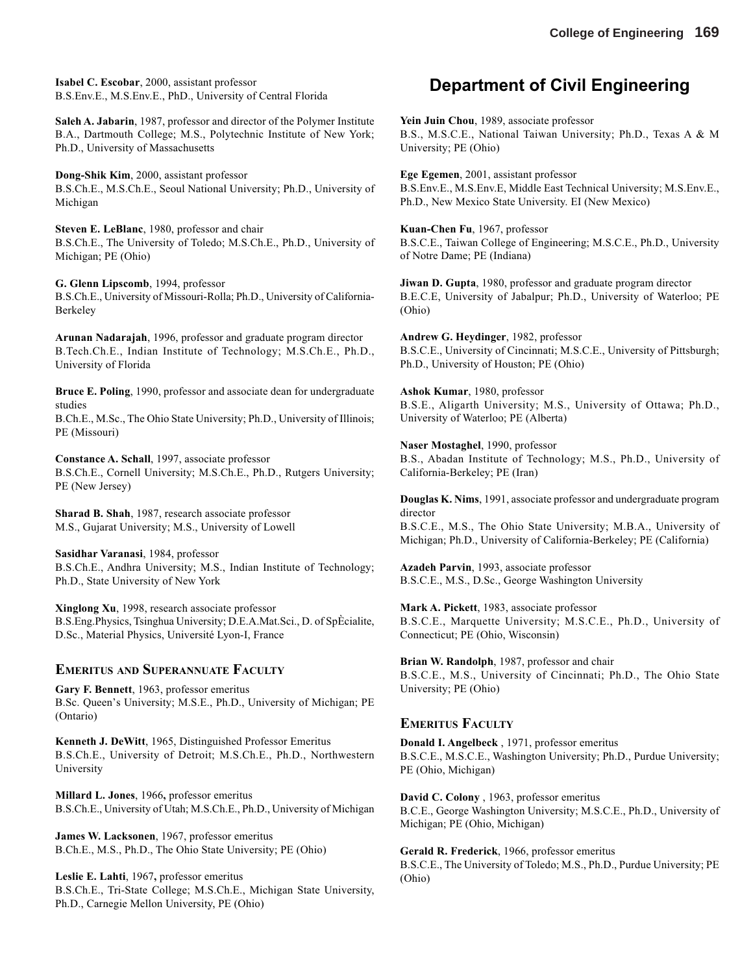**Isabel C. Escobar**, 2000, assistant professor B.S.Env.E., M.S.Env.E., PhD., University of Central Florida

**Saleh A. Jabarin**, 1987, professor and director of the Polymer Institute B.A., Dartmouth College; M.S., Polytechnic Institute of New York; Ph.D., University of Massachusetts

**Dong-Shik Kim**, 2000, assistant professor B.S.Ch.E., M.S.Ch.E., Seoul National University; Ph.D., University of Michigan

**Steven E. LeBlanc**, 1980, professor and chair B.S.Ch.E., The University of Toledo; M.S.Ch.E., Ph.D., University of Michigan; PE (Ohio)

**G. Glenn Lipscomb**, 1994, professor B.S.Ch.E., University of Missouri-Rolla; Ph.D., University of California-Berkeley

**Arunan Nadarajah**, 1996, professor and graduate program director B.Tech.Ch.E., Indian Institute of Technology; M.S.Ch.E., Ph.D., University of Florida

**Bruce E. Poling**, 1990, professor and associate dean for undergraduate studies B.Ch.E., M.Sc., The Ohio State University; Ph.D., University of Illinois;

PE (Missouri)

**Constance A. Schall**, 1997, associate professor B.S.Ch.E., Cornell University; M.S.Ch.E., Ph.D., Rutgers University; PE (New Jersey)

**Sharad B. Shah**, 1987, research associate professor M.S., Gujarat University; M.S., University of Lowell

**Sasidhar Varanasi**, 1984, professor B.S.Ch.E., Andhra University; M.S., Indian Institute of Technology; Ph.D., State University of New York

**Xinglong Xu**, 1998, research associate professor B.S.Eng.Physics, Tsinghua University; D.E.A.Mat.Sci., D. of SpÈcialite, D.Sc., Material Physics, Université Lyon-I, France

#### **EMERITUS AND SUPERANNUATE FACULTY**

**Gary F. Bennett**, 1963, professor emeritus B.Sc. Queen's University; M.S.E., Ph.D., University of Michigan; PE (Ontario)

**Kenneth J. DeWitt**, 1965, Distinguished Professor Emeritus B.S.Ch.E., University of Detroit; M.S.Ch.E., Ph.D., Northwestern University

**Millard L. Jones**, 1966**,** professor emeritus B.S.Ch.E., University of Utah; M.S.Ch.E., Ph.D., University of Michigan

**James W. Lacksonen**, 1967, professor emeritus B.Ch.E., M.S., Ph.D., The Ohio State University; PE (Ohio)

**Leslie E. Lahti**, 1967**,** professor emeritus B.S.Ch.E., Tri-State College; M.S.Ch.E., Michigan State University, Ph.D., Carnegie Mellon University, PE (Ohio)

### **Department of Civil Engineering**

**Yein Juin Chou**, 1989, associate professor B.S., M.S.C.E., National Taiwan University; Ph.D., Texas A & M University; PE (Ohio)

**Ege Egemen**, 2001, assistant professor B.S.Env.E., M.S.Env.E, Middle East Technical University; M.S.Env.E., Ph.D., New Mexico State University. EI (New Mexico)

**Kuan-Chen Fu**, 1967, professor B.S.C.E., Taiwan College of Engineering; M.S.C.E., Ph.D., University of Notre Dame; PE (Indiana)

**Jiwan D. Gupta**, 1980, professor and graduate program director B.E.C.E, University of Jabalpur; Ph.D., University of Waterloo; PE (Ohio)

**Andrew G. Heydinger**, 1982, professor B.S.C.E., University of Cincinnati; M.S.C.E., University of Pittsburgh; Ph.D., University of Houston; PE (Ohio)

**Ashok Kumar**, 1980, professor B.S.E., Aligarth University; M.S., University of Ottawa; Ph.D., University of Waterloo; PE (Alberta)

**Naser Mostaghel**, 1990, professor B.S., Abadan Institute of Technology; M.S., Ph.D., University of California-Berkeley; PE (Iran)

**Douglas K. Nims**, 1991, associate professor and undergraduate program director B.S.C.E., M.S., The Ohio State University; M.B.A., University of Michigan; Ph.D., University of California-Berkeley; PE (California)

**Azadeh Parvin**, 1993, associate professor B.S.C.E., M.S., D.Sc., George Washington University

**Mark A. Pickett**, 1983, associate professor B.S.C.E., Marquette University; M.S.C.E., Ph.D., University of Connecticut; PE (Ohio, Wisconsin)

**Brian W. Randolph**, 1987, professor and chair B.S.C.E., M.S., University of Cincinnati; Ph.D., The Ohio State University; PE (Ohio)

#### **EMERITUS FACULTY**

**Donald I. Angelbeck** , 1971, professor emeritus B.S.C.E., M.S.C.E., Washington University; Ph.D., Purdue University; PE (Ohio, Michigan)

**David C. Colony** , 1963, professor emeritus B.C.E., George Washington University; M.S.C.E., Ph.D., University of Michigan; PE (Ohio, Michigan)

**Gerald R. Frederick**, 1966, professor emeritus B.S.C.E., The University of Toledo; M.S., Ph.D., Purdue University; PE (Ohio)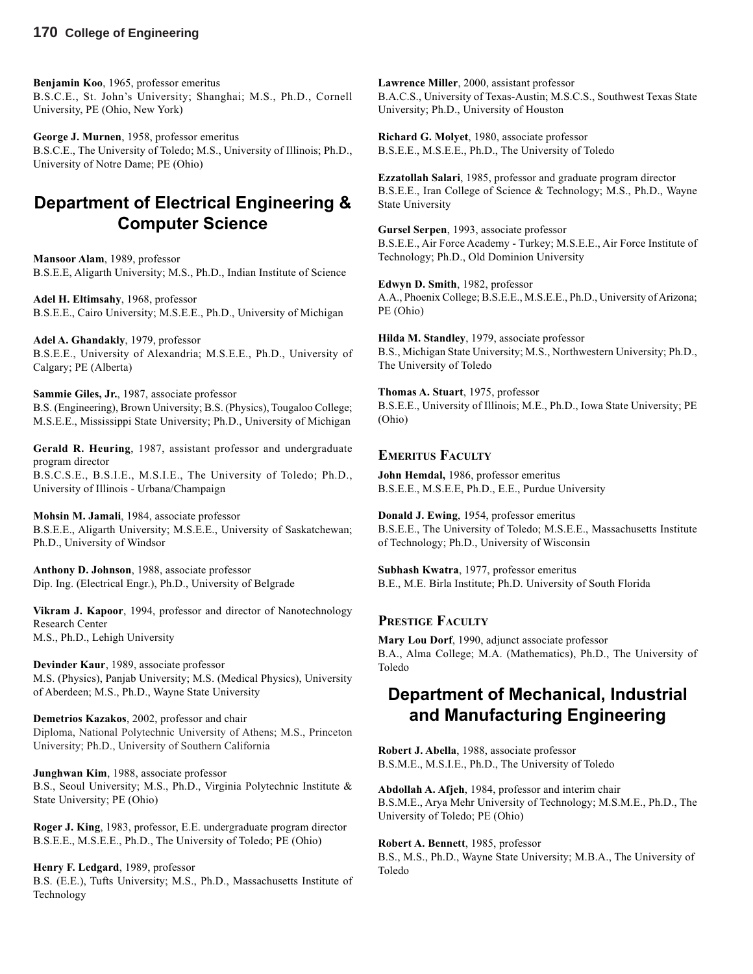**Benjamin Koo**, 1965, professor emeritus B.S.C.E., St. John's University; Shanghai; M.S., Ph.D., Cornell University, PE (Ohio, New York)

**George J. Murnen**, 1958, professor emeritus B.S.C.E., The University of Toledo; M.S., University of Illinois; Ph.D., University of Notre Dame; PE (Ohio)

# **Department of Electrical Engineering & Computer Science**

**Mansoor Alam**, 1989, professor B.S.E.E, Aligarth University; M.S., Ph.D., Indian Institute of Science

**Adel H. Eltimsahy**, 1968, professor B.S.E.E., Cairo University; M.S.E.E., Ph.D., University of Michigan

**Adel A. Ghandakly**, 1979, professor B.S.E.E., University of Alexandria; M.S.E.E., Ph.D., University of Calgary; PE (Alberta)

**Sammie Giles, Jr.**, 1987, associate professor B.S. (Engineering), Brown University; B.S. (Physics), Tougaloo College; M.S.E.E., Mississippi State University; Ph.D., University of Michigan

**Gerald R. Heuring**, 1987, assistant professor and undergraduate program director

B.S.C.S.E., B.S.I.E., M.S.I.E., The University of Toledo; Ph.D., University of Illinois - Urbana/Champaign

**Mohsin M. Jamali**, 1984, associate professor B.S.E.E., Aligarth University; M.S.E.E., University of Saskatchewan; Ph.D., University of Windsor

**Anthony D. Johnson**, 1988, associate professor Dip. Ing. (Electrical Engr.), Ph.D., University of Belgrade

**Vikram J. Kapoor**, 1994, professor and director of Nanotechnology Research Center M.S., Ph.D., Lehigh University

**Devinder Kaur**, 1989, associate professor M.S. (Physics), Panjab University; M.S. (Medical Physics), University of Aberdeen; M.S., Ph.D., Wayne State University

**Demetrios Kazakos**, 2002, professor and chair Diploma, National Polytechnic University of Athens; M.S., Princeton University; Ph.D., University of Southern California

**Junghwan Kim**, 1988, associate professor B.S., Seoul University; M.S., Ph.D., Virginia Polytechnic Institute & State University; PE (Ohio)

**Roger J. King**, 1983, professor, E.E. undergraduate program director B.S.E.E., M.S.E.E., Ph.D., The University of Toledo; PE (Ohio)

**Henry F. Ledgard**, 1989, professor B.S. (E.E.), Tufts University; M.S., Ph.D., Massachusetts Institute of Technology

**Lawrence Miller**, 2000, assistant professor B.A.C.S., University of Texas-Austin; M.S.C.S., Southwest Texas State University; Ph.D., University of Houston

**Richard G. Molyet**, 1980, associate professor B.S.E.E., M.S.E.E., Ph.D., The University of Toledo

**Ezzatollah Salari**, 1985, professor and graduate program director B.S.E.E., Iran College of Science & Technology; M.S., Ph.D., Wayne State University

**Gursel Serpen**, 1993, associate professor B.S.E.E., Air Force Academy - Turkey; M.S.E.E., Air Force Institute of Technology; Ph.D., Old Dominion University

**Edwyn D. Smith**, 1982, professor A.A., Phoenix College; B.S.E.E., M.S.E.E., Ph.D., University of Arizona; PE (Ohio)

**Hilda M. Standley**, 1979, associate professor B.S., Michigan State University; M.S., Northwestern University; Ph.D., The University of Toledo

**Thomas A. Stuart**, 1975, professor B.S.E.E., University of Illinois; M.E., Ph.D., Iowa State University; PE (Ohio)

#### **EMERITUS FACULTY**

**John Hemdal,** 1986, professor emeritus B.S.E.E., M.S.E.E, Ph.D., E.E., Purdue University

**Donald J. Ewing**, 1954, professor emeritus B.S.E.E., The University of Toledo; M.S.E.E., Massachusetts Institute of Technology; Ph.D., University of Wisconsin

**Subhash Kwatra**, 1977, professor emeritus B.E., M.E. Birla Institute; Ph.D. University of South Florida

#### **PRESTIGE FACULTY**

**Mary Lou Dorf**, 1990, adjunct associate professor B.A., Alma College; M.A. (Mathematics), Ph.D., The University of Toledo

# **Department of Mechanical, Industrial and Manufacturing Engineering**

**Robert J. Abella**, 1988, associate professor B.S.M.E., M.S.I.E., Ph.D., The University of Toledo

**Abdollah A. Afjeh**, 1984, professor and interim chair B.S.M.E., Arya Mehr University of Technology; M.S.M.E., Ph.D., The University of Toledo; PE (Ohio)

#### **Robert A. Bennett**, 1985, professor

B.S., M.S., Ph.D., Wayne State University; M.B.A., The University of Toledo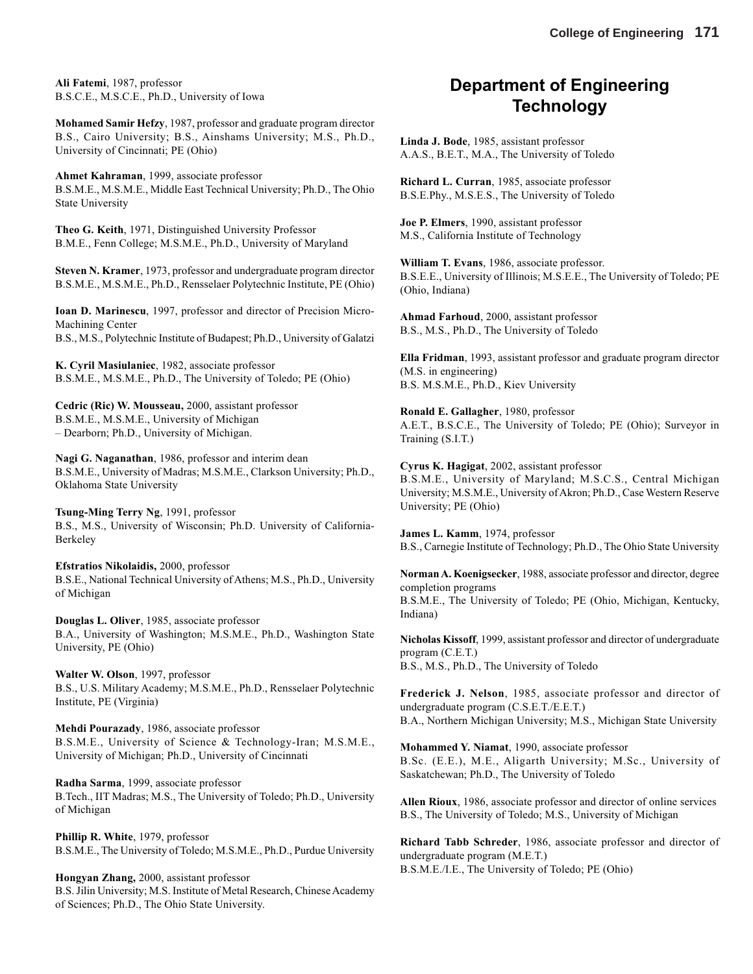**Ali Fatemi**, 1987, professor B.S.C.E., M.S.C.E., Ph.D., University of Iowa

**Mohamed Samir Hefzy**, 1987, professor and graduate program director B.S., Cairo University; B.S., Ainshams University; M.S., Ph.D., University of Cincinnati; PE (Ohio)

**Ahmet Kahraman**, 1999, associate professor B.S.M.E., M.S.M.E., Middle East Technical University; Ph.D., The Ohio State University

**Theo G. Keith**, 1971, Distinguished University Professor B.M.E., Fenn College; M.S.M.E., Ph.D., University of Maryland

**Steven N. Kramer**, 1973, professor and undergraduate program director B.S.M.E., M.S.M.E., Ph.D., Rensselaer Polytechnic Institute, PE (Ohio)

**Ioan D. Marinescu**, 1997, professor and director of Precision Micro-Machining Center B.S., M.S., Polytechnic Institute of Budapest; Ph.D., University of Galatzi

**K. Cyril Masiulaniec**, 1982, associate professor B.S.M.E., M.S.M.E., Ph.D., The University of Toledo; PE (Ohio)

**Cedric (Ric) W. Mousseau,** 2000, assistant professor B.S.M.E., M.S.M.E., University of Michigan – Dearborn; Ph.D., University of Michigan.

**Nagi G. Naganathan**, 1986, professor and interim dean B.S.M.E., University of Madras; M.S.M.E., Clarkson University; Ph.D., Oklahoma State University

**Tsung-Ming Terry Ng**, 1991, professor B.S., M.S., University of Wisconsin; Ph.D. University of California-Berkeley

**Efstratios Nikolaidis,** 2000, professor B.S.E., National Technical University of Athens; M.S., Ph.D., University of Michigan

**Douglas L. Oliver**, 1985, associate professor B.A., University of Washington; M.S.M.E., Ph.D., Washington State University, PE (Ohio)

**Walter W. Olson**, 1997, professor B.S., U.S. Military Academy; M.S.M.E., Ph.D., Rensselaer Polytechnic Institute, PE (Virginia)

**Mehdi Pourazady**, 1986, associate professor B.S.M.E., University of Science & Technology-Iran; M.S.M.E., University of Michigan; Ph.D., University of Cincinnati

**Radha Sarma**, 1999, associate professor B.Tech., IIT Madras; M.S., The University of Toledo; Ph.D., University of Michigan

**Phillip R. White**, 1979, professor B.S.M.E., The University of Toledo; M.S.M.E., Ph.D., Purdue University

**Hongyan Zhang,** 2000, assistant professor B.S. Jilin University; M.S. Institute of Metal Research, Chinese Academy of Sciences; Ph.D., The Ohio State University.

# **Department of Engineering Technology**

**Linda J. Bode**, 1985, assistant professor A.A.S., B.E.T., M.A., The University of Toledo

**Richard L. Curran**, 1985, associate professor B.S.E.Phy., M.S.E.S., The University of Toledo

**Joe P. Elmers**, 1990, assistant professor M.S., California Institute of Technology

**William T. Evans**, 1986, associate professor. B.S.E.E., University of Illinois; M.S.E.E., The University of Toledo; PE (Ohio, Indiana)

**Ahmad Farhoud**, 2000, assistant professor B.S., M.S., Ph.D., The University of Toledo

**Ella Fridman**, 1993, assistant professor and graduate program director (M.S. in engineering) B.S. M.S.M.E., Ph.D., Kiev University

**Ronald E. Gallagher**, 1980, professor A.E.T., B.S.C.E., The University of Toledo; PE (Ohio); Surveyor in Training (S.I.T.)

**Cyrus K. Hagigat**, 2002, assistant professor B.S.M.E., University of Maryland; M.S.C.S., Central Michigan University; M.S.M.E., University of Akron; Ph.D., Case Western Reserve University; PE (Ohio)

**James L. Kamm**, 1974, professor B.S., Carnegie Institute of Technology; Ph.D., The Ohio State University

**Norman A. Koenigsecker**, 1988, associate professor and director, degree completion programs B.S.M.E., The University of Toledo; PE (Ohio, Michigan, Kentucky, Indiana)

**Nicholas Kissoff**, 1999, assistant professor and director of undergraduate program (C.E.T.) B.S., M.S., Ph.D., The University of Toledo

**Frederick J. Nelson**, 1985, associate professor and director of undergraduate program (C.S.E.T./E.E.T.) B.A., Northern Michigan University; M.S., Michigan State University

**Mohammed Y. Niamat**, 1990, associate professor B.Sc. (E.E.), M.E., Aligarth University; M.Sc., University of Saskatchewan; Ph.D., The University of Toledo

**Allen Rioux**, 1986, associate professor and director of online services B.S., The University of Toledo; M.S., University of Michigan

**Richard Tabb Schreder**, 1986, associate professor and director of undergraduate program (M.E.T.) B.S.M.E./I.E., The University of Toledo; PE (Ohio)